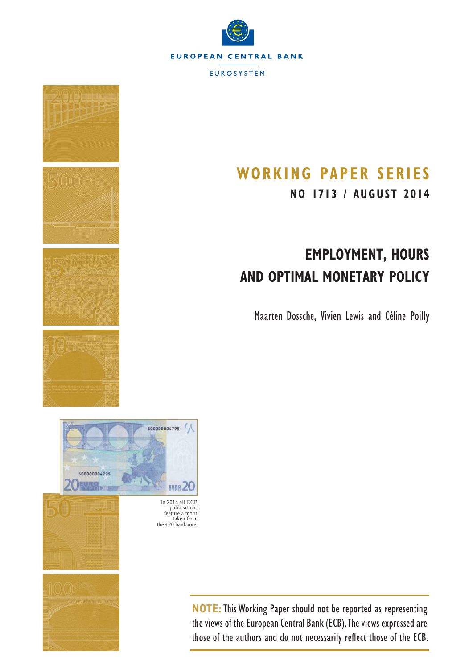



# **WORKING PAPER SERIES NO 1713 / AUGUST 2014**

# **EMPLOYMENT, HOURS AND OPTIMAL MONETARY POLICY**

Maarten Dossche, Vivien Lewis and Céline Poilly

In 2014 all ECB publications feature a motif taken from the €20 banknote.

EVB8 20

x.

**NOTE:**This Working Paper should not be reported as representing the views of the European Central Bank (ECB). The views expressed are those of the authors and do not necessarily reflect those of the ECB.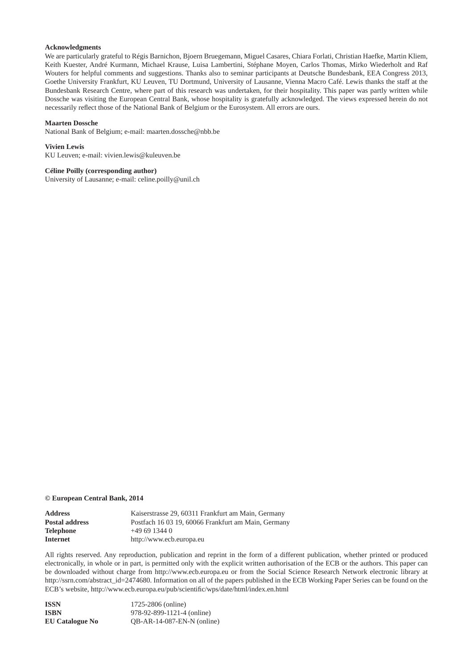#### **Acknowledgments**

We are particularly grateful to Régis Barnichon, Bjoern Bruegemann, Miguel Casares, Chiara Forlati, Christian Haefke, Martin Kliem, Keith Kuester, André Kurmann, Michael Krause, Luisa Lambertini, Stéphane Moyen, Carlos Thomas, Mirko Wiederholt and Raf Wouters for helpful comments and suggestions. Thanks also to seminar participants at Deutsche Bundesbank, EEA Congress 2013, Goethe University Frankfurt, KU Leuven, TU Dortmund, University of Lausanne, Vienna Macro Café. Lewis thanks the staff at the Bundesbank Research Centre, where part of this research was undertaken, for their hospitality. This paper was partly written while Dossche was visiting the European Central Bank, whose hospitality is gratefully acknowledged. The views expressed herein do not necessarily reflect those of the National Bank of Belgium or the Eurosystem. All errors are ours.

#### **Maarten Dossche**

National Bank of Belgium; e-mail: maarten.dossche@nbb.be

#### **Vivien Lewis**

KU Leuven; e-mail: vivien.lewis@kuleuven.be

#### **Céline Poilly (corresponding author)**

University of Lausanne; e-mail: celine.poilly@unil.ch

#### **© European Central Bank, 2014**

| <b>Address</b>        | Kaiserstrasse 29, 60311 Frankfurt am Main, Germany  |
|-----------------------|-----------------------------------------------------|
| <b>Postal address</b> | Postfach 16 03 19, 60066 Frankfurt am Main, Germany |
| Telephone             | $+496913440$                                        |
| Internet              | http://www.ecb.europa.eu                            |

All rights reserved. Any reproduction, publication and reprint in the form of a different publication, whether printed or produced electronically, in whole or in part, is permitted only with the explicit written authorisation of the ECB or the authors. This paper can be downloaded without charge from http://www.ecb.europa.eu or from the Social Science Research Network electronic library at http://ssrn.com/abstract\_id=2474680. Information on all of the papers published in the ECB Working Paper Series can be found on the ECB's website, http://www.ecb.europa.eu/pub/scientific/wps/date/html/index.en.html

| ISSN                   | 1725-2806 (online)           |
|------------------------|------------------------------|
| ISBN                   | 978-92-899-1121-4 (online)   |
| <b>EU Catalogue No</b> | $OB-AR-14-087-EN-N$ (online) |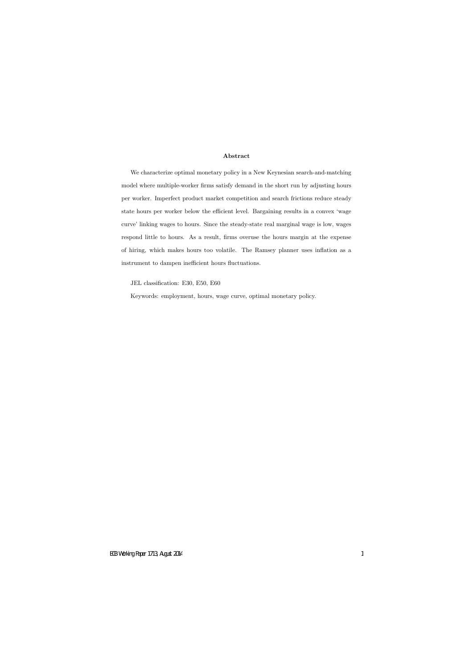#### Abstract

We characterize optimal monetary policy in a New Keynesian search-and-matching model where multiple-worker firms satisfy demand in the short run by adjusting hours per worker. Imperfect product market competition and search frictions reduce steady state hours per worker below the efficient level. Bargaining results in a convex 'wage curve' linking wages to hours. Since the steady-state real marginal wage is low, wages respond little to hours. As a result, firms overuse the hours margin at the expense of hiring, which makes hours too volatile. The Ramsey planner uses ináation as a instrument to dampen inefficient hours fluctuations.

JEL classification: E30, E50, E60

Keywords: employment, hours, wage curve, optimal monetary policy.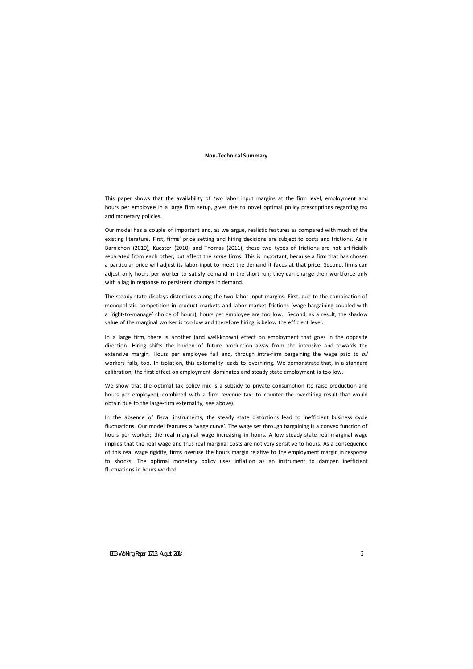#### **Non-Technical Summary**

This paper shows that the availability of *two* labor input margins at the firm level, employment and hours per employee in a large firm setup, gives rise to novel optimal policy prescriptions regarding tax and monetary policies.

Our model has a couple of important and, as we argue, realistic features as compared with much of the existing literature. First, firms' price setting and hiring decisions are subject to costs and frictions. As in Barnichon (2010), Kuester (2010) and Thomas (2011), these two types of frictions are not artificially separated from each other, but affect the *same* firms. This is important, because a firm that has chosen a particular price will adjust its labor input to meet the demand it faces at that price. Second, firms can adjust only hours per worker to satisfy demand in the short run; they can change their workforce only with a lag in response to persistent changes in demand.

The steady state displays distortions along the two labor input margins. First, due to the combination of monopolistic competition in product markets and labor market frictions (wage bargaining coupled with a 'right-to-manage' choice of hours), hours per employee are too low. Second, as a result, the shadow value of the marginal worker is too low and therefore hiring is below the efficient level.

In a large firm, there is another (and well-known) effect on employment that goes in the opposite direction. Hiring shifts the burden of future production away from the intensive and towards the extensive margin. Hours per employee fall and, through intra-firm bargaining the wage paid to *all* workers falls, too. In isolation, this externality leads to overhiring. We demonstrate that, in a standard calibration, the first effect on employment dominates and steady state employment is too low.

We show that the optimal tax policy mix is a subsidy to private consumption (to raise production and hours per employee), combined with a firm revenue tax (to counter the overhiring result that would obtain due to the large-firm externality, see above).

In the absence of fiscal instruments, the steady state distortions lead to inefficient business cycle fluctuations. Our model features a 'wage curve'. The wage set through bargaining is a convex function of hours per worker; the real marginal wage increasing in hours. A low steady-state real marginal wage implies that the real wage and thus real marginal costs are not very sensitive to hours. As a consequence of this real wage rigidity, firms overuse the hours margin relative to the employment margin in response to shocks. The optimal monetary policy uses inflation as an instrument to dampen inefficient fluctuations in hours worked.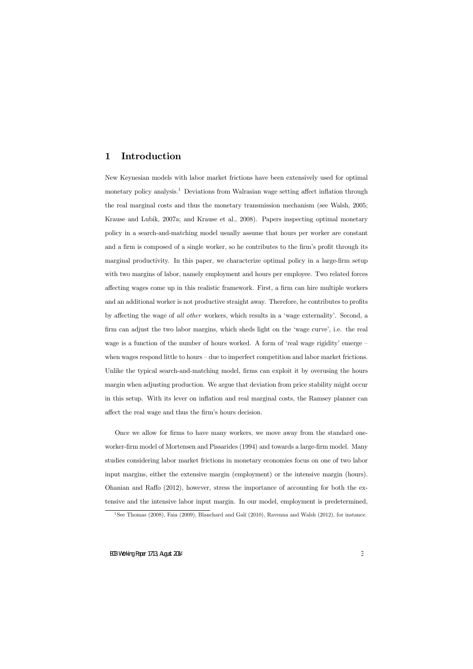## 1 Introduction

New Keynesian models with labor market frictions have been extensively used for optimal monetary policy analysis.<sup>1</sup> Deviations from Walrasian wage setting affect inflation through the real marginal costs and thus the monetary transmission mechanism (see Walsh, 2005; Krause and Lubik, 2007a; and Krause et al., 2008). Papers inspecting optimal monetary policy in a search-and-matching model usually assume that hours per worker are constant and a firm is composed of a single worker, so he contributes to the firm's profit through its marginal productivity. In this paper, we characterize optimal policy in a large-firm setup with two margins of labor, namely employment and hours per employee. Two related forces affecting wages come up in this realistic framework. First, a firm can hire multiple workers and an additional worker is not productive straight away. Therefore, he contributes to profits by affecting the wage of all other workers, which results in a 'wage externality'. Second, a firm can adjust the two labor margins, which sheds light on the 'wage curve', i.e. the real wage is a function of the number of hours worked. A form of 'real wage rigidity' emerge  $-\frac{1}{2}$ when wages respond little to hours  $-\text{due to imperfect competition and labor market frictions.}$ Unlike the typical search-and-matching model, firms can exploit it by overusing the hours margin when adjusting production. We argue that deviation from price stability might occur in this setup. With its lever on inflation and real marginal costs, the Ramsey planner can affect the real wage and thus the firm's hours decision.

Once we allow for firms to have many workers, we move away from the standard oneworker-firm model of Mortensen and Pissarides (1994) and towards a large-firm model. Many studies considering labor market frictions in monetary economies focus on one of two labor input margins, either the extensive margin (employment) or the intensive margin (hours). Ohanian and Raffo  $(2012)$ , however, stress the importance of accounting for both the extensive and the intensive labor input margin. In our model, employment is predetermined,

<sup>&</sup>lt;sup>1</sup>See Thomas (2008), Faia (2009), Blanchard and Galí (2010), Ravenna and Walsh (2012), for instance.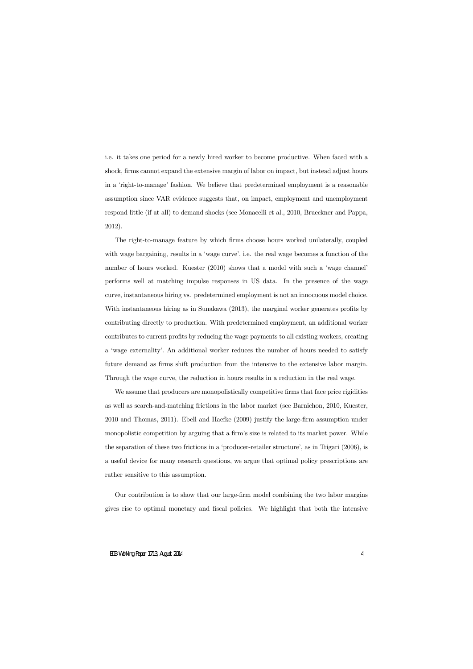i.e. it takes one period for a newly hired worker to become productive. When faced with a shock, firms cannot expand the extensive margin of labor on impact, but instead adjust hours in a ëright-to-manageí fashion. We believe that predetermined employment is a reasonable assumption since VAR evidence suggests that, on impact, employment and unemployment respond little (if at all) to demand shocks (see Monacelli et al., 2010, Brueckner and Pappa, 2012).

The right-to-manage feature by which firms choose hours worked unilaterally, coupled with wage bargaining, results in a 'wage curve', i.e. the real wage becomes a function of the number of hours worked. Kuester (2010) shows that a model with such a 'wage channel' performs well at matching impulse responses in US data. In the presence of the wage curve, instantaneous hiring vs. predetermined employment is not an innocuous model choice. With instantaneous hiring as in Sunakawa  $(2013)$ , the marginal worker generates profits by contributing directly to production. With predetermined employment, an additional worker contributes to current profits by reducing the wage payments to all existing workers, creating a 'wage externality'. An additional worker reduces the number of hours needed to satisfy future demand as firms shift production from the intensive to the extensive labor margin. Through the wage curve, the reduction in hours results in a reduction in the real wage.

We assume that producers are monopolistically competitive firms that face price rigidities as well as search-and-matching frictions in the labor market (see Barnichon, 2010, Kuester, 2010 and Thomas, 2011). Ebell and Haefke (2009) justify the large-firm assumption under monopolistic competition by arguing that a firm's size is related to its market power. While the separation of these two frictions in a 'producer-retailer structure', as in Trigari  $(2006)$ , is a useful device for many research questions, we argue that optimal policy prescriptions are rather sensitive to this assumption.

Our contribution is to show that our large-Örm model combining the two labor margins gives rise to optimal monetary and Öscal policies. We highlight that both the intensive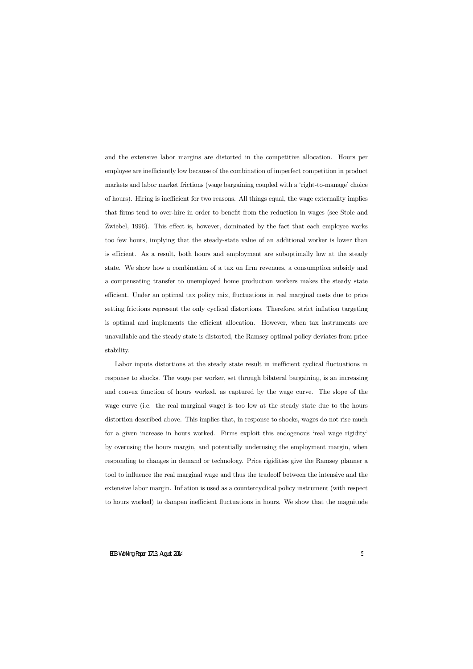and the extensive labor margins are distorted in the competitive allocation. Hours per employee are inefficiently low because of the combination of imperfect competition in product markets and labor market frictions (wage bargaining coupled with a 'right-to-manage' choice of hours). Hiring is inefficient for two reasons. All things equal, the wage externality implies that firms tend to over-hire in order to benefit from the reduction in wages (see Stole and Zwiebel, 1996). This effect is, however, dominated by the fact that each employee works too few hours, implying that the steady-state value of an additional worker is lower than is efficient. As a result, both hours and employment are suboptimally low at the steady state. We show how a combination of a tax on firm revenues, a consumption subsidy and a compensating transfer to unemployed home production workers makes the steady state efficient. Under an optimal tax policy mix, fluctuations in real marginal costs due to price setting frictions represent the only cyclical distortions. Therefore, strict inflation targeting is optimal and implements the efficient allocation. However, when tax instruments are unavailable and the steady state is distorted, the Ramsey optimal policy deviates from price stability.

Labor inputs distortions at the steady state result in inefficient cyclical fluctuations in response to shocks. The wage per worker, set through bilateral bargaining, is an increasing and convex function of hours worked, as captured by the wage curve. The slope of the wage curve (i.e. the real marginal wage) is too low at the steady state due to the hours distortion described above. This implies that, in response to shocks, wages do not rise much for a given increase in hours worked. Firms exploit this endogenous 'real wage rigidity' by overusing the hours margin, and potentially underusing the employment margin, when responding to changes in demand or technology. Price rigidities give the Ramsey planner a tool to influence the real marginal wage and thus the tradeoff between the intensive and the extensive labor margin. Inflation is used as a countercyclical policy instrument (with respect to hours worked) to dampen inefficient fluctuations in hours. We show that the magnitude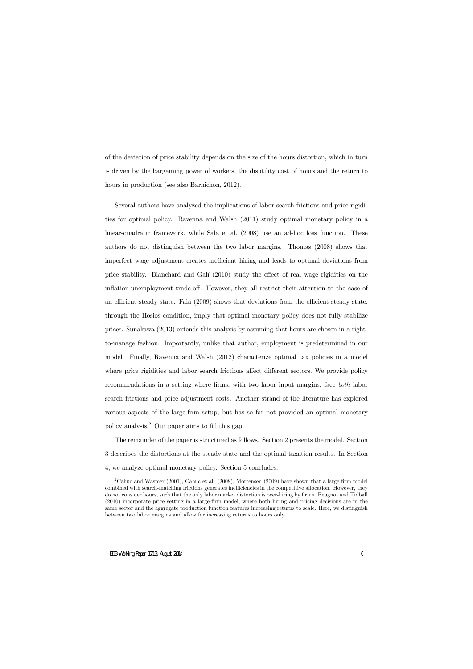of the deviation of price stability depends on the size of the hours distortion, which in turn is driven by the bargaining power of workers, the disutility cost of hours and the return to hours in production (see also Barnichon, 2012).

Several authors have analyzed the implications of labor search frictions and price rigidities for optimal policy. Ravenna and Walsh (2011) study optimal monetary policy in a linear-quadratic framework, while Sala et al. (2008) use an ad-hoc loss function. These authors do not distinguish between the two labor margins. Thomas (2008) shows that imperfect wage adjustment creates inefficient hiring and leads to optimal deviations from price stability. Blanchard and Galí  $(2010)$  study the effect of real wage rigidities on the inflation-unemployment trade-off. However, they all restrict their attention to the case of an efficient steady state. Faia (2009) shows that deviations from the efficient steady state, through the Hosios condition, imply that optimal monetary policy does not fully stabilize prices. Sunakawa (2013) extends this analysis by assuming that hours are chosen in a rightto-manage fashion. Importantly, unlike that author, employment is predetermined in our model. Finally, Ravenna and Walsh (2012) characterize optimal tax policies in a model where price rigidities and labor search frictions affect different sectors. We provide policy recommendations in a setting where firms, with two labor input margins, face both labor search frictions and price adjustment costs. Another strand of the literature has explored various aspects of the large-firm setup, but has so far not provided an optimal monetary policy analysis.<sup>2</sup> Our paper aims to fill this gap.

The remainder of the paper is structured as follows. Section 2 presents the model. Section 3 describes the distortions at the steady state and the optimal taxation results. In Section 4, we analyze optimal monetary policy. Section 5 concludes.

 $2^2$ Cahuc and Wasmer (2001), Cahuc et al. (2008), Mortensen (2009) have shown that a large-firm model combined with search-matching frictions generates inefficiencies in the competitive allocation. However, they do not consider hours, such that the only labor market distortion is over-hiring by firms. Beugnot and Tidball (2010) incorporate price setting in a large-Örm model, where both hiring and pricing decisions are in the same sector and the aggregate production function features increasing returns to scale. Here, we distinguish between two labor margins and allow for increasing returns to hours only.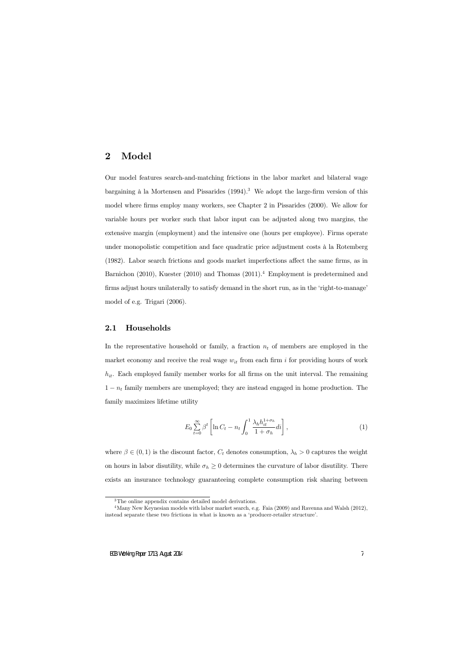## 2 Model

Our model features search-and-matching frictions in the labor market and bilateral wage bargaining  $\hat{a}$  la Mortensen and Pissarides (1994).<sup>3</sup> We adopt the large-firm version of this model where firms employ many workers, see Chapter 2 in Pissarides (2000). We allow for variable hours per worker such that labor input can be adjusted along two margins, the extensive margin (employment) and the intensive one (hours per employee). Firms operate under monopolistic competition and face quadratic price adjustment costs à la Rotemberg  $(1982)$ . Labor search frictions and goods market imperfections affect the same firms, as in Barnichon (2010), Kuester (2010) and Thomas (2011).<sup>4</sup> Employment is predetermined and firms adjust hours unilaterally to satisfy demand in the short run, as in the 'right-to-manage' model of e.g. Trigari (2006).

## 2.1 Households

In the representative household or family, a fraction  $n_t$  of members are employed in the market economy and receive the real wage  $w_{it}$  from each firm i for providing hours of work  $h_{it}$ . Each employed family member works for all firms on the unit interval. The remaining  $1 - n_t$  family members are unemployed; they are instead engaged in home production. The family maximizes lifetime utility

$$
E_0 \sum_{t=0}^{\infty} \beta^t \left[ \ln C_t - n_t \int_0^1 \frac{\lambda_h h_{it}^{1+\sigma_h}}{1+\sigma_h} dt \right],\tag{1}
$$

where  $\beta \in (0,1)$  is the discount factor,  $C_t$  denotes consumption,  $\lambda_h > 0$  captures the weight on hours in labor disutility, while  $\sigma_h \geq 0$  determines the curvature of labor disutility. There exists an insurance technology guaranteeing complete consumption risk sharing between

<sup>3</sup>The online appendix contains detailed model derivations.

<sup>&</sup>lt;sup>4</sup>Many New Keynesian models with labor market search, e.g. Faia (2009) and Ravenna and Walsh (2012), instead separate these two frictions in what is known as a 'producer-retailer structure'.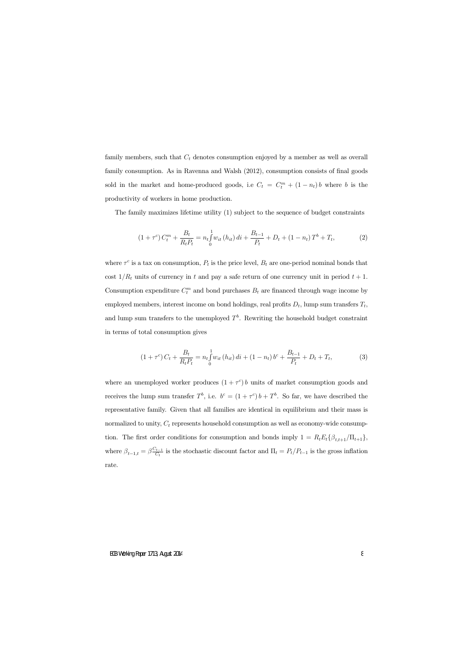family members, such that  $C_t$  denotes consumption enjoyed by a member as well as overall family consumption. As in Ravenna and Walsh (2012), consumption consists of final goods sold in the market and home-produced goods, i.e  $C_t = C_t^m + (1 - n_t)b$  where b is the productivity of workers in home production.

The family maximizes lifetime utility (1) subject to the sequence of budget constraints

$$
(1+\tau^c) C_t^m + \frac{B_t}{R_t P_t} = n_t \int_0^1 w_{it} (h_{it}) dt + \frac{B_{t-1}}{P_t} + D_t + (1-n_t) T^b + T_t,
$$
 (2)

where  $\tau^c$  is a tax on consumption,  $P_t$  is the price level,  $B_t$  are one-period nominal bonds that cost  $1/R_t$  units of currency in t and pay a safe return of one currency unit in period  $t + 1$ . Consumption expenditure  $C_t^m$  and bond purchases  $B_t$  are financed through wage income by employed members, interest income on bond holdings, real profits  $D_t$ , lump sum transfers  $T_t$ , and lump sum transfers to the unemployed  $T<sup>b</sup>$ . Rewriting the household budget constraint in terms of total consumption gives

$$
(1+\tau^c) C_t + \frac{B_t}{R_t P_t} = n_t \int_0^1 w_{it} (h_{it}) dt + (1-n_t) b^c + \frac{B_{t-1}}{P_t} + D_t + T_t,
$$
\n(3)

where an unemployed worker produces  $(1 + \tau^c) b$  units of market consumption goods and receives the lump sum transfer  $T^b$ , i.e.  $b^c = (1 + \tau^c) b + T^b$ . So far, we have described the representative family. Given that all families are identical in equilibrium and their mass is normalized to unity,  $C_t$  represents household consumption as well as economy-wide consumption. The first order conditions for consumption and bonds imply  $1 = R_t E_t \{\beta_{t,t+1}/\Pi_{t+1}\},\$ where  $\beta_{t-1,t} = \beta \frac{C_{t-1}}{C_t}$  is the stochastic discount factor and  $\Pi_t = P_t/P_{t-1}$  is the gross inflation rate.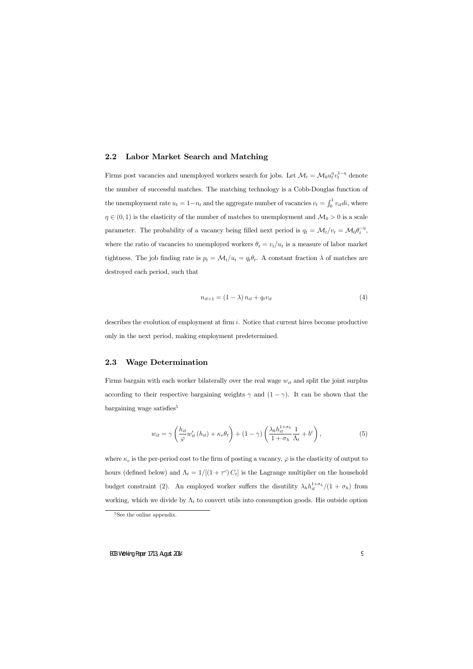## 2.2 Labor Market Search and Matching

Firms post vacancies and unemployed workers search for jobs. Let  $\mathcal{M}_t = \mathcal{M}_0 u_t^{\eta} v_t^{1-\eta}$  denote the number of successful matches. The matching technology is a Cobb-Douglas function of the unemployment rate  $u_t = 1 - n_t$  and the aggregate number of vacancies  $v_t = \int_0^1 v_{it} di$ , where  $\eta \in (0, 1)$  is the elasticity of the number of matches to unemployment and  $\mathcal{M}_0 > 0$  is a scale parameter. The probability of a vacancy being filled next period is  $q_t = \mathcal{M}_t/v_t = \mathcal{M}_0 \theta_t^{-\eta}$ , where the ratio of vacancies to unemployed workers  $\theta_t = v_t/u_t$  is a measure of labor market tightness. The job finding rate is  $p_t = \mathcal{M}_t/u_t = q_t \theta_t$ . A constant fraction  $\lambda$  of matches are destroyed each period, such that

$$
n_{it+1} = (1 - \lambda) n_{it} + q_t v_{it} \tag{4}
$$

describes the evolution of employment at firm  $i$ . Notice that current hires become productive only in the next period, making employment predetermined.

## 2.3 Wage Determination

Firms bargain with each worker bilaterally over the real wage  $w_{it}$  and split the joint surplus according to their respective bargaining weights  $\gamma$  and  $(1 - \gamma)$ . It can be shown that the bargaining wage satisfies<sup>5</sup>

$$
w_{it} = \gamma \left( \frac{h_{it}}{\varphi} w'_{it} (h_{it}) + \kappa_v \theta_t \right) + (1 - \gamma) \left( \frac{\lambda_h h_{it}^{1 + \sigma_h}}{1 + \sigma_h} \frac{1}{\Lambda_t} + b^c \right), \tag{5}
$$

where  $\kappa_v$  is the per-period cost to the firm of posting a vacancy,  $\varphi$  is the elasticity of output to hours (defined below) and  $\Lambda_t = 1/[(1 + \tau^c) C_t]$  is the Lagrange multiplier on the household budget constraint (2). An employed worker suffers the disutility  $\lambda_h h_{it}^{1+\sigma_h}/(1+\sigma_h)$  from working, which we divide by  $\Lambda_t$  to convert utils into consumption goods. His outside option

<sup>&</sup>lt;sup>5</sup>See the online appendix.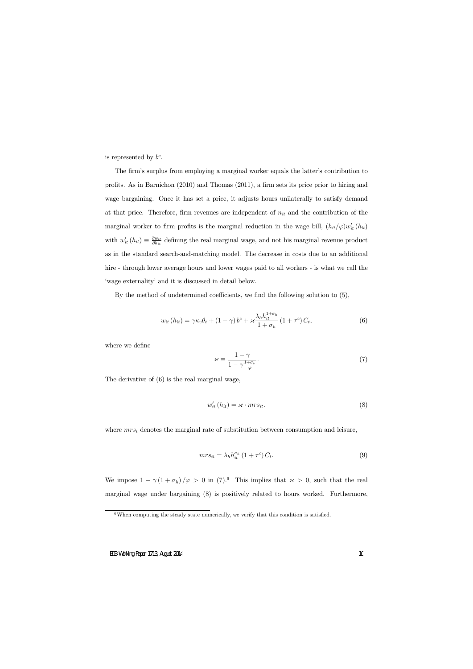is represented by  $b^c$ .

The firm's surplus from employing a marginal worker equals the latter's contribution to profits. As in Barnichon (2010) and Thomas (2011), a firm sets its price prior to hiring and wage bargaining. Once it has set a price, it adjusts hours unilaterally to satisfy demand at that price. Therefore, firm revenues are independent of  $n_{it}$  and the contribution of the marginal worker to firm profits is the marginal reduction in the wage bill,  $(h_{it}/\varphi)w'_{it}(h_{it})$ with  $w'_{it}(h_{it}) \equiv \frac{\partial w_{it}}{\partial h_{it}}$  $\frac{\partial w_{it}}{\partial h_{it}}$  defining the real marginal wage, and not his marginal revenue product as in the standard search-and-matching model. The decrease in costs due to an additional hire - through lower average hours and lower wages paid to all workers - is what we call the ëwage externalityíand it is discussed in detail below.

By the method of undetermined coefficients, we find the following solution to  $(5)$ ,

$$
w_{it}(h_{it}) = \gamma \kappa_v \theta_t + (1 - \gamma) b^c + \varkappa \frac{\lambda_h h_{it}^{1 + \sigma_h}}{1 + \sigma_h} (1 + \tau^c) C_t,
$$
\n
$$
(6)
$$

where we define

$$
\varkappa \equiv \frac{1 - \gamma}{1 - \gamma \frac{1 + \sigma_h}{\varphi}}.\tag{7}
$$

The derivative of (6) is the real marginal wage,

$$
w'_{it}(h_{it}) = \varkappa \cdot mrs_{it}.
$$
\n(8)

where  $mrs_t$  denotes the marginal rate of substitution between consumption and leisure,

$$
mrs_{it} = \lambda_h h_{it}^{\sigma_h} \left(1 + \tau^c\right) C_t.
$$
\n<sup>(9)</sup>

We impose  $1 - \gamma (1 + \sigma_h)/\varphi > 0$  in (7).<sup>6</sup> This implies that  $\varkappa > 0$ , such that the real marginal wage under bargaining (8) is positively related to hours worked. Furthermore,

 $6$ When computing the steady state numerically, we verify that this condition is satisfied.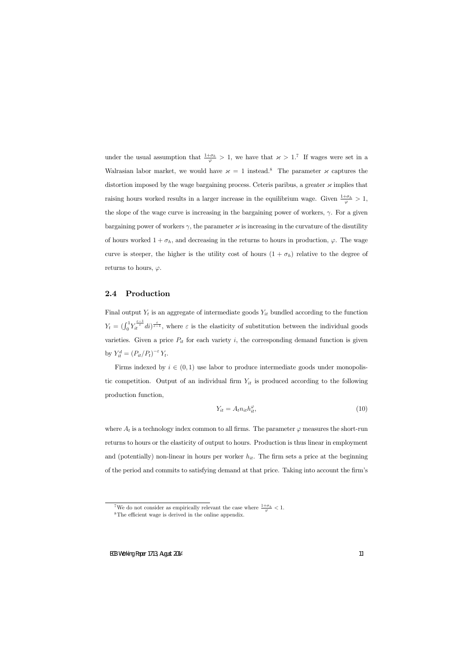under the usual assumption that  $\frac{1+\sigma_h}{\varphi} > 1$ , we have that  $\alpha > 1$ .<sup>7</sup> If wages were set in a Walrasian labor market, we would have  $x = 1$  instead.<sup>8</sup> The parameter  $x$  captures the distortion imposed by the wage bargaining process. Ceteris paribus, a greater  ${\mathscr \kappa}$  implies that raising hours worked results in a larger increase in the equilibrium wage. Given  $\frac{1+\sigma_h}{\varphi} > 1$ , the slope of the wage curve is increasing in the bargaining power of workers,  $\gamma$ . For a given bargaining power of workers  $\gamma$ , the parameter  ${\mathscr X}$  is increasing in the curvature of the disutility of hours worked  $1 + \sigma_h$ , and decreasing in the returns to hours in production,  $\varphi$ . The wage curve is steeper, the higher is the utility cost of hours  $(1 + \sigma_h)$  relative to the degree of returns to hours,  $\varphi$ .

## 2.4 Production

Final output  $Y_t$  is an aggregate of intermediate goods  $Y_{it}$  bundled according to the function  $Y_t = (\int_0^1 Y_{it}^{\frac{\varepsilon}{\varepsilon}} dt)^{\frac{\varepsilon}{\varepsilon-1}}$ , where  $\varepsilon$  is the elasticity of substitution between the individual goods varieties. Given a price  $P_{it}$  for each variety i, the corresponding demand function is given by  $Y_{it}^d = (P_{it}/P_t)^{-\varepsilon} Y_t$ .

Firms indexed by  $i \in (0, 1)$  use labor to produce intermediate goods under monopolistic competition. Output of an individual firm  $Y_{it}$  is produced according to the following production function,

$$
Y_{it} = A_t n_{it} h_{it}^{\varphi},\tag{10}
$$

where  $A_t$  is a technology index common to all firms. The parameter  $\varphi$  measures the short-run returns to hours or the elasticity of output to hours. Production is thus linear in employment and (potentially) non-linear in hours per worker  $h_{it}$ . The firm sets a price at the beginning of the period and commits to satisfying demand at that price. Taking into account the firm's

<sup>&</sup>lt;sup>7</sup>We do not consider as empirically relevant the case where  $\frac{1+\sigma_h}{\varphi} < 1$ .

 $8$ The efficient wage is derived in the online appendix.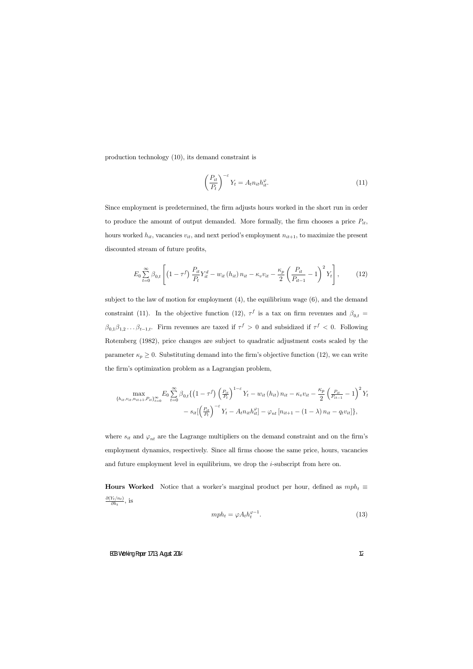production technology (10), its demand constraint is

$$
\left(\frac{P_{it}}{P_t}\right)^{-\varepsilon} Y_t = A_t n_{it} h_{it}^{\varphi}.
$$
\n(11)

Since employment is predetermined, the firm adjusts hours worked in the short run in order to produce the amount of output demanded. More formally, the firm chooses a price  $P_{it}$ , hours worked  $h_{it}$ , vacancies  $v_{it}$ , and next period's employment  $n_{it+1}$ , to maximize the present discounted stream of future profits,

$$
E_0 \sum_{t=0}^{\infty} \beta_{0,t} \left[ \left( 1 - \tau^f \right) \frac{P_{it}}{P_t} Y_{it}^d - w_{it} \left( h_{it} \right) n_{it} - \kappa_v v_{it} - \frac{\kappa_p}{2} \left( \frac{P_{it}}{P_{it-1}} - 1 \right)^2 Y_t \right],
$$
 (12)

subject to the law of motion for employment  $(4)$ , the equilibrium wage  $(6)$ , and the demand constraint (11). In the objective function (12),  $\tau^f$  is a tax on firm revenues and  $\beta_{0,t}$  =  $\beta_{0,1}\beta_{1,2}\dots\beta_{t-1,t}$ . Firm revenues are taxed if  $\tau^f > 0$  and subsidized if  $\tau^f < 0$ . Following Rotemberg (1982), price changes are subject to quadratic adjustment costs scaled by the parameter  $\kappa_p \geq 0$ . Substituting demand into the firm's objective function (12), we can write the firm's optimization problem as a Lagrangian problem,

$$
\max_{\{h_{it}, v_{it}, n_{it+1}, P_{it}\}_{t=0}^{\infty}} E_0 \sum_{t=0}^{\infty} \beta_{0,t} \{ (1 - \tau^f) \left( \frac{P_{it}}{P_t} \right)^{1-\varepsilon} Y_t - w_{it} (h_{it}) n_{it} - \kappa_v v_{it} - \frac{\kappa_p}{2} \left( \frac{P_{it}}{P_{it-1}} - 1 \right)^2 Y_t - s_{it} \left[ \left( \frac{P_{it}}{P_t} \right)^{-\varepsilon} Y_t - A_t n_{it} h_{it}^{\varphi} \right] - \varphi_{nt} [n_{it+1} - (1 - \lambda) n_{it} - q_t v_{it}] \},
$$

where  $s_{it}$  and  $\varphi_{nt}$  are the Lagrange multipliers on the demand constraint and on the firm's employment dynamics, respectively. Since all firms choose the same price, hours, vacancies and future employment level in equilibrium, we drop the i-subscript from here on.

**Hours Worked** Notice that a worker's marginal product per hour, defined as  $mph_t \equiv$  $\partial(Y_t/n_t)$  $\frac{r_t/n_t}{\partial h_t}$ , is

$$
mph_t = \varphi A_t h_t^{\varphi - 1}.
$$
\n(13)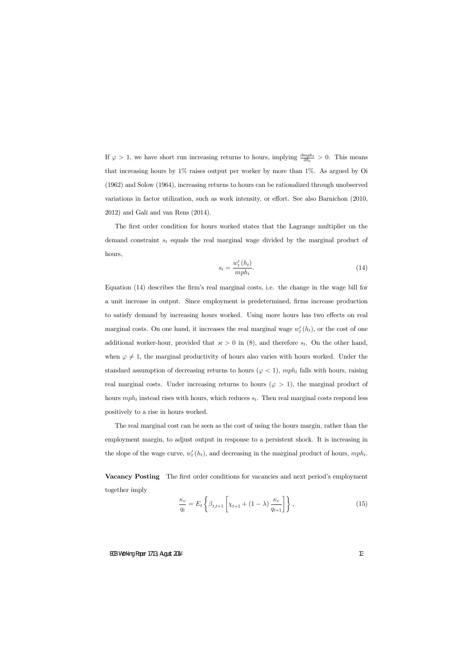If  $\varphi > 1$ , we have short run increasing returns to hours, implying  $\frac{\partial mph_t}{\partial h_t} > 0$ . This means that increasing hours by  $1\%$  raises output per worker by more than  $1\%$ . As argued by Oi (1962) and Solow (1964), increasing returns to hours can be rationalized through unobserved variations in factor utilization, such as work intensity, or effort. See also Barnichon  $(2010,$  $2012$ ) and Galí and van Rens  $(2014)$ .

The first order condition for hours worked states that the Lagrange multiplier on the demand constraint  $s_t$  equals the real marginal wage divided by the marginal product of hours,

$$
s_t = \frac{w'_t(h_t)}{mph_t}.\tag{14}
$$

Equation (14) describes the firm's real marginal costs, i.e. the change in the wage bill for a unit increase in output. Since employment is predetermined, firms increase production to satisfy demand by increasing hours worked. Using more hours has two effects on real marginal costs. On one hand, it increases the real marginal wage  $w'_t(h_t)$ , or the cost of one additional worker-hour, provided that  $\alpha > 0$  in (8), and therefore  $s_t$ . On the other hand, when  $\varphi \neq 1$ , the marginal productivity of hours also varies with hours worked. Under the standard assumption of decreasing returns to hours ( $\varphi$  < 1), mph<sub>t</sub> falls with hours, raising real marginal costs. Under increasing returns to hours ( $\varphi > 1$ ), the marginal product of hours  $mph_t$  instead rises with hours, which reduces  $s_t$ . Then real marginal costs respond less positively to a rise in hours worked.

The real marginal cost can be seen as the cost of using the hours margin, rather than the employment margin, to adjust output in response to a persistent shock. It is increasing in the slope of the wage curve,  $w'_t(h_t)$ , and decreasing in the marginal product of hours,  $mph_t$ .

Vacancy Posting The first order conditions for vacancies and next period's employment together imply

$$
\frac{\kappa_v}{q_t} = E_t \left\{ \beta_{t,t+1} \left[ \chi_{t+1} + (1-\lambda) \frac{\kappa_v}{q_{t+1}} \right] \right\},\tag{15}
$$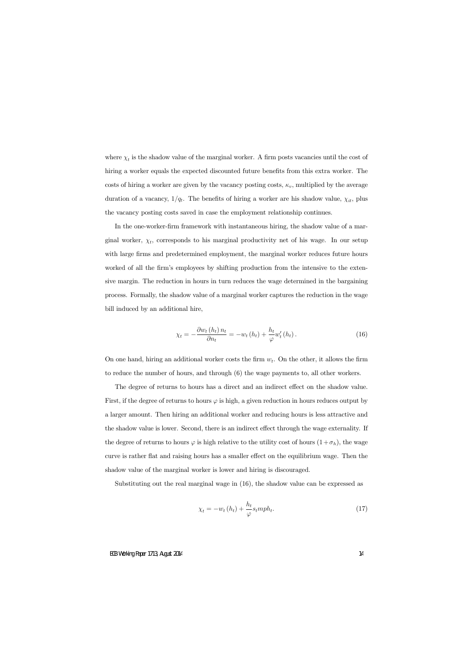where  $\chi_t$  is the shadow value of the marginal worker. A firm posts vacancies until the cost of hiring a worker equals the expected discounted future benefits from this extra worker. The costs of hiring a worker are given by the vacancy posting costs,  $\kappa_v$ , multiplied by the average duration of a vacancy,  $1/q_t$ . The benefits of hiring a worker are his shadow value,  $\chi_{it}$ , plus the vacancy posting costs saved in case the employment relationship continues.

In the one-worker-Örm framework with instantaneous hiring, the shadow value of a marginal worker,  $\chi_t$ , corresponds to his marginal productivity net of his wage. In our setup with large firms and predetermined employment, the marginal worker reduces future hours worked of all the firm's employees by shifting production from the intensive to the extensive margin. The reduction in hours in turn reduces the wage determined in the bargaining process. Formally, the shadow value of a marginal worker captures the reduction in the wage bill induced by an additional hire,

$$
\chi_t = -\frac{\partial w_t(h_t) n_t}{\partial n_t} = -w_t(h_t) + \frac{h_t}{\varphi} w'_t(h_t).
$$
\n(16)

On one hand, hiring an additional worker costs the firm  $w_t$ . On the other, it allows the firm to reduce the number of hours, and through (6) the wage payments to, all other workers.

The degree of returns to hours has a direct and an indirect effect on the shadow value. First, if the degree of returns to hours  $\varphi$  is high, a given reduction in hours reduces output by a larger amount. Then hiring an additional worker and reducing hours is less attractive and the shadow value is lower. Second, there is an indirect effect through the wage externality. If the degree of returns to hours  $\varphi$  is high relative to the utility cost of hours  $(1+\sigma_h)$ , the wage curve is rather flat and raising hours has a smaller effect on the equilibrium wage. Then the shadow value of the marginal worker is lower and hiring is discouraged.

Substituting out the real marginal wage in (16), the shadow value can be expressed as

$$
\chi_t = -w_t(h_t) + \frac{h_t}{\varphi} \sin ph_t. \tag{17}
$$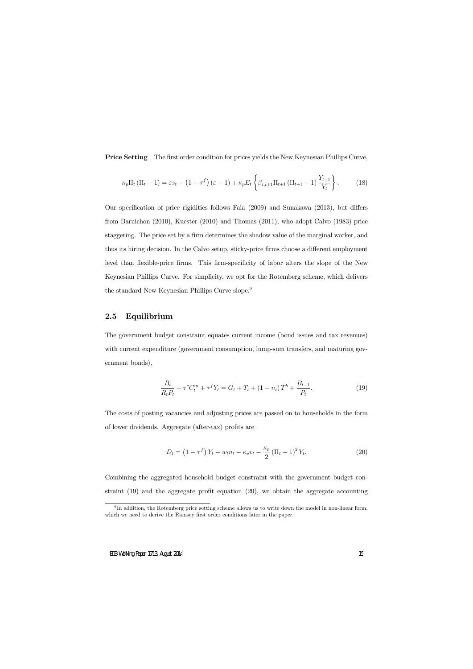**Price Setting** The first order condition for prices yields the New Keynesian Phillips Curve,

$$
\kappa_p \Pi_t (\Pi_t - 1) = \varepsilon s_t - (1 - \tau^f) (\varepsilon - 1) + \kappa_p E_t \left\{ \beta_{t,t+1} \Pi_{t+1} (\Pi_{t+1} - 1) \frac{Y_{t+1}}{Y_t} \right\}.
$$
 (18)

Our specification of price rigidities follows Faia  $(2009)$  and Sunakawa  $(2013)$ , but differs from Barnichon (2010), Kuester (2010) and Thomas (2011), who adopt Calvo (1983) price staggering. The price set by a firm determines the shadow value of the marginal worker, and thus its hiring decision. In the Calvo setup, sticky-price firms choose a different employment level than flexible-price firms. This firm-specificity of labor alters the slope of the New Keynesian Phillips Curve. For simplicity, we opt for the Rotemberg scheme, which delivers the standard New Keynesian Phillips Curve slope.<sup>9</sup>

## 2.5 Equilibrium

The government budget constraint equates current income (bond issues and tax revenues) with current expenditure (government consumption, lump-sum transfers, and maturing government bonds),

$$
\frac{B_t}{R_t P_t} + \tau^c C_t^m + \tau^f Y_t = G_t + T_t + (1 - n_t) T^b + \frac{B_{t-1}}{P_t}.
$$
\n(19)

The costs of posting vacancies and adjusting prices are passed on to households in the form of lower dividends. Aggregate (after-tax) profits are

$$
D_t = \left(1 - \tau^f\right)Y_t - w_t n_t - \kappa_v v_t - \frac{\kappa_p}{2} \left(\Pi_t - 1\right)^2 Y_t.
$$
 (20)

Combining the aggregated household budget constraint with the government budget constraint  $(19)$  and the aggregate profit equation  $(20)$ , we obtain the aggregate accounting

<sup>&</sup>lt;sup>9</sup>In addition, the Rotemberg price setting scheme allows us to write down the model in non-linear form, which we need to derive the Ramsey first order conditions later in the paper.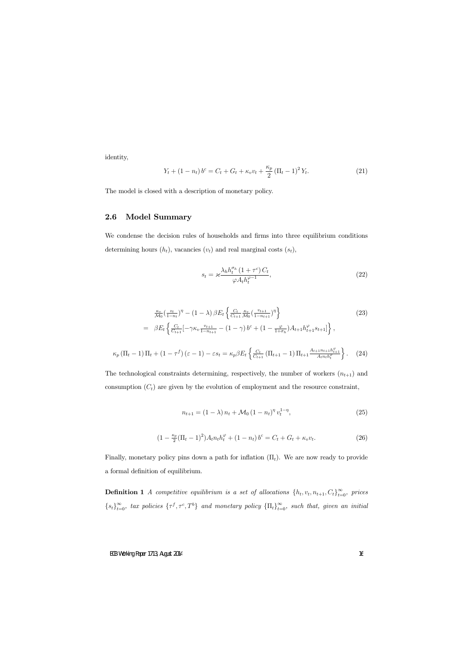identity,

$$
Y_t + (1 - n_t) b^c = C_t + G_t + \kappa_v v_t + \frac{\kappa_p}{2} (\Pi_t - 1)^2 Y_t.
$$
 (21)

The model is closed with a description of monetary policy.

## 2.6 Model Summary

We condense the decision rules of households and firms into three equilibrium conditions determining hours  $(h_t)$ , vacancies  $(v_t)$  and real marginal costs  $(s_t)$ ,

$$
s_t = \varkappa \frac{\lambda_h h_t^{\sigma_h} (1 + \tau^c) C_t}{\varphi A_t h_t^{\varphi - 1}},
$$
\n(22)

$$
\frac{\kappa_v}{\mathcal{M}_0} \left( \frac{v_t}{1 - n_t} \right)^{\eta} - (1 - \lambda) \beta E_t \left\{ \frac{C_t}{C_{t+1}} \frac{\kappa_v}{\mathcal{M}_0} \left( \frac{v_{t+1}}{1 - n_{t+1}} \right)^{\eta} \right\} \n= \beta E_t \left\{ \frac{C_t}{C_{t+1}} \left[ -\gamma \kappa_v \frac{v_{t+1}}{1 - n_{t+1}} - (1 - \gamma) b^c + (1 - \frac{\varphi}{1 + \sigma_h}) A_{t+1} h_{t+1}^{\varphi} s_{t+1} \right] \right\},
$$
\n(23)

$$
\kappa_p \left( \Pi_t - 1 \right) \Pi_t + \left( 1 - \tau^f \right) \left( \varepsilon - 1 \right) - \varepsilon s_t = \kappa_p \beta E_t \left\{ \frac{C_t}{C_{t+1}} \left( \Pi_{t+1} - 1 \right) \Pi_{t+1} \frac{A_{t+1} n_{t+1} h_{t+1}^{\varphi}}{A_t n_t h_t^{\varphi}} \right\}.
$$
 (24)

The technological constraints determining, respectively, the number of workers  $(n_{t+1})$  and consumption  $(C_t)$  are given by the evolution of employment and the resource constraint,

$$
n_{t+1} = (1 - \lambda) n_t + \mathcal{M}_0 (1 - n_t)^{\eta} v_t^{1 - \eta}, \tag{25}
$$

$$
(1 - \frac{\kappa_p}{2}(\Pi_t - 1)^2)A_t n_t h_t^{\varphi} + (1 - n_t) b^c = C_t + G_t + \kappa_v v_t.
$$
 (26)

Finally, monetary policy pins down a path for inflation  $(\Pi_t)$ . We are now ready to provide a formal definition of equilibrium.

**Definition 1** A competitive equilibrium is a set of allocations  $\{h_t, v_t, n_{t+1}, C_t\}_{t=0}^{\infty}$ , prices  $\{s_t\}_{t=0}^{\infty}$ , tax policies  $\{\tau^f, \tau^c, T^b\}$  and monetary policy  $\{\Pi_t\}_{t=0}^{\infty}$ , such that, given an initial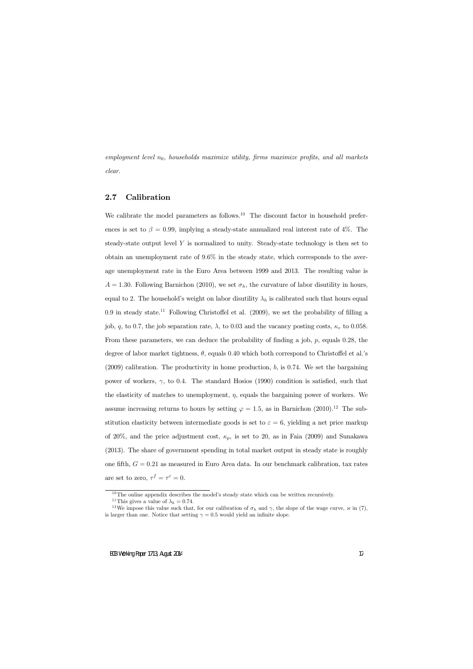employment level  $n_0$ , households maximize utility, firms maximize profits, and all markets clear.

## 2.7 Calibration

We calibrate the model parameters as follows.<sup>10</sup> The discount factor in household preferences is set to  $\beta = 0.99$ , implying a steady-state annualized real interest rate of 4%. The steady-state output level  $Y$  is normalized to unity. Steady-state technology is then set to obtain an unemployment rate of 9:6% in the steady state, which corresponds to the average unemployment rate in the Euro Area between 1999 and 2013. The resulting value is  $A = 1.30$ . Following Barnichon (2010), we set  $\sigma_h$ , the curvature of labor disutility in hours, equal to 2. The household's weight on labor disutility  $\lambda_h$  is calibrated such that hours equal 0.9 in steady state.<sup>11</sup> Following Christoffel et al.  $(2009)$ , we set the probability of filling a job, q, to 0.7, the job separation rate,  $\lambda$ , to 0.03 and the vacancy posting costs,  $\kappa_v$  to 0.058. From these parameters, we can deduce the probability of finding a job,  $p$ , equals 0.28, the degree of labor market tightness,  $\theta$ , equals 0.40 which both correspond to Christoffel et al. s  $(2009)$  calibration. The productivity in home production, b, is 0.74. We set the bargaining power of workers,  $\gamma$ , to 0.4. The standard Hosios (1990) condition is satisfied, such that the elasticity of matches to unemployment,  $\eta$ , equals the bargaining power of workers. We assume increasing returns to hours by setting  $\varphi = 1.5$ , as in Barnichon (2010).<sup>12</sup> The substitution elasticity between intermediate goods is set to  $\varepsilon = 6$ , yielding a net price markup of 20%, and the price adjustment cost,  $\kappa_p$ , is set to 20, as in Faia (2009) and Sunakawa (2013). The share of government spending in total market output in steady state is roughly one fifth,  $G = 0.21$  as measured in Euro Area data. In our benchmark calibration, tax rates are set to zero,  $\tau^f = \tau^c = 0$ .

 $10$ The online appendix describes the model's steady state which can be written recursively.

<sup>&</sup>lt;sup>11</sup>This gives a value of  $\lambda_h = 0.74$ .

<sup>&</sup>lt;sup>12</sup>We impose this value such that, for our calibration of  $\sigma_h$  and  $\gamma$ , the slope of the wage curve,  $\times$  in (7), is larger than one. Notice that setting  $\gamma = 0.5$  would yield an infinite slope.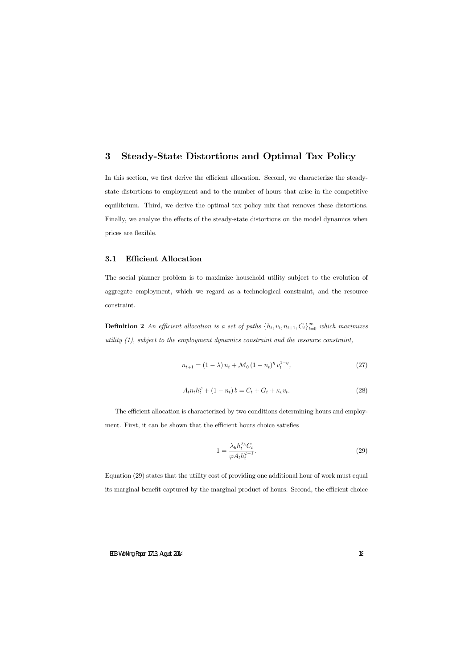## 3 Steady-State Distortions and Optimal Tax Policy

In this section, we first derive the efficient allocation. Second, we characterize the steadystate distortions to employment and to the number of hours that arise in the competitive equilibrium. Third, we derive the optimal tax policy mix that removes these distortions. Finally, we analyze the effects of the steady-state distortions on the model dynamics when prices are flexible.

## 3.1 Efficient Allocation

The social planner problem is to maximize household utility subject to the evolution of aggregate employment, which we regard as a technological constraint, and the resource constraint.

**Definition 2** An efficient allocation is a set of paths  $\{h_t, v_t, n_{t+1}, C_t\}_{t=0}^{\infty}$  which maximizes utility  $(1)$ , subject to the employment dynamics constraint and the resource constraint,

$$
n_{t+1} = (1 - \lambda) n_t + \mathcal{M}_0 (1 - n_t)^{\eta} v_t^{1 - \eta}, \tag{27}
$$

$$
A_t n_t h_t^{\varphi} + (1 - n_t) b = C_t + G_t + \kappa_v v_t.
$$
\n
$$
(28)
$$

The efficient allocation is characterized by two conditions determining hours and employment. First, it can be shown that the efficient hours choice satisfies

$$
1 = \frac{\lambda_h h_t^{\sigma_h} C_t}{\varphi A_t h_t^{\varphi - 1}}.\tag{29}
$$

Equation (29) states that the utility cost of providing one additional hour of work must equal its marginal benefit captured by the marginal product of hours. Second, the efficient choice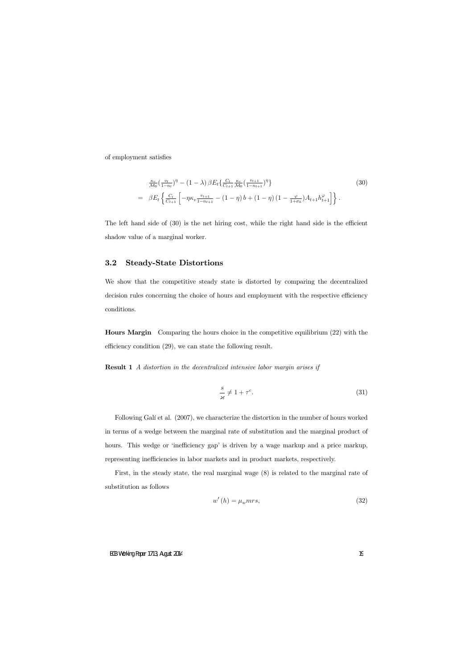of employment satisfies

$$
\frac{\kappa_v}{\mathcal{M}_0} \left( \frac{v_t}{1 - n_t} \right)^{\eta} - (1 - \lambda) \beta E_t \left\{ \frac{C_t}{C_{t+1}} \frac{\kappa_v}{\mathcal{M}_0} \left( \frac{v_{t+1}}{1 - n_{t+1}} \right)^{\eta} \right\} \n= \beta E_t \left\{ \frac{C_t}{C_{t+1}} \left[ -\eta \kappa_v \frac{v_{t+1}}{1 - n_{t+1}} - (1 - \eta) b + (1 - \eta) (1 - \frac{\varphi}{1 + \sigma_h}) A_{t+1} h_{t+1}^{\varphi} \right] \right\}.
$$
\n(30)

The left hand side of  $(30)$  is the net hiring cost, while the right hand side is the efficient shadow value of a marginal worker.

## 3.2 Steady-State Distortions

We show that the competitive steady state is distorted by comparing the decentralized decision rules concerning the choice of hours and employment with the respective efficiency conditions.

Hours Margin Comparing the hours choice in the competitive equilibrium (22) with the efficiency condition  $(29)$ , we can state the following result.

**Result 1** A distortion in the decentralized intensive labor margin arises if

$$
\frac{s}{\varkappa} \neq 1 + \tau^c. \tag{31}
$$

Following Galí et al. (2007), we characterize the distortion in the number of hours worked in terms of a wedge between the marginal rate of substitution and the marginal product of hours. This wedge or 'inefficiency gap' is driven by a wage markup and a price markup, representing inefficiencies in labor markets and in product markets, respectively.

First, in the steady state, the real marginal wage (8) is related to the marginal rate of substitution as follows

$$
w'(h) = \mu_w mrs,\tag{32}
$$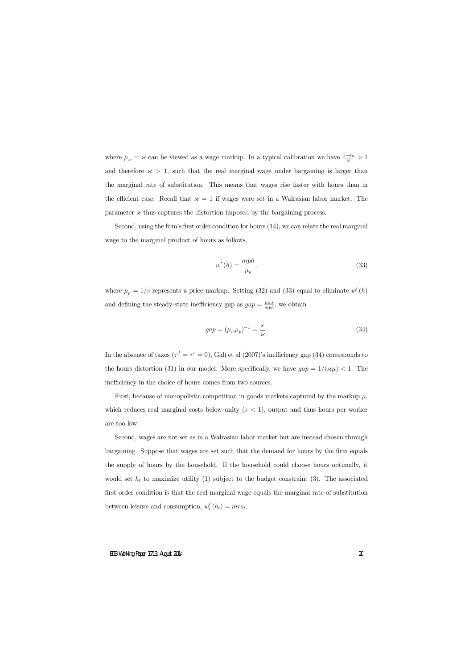where  $\mu_w = \varkappa$  can be viewed as a wage markup. In a typical calibration we have  $\frac{1+\sigma_h}{\varphi} > 1$ and therefore  $\times$  > 1, such that the real marginal wage under bargaining is larger than the marginal rate of substitution. This means that wages rise faster with hours than in the efficient case. Recall that  $x = 1$  if wages were set in a Walrasian labor market. The parameter  ${\mathscr A}$  thus captures the distortion imposed by the bargaining process.

Second, using the firm's first order condition for hours  $(14)$ , we can relate the real marginal wage to the marginal product of hours as follows,

$$
w'(h) = \frac{mph}{\mu_p},\tag{33}
$$

where  $\mu_p = 1/s$  represents a price markup. Setting (32) and (33) equal to eliminate  $w'(h)$ and defining the steady-state inefficiency gap as  $gap = \frac{mrs}{mph}$ , we obtain

$$
gap = (\mu_w \mu_p)^{-1} = \frac{s}{\varkappa}.
$$
\n
$$
(34)
$$

In the absence of taxes  $(\tau^f = \tau^c = 0)$ , Galí et al (2007)'s inefficiency gap (34) corresponds to the hours distortion (31) in our model. More specifically, we have  $gap = 1/({\varkappa \mu}) < 1$ . The inefficiency in the choice of hours comes from two sources.

First, because of monopolistic competition in goods markets captured by the markup  $\mu$ , which reduces real marginal costs below unity  $(s < 1)$ , output and thus hours per worker are too low.

Second, wages are not set as in a Walrasian labor market but are instead chosen through bargaining. Suppose that wages are set such that the demand for hours by the Örm equals the supply of hours by the household. If the household could choose hours optimally, it would set  $h_t$  to maximize utility (1) subject to the budget constraint (3). The associated first order condition is that the real marginal wage equals the marginal rate of substitution between leisure and consumption,  $w'_t(h_t) = mrs_t$ .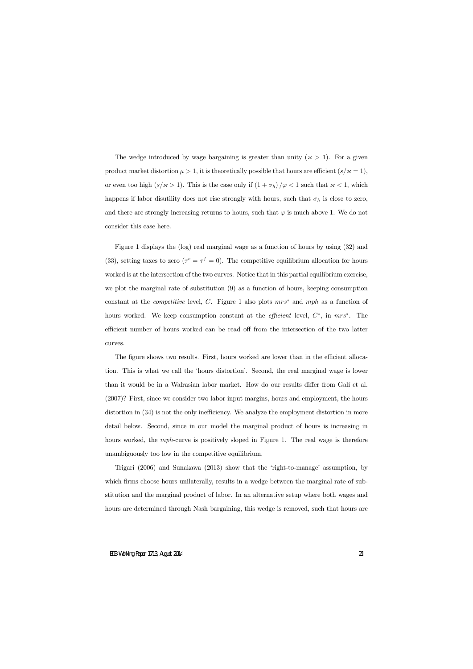The wedge introduced by wage bargaining is greater than unity  $({\varkappa} > 1)$ . For a given product market distortion  $\mu > 1$ , it is theoretically possible that hours are efficient  $(s/\varkappa = 1)$ , or even too high  $(s/\varkappa > 1)$ . This is the case only if  $(1 + \sigma_h)/\varphi < 1$  such that  $\varkappa < 1$ , which happens if labor disutility does not rise strongly with hours, such that  $\sigma_h$  is close to zero, and there are strongly increasing returns to hours, such that  $\varphi$  is much above 1. We do not consider this case here.

Figure 1 displays the (log) real marginal wage as a function of hours by using (32) and (33), setting taxes to zero  $(\tau^c = \tau^f = 0)$ . The competitive equilibrium allocation for hours worked is at the intersection of the two curves. Notice that in this partial equilibrium exercise, we plot the marginal rate of substitution (9) as a function of hours, keeping consumption constant at the *competitive* level, C. Figure 1 also plots  $mrs^*$  and  $mph$  as a function of hours worked. We keep consumption constant at the *efficient* level,  $C^*$ , in  $mrs^*$ . The efficient number of hours worked can be read off from the intersection of the two latter curves.

The figure shows two results. First, hours worked are lower than in the efficient allocation. This is what we call the 'hours distortion'. Second, the real marginal wage is lower than it would be in a Walrasian labor market. How do our results differ from Galí et al. (2007)? First, since we consider two labor input margins, hours and employment, the hours distortion in  $(34)$  is not the only inefficiency. We analyze the employment distortion in more detail below. Second, since in our model the marginal product of hours is increasing in hours worked, the mph-curve is positively sloped in Figure 1. The real wage is therefore unambiguously too low in the competitive equilibrium.

Trigari  $(2006)$  and Sunakawa  $(2013)$  show that the 'right-to-manage' assumption, by which firms choose hours unilaterally, results in a wedge between the marginal rate of substitution and the marginal product of labor. In an alternative setup where both wages and hours are determined through Nash bargaining, this wedge is removed, such that hours are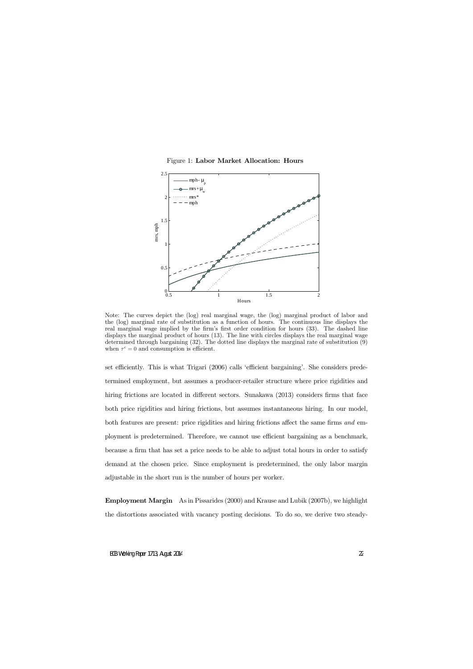Figure 1: Labor Market Allocation: Hours



Note: The curves depict the (log) real marginal wage, the (log) marginal product of labor and the (log) marginal rate of substitution as a function of hours. The continuous line displays the real marginal wage implied by the firm's first order condition for hours (33). The dashed line displays the marginal product of hours (13). The line with circles displays the real marginal wage determined through bargaining (32). The dotted line displays the marginal rate of substitution (9) when  $\tau^c = 0$  and consumption is efficient.

set efficiently. This is what Trigari (2006) calls 'efficient bargaining'. She considers predetermined employment, but assumes a producer-retailer structure where price rigidities and hiring frictions are located in different sectors. Sunakawa  $(2013)$  considers firms that face both price rigidities and hiring frictions, but assumes instantaneous hiring. In our model, both features are present: price rigidities and hiring frictions affect the same firms and employment is predetermined. Therefore, we cannot use efficient bargaining as a benchmark, because a firm that has set a price needs to be able to adjust total hours in order to satisfy demand at the chosen price. Since employment is predetermined, the only labor margin adjustable in the short run is the number of hours per worker.

Employment Margin As in Pissarides (2000) and Krause and Lubik (2007b), we highlight the distortions associated with vacancy posting decisions. To do so, we derive two steady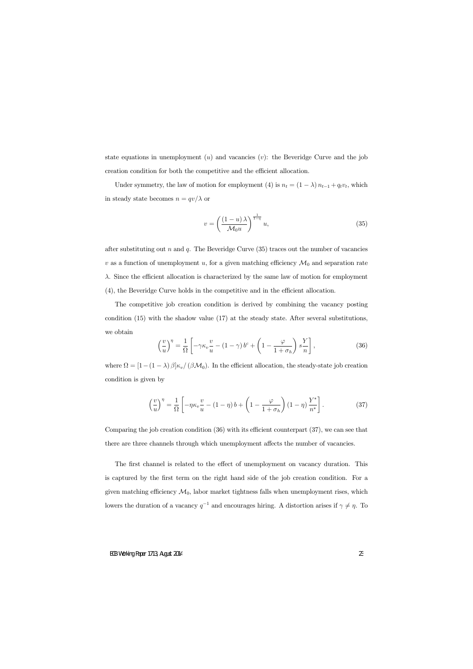state equations in unemployment  $(u)$  and vacancies  $(v)$ : the Beveridge Curve and the job creation condition for both the competitive and the efficient allocation.

Under symmetry, the law of motion for employment (4) is  $n_t = (1 - \lambda) n_{t-1} + q_t v_t$ , which in steady state becomes  $n = qv/\lambda$  or

$$
v = \left(\frac{(1-u)\lambda}{\mathcal{M}_0 u}\right)^{\frac{1}{1-\eta}} u,
$$
\n(35)

after substituting out n and q. The Beveridge Curve  $(35)$  traces out the number of vacancies v as a function of unemployment u, for a given matching efficiency  $\mathcal{M}_0$  and separation rate  $\lambda$ . Since the efficient allocation is characterized by the same law of motion for employment  $(4)$ , the Beveridge Curve holds in the competitive and in the efficient allocation.

The competitive job creation condition is derived by combining the vacancy posting condition (15) with the shadow value (17) at the steady state. After several substitutions, we obtain

$$
\left(\frac{v}{u}\right)^{\eta} = \frac{1}{\Omega} \left[ -\gamma \kappa_v \frac{v}{u} - (1 - \gamma) b^c + \left(1 - \frac{\varphi}{1 + \sigma_h}\right) s \frac{Y}{n} \right],\tag{36}
$$

where  $\Omega = [1 - (1 - \lambda) \beta] \kappa_v / (\beta \mathcal{M}_0)$ . In the efficient allocation, the steady-state job creation condition is given by

$$
\left(\frac{v}{u}\right)^{\eta} = \frac{1}{\Omega} \left[ -\eta \kappa_v \frac{v}{u} - (1 - \eta) b + \left(1 - \frac{\varphi}{1 + \sigma_h}\right) (1 - \eta) \frac{Y^*}{n^*} \right].
$$
 (37)

Comparing the job creation condition  $(36)$  with its efficient counterpart  $(37)$ , we can see that there are three channels through which unemployment affects the number of vacancies.

The first channel is related to the effect of unemployment on vacancy duration. This is captured by the first term on the right hand side of the job creation condition. For a given matching efficiency  $\mathcal{M}_0$ , labor market tightness falls when unemployment rises, which lowers the duration of a vacancy  $q^{-1}$  and encourages hiring. A distortion arises if  $\gamma \neq \eta$ . To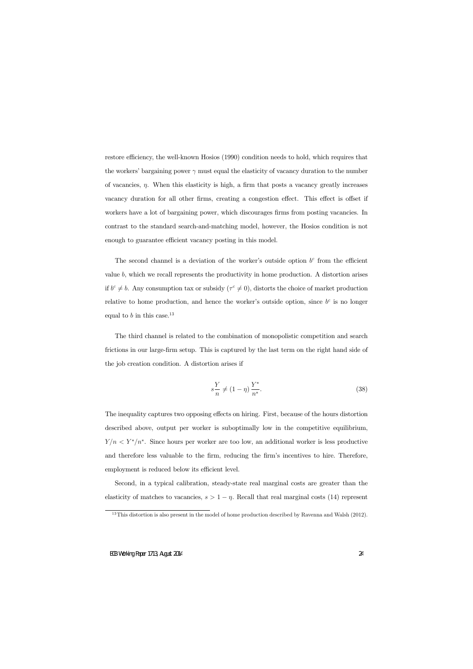restore efficiency, the well-known Hosios (1990) condition needs to hold, which requires that the workers' bargaining power  $\gamma$  must equal the elasticity of vacancy duration to the number of vacancies,  $\eta$ . When this elasticity is high, a firm that posts a vacancy greatly increases vacancy duration for all other firms, creating a congestion effect. This effect is offset if workers have a lot of bargaining power, which discourages firms from posting vacancies. In contrast to the standard search-and-matching model, however, the Hosios condition is not enough to guarantee efficient vacancy posting in this model.

The second channel is a deviation of the worker's outside option  $b<sup>c</sup>$  from the efficient value  $b$ , which we recall represents the productivity in home production. A distortion arises if  $b^c \neq b$ . Any consumption tax or subsidy  $(\tau^c \neq 0)$ , distorts the choice of market production relative to home production, and hence the worker's outside option, since  $b^c$  is no longer equal to b in this case.<sup>13</sup>

The third channel is related to the combination of monopolistic competition and search frictions in our large-firm setup. This is captured by the last term on the right hand side of the job creation condition. A distortion arises if

$$
s\frac{Y}{n} \neq (1-\eta)\frac{Y^*}{n^*}.\tag{38}
$$

The inequality captures two opposing effects on hiring. First, because of the hours distortion described above, output per worker is suboptimally low in the competitive equilibrium,  $Y/n < Y^*/n^*$ . Since hours per worker are too low, an additional worker is less productive and therefore less valuable to the firm, reducing the firm's incentives to hire. Therefore, employment is reduced below its efficient level.

Second, in a typical calibration, steady-state real marginal costs are greater than the elasticity of matches to vacancies,  $s > 1 - \eta$ . Recall that real marginal costs (14) represent

 $13$ This distortion is also present in the model of home production described by Ravenna and Walsh (2012).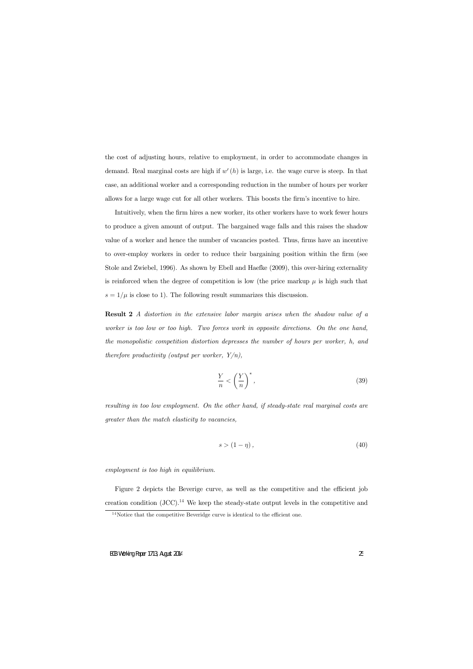the cost of adjusting hours, relative to employment, in order to accommodate changes in demand. Real marginal costs are high if  $w'(h)$  is large, i.e. the wage curve is steep. In that case, an additional worker and a corresponding reduction in the number of hours per worker allows for a large wage cut for all other workers. This boosts the firm's incentive to hire.

Intuitively, when the firm hires a new worker, its other workers have to work fewer hours to produce a given amount of output. The bargained wage falls and this raises the shadow value of a worker and hence the number of vacancies posted. Thus, firms have an incentive to over-employ workers in order to reduce their bargaining position within the Örm (see Stole and Zwiebel, 1996). As shown by Ebell and Haefke (2009), this over-hiring externality is reinforced when the degree of competition is low (the price markup  $\mu$  is high such that  $s = 1/\mu$  is close to 1). The following result summarizes this discussion.

Result 2 A distortion in the extensive labor margin arises when the shadow value of a worker is too low or too high. Two forces work in opposite directions. On the one hand, the monopolistic competition distortion depresses the number of hours per worker, h, and therefore productivity (output per worker,  $Y/n$ ),

$$
\frac{Y}{n} < \left(\frac{Y}{n}\right)^*,\tag{39}
$$

resulting in too low employment. On the other hand, if steady-state real marginal costs are greater than the match elasticity to vacancies,

$$
s > (1 - \eta), \tag{40}
$$

employment is too high in equilibrium.

Figure 2 depicts the Beverige curve, as well as the competitive and the efficient job creation condition  $(JCC)$ .<sup>14</sup> We keep the steady-state output levels in the competitive and

 $14$ Notice that the competitive Beveridge curve is identical to the efficient one.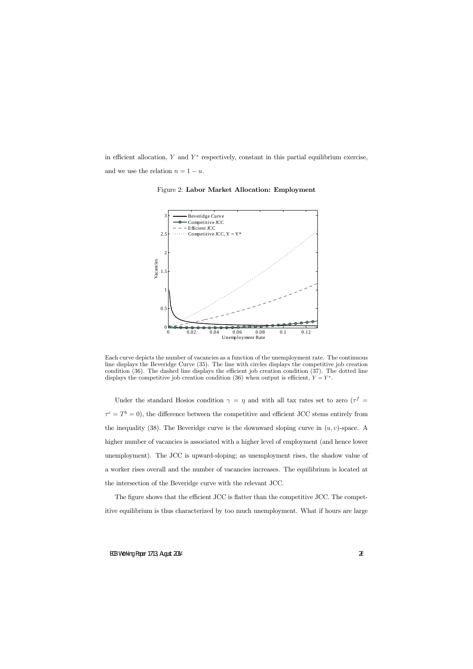in efficient allocation, Y and  $Y^*$  respectively, constant in this partial equilibrium exercise, and we use the relation  $n = 1 - u$ .



Figure 2: Labor Market Allocation: Employment

Each curve depicts the number of vacancies as a function of the unemployment rate. The continuous line displays the Beveridge Curve (35). The line with circles displays the competitive job creation condition  $(36)$ . The dashed line displays the efficient job creation condition  $(37)$ . The dotted line displays the competitive job creation condition (36) when output is efficient,  $Y = Y^*$ .

Under the standard Hosios condition  $\gamma = \eta$  and with all tax rates set to zero ( $\tau^f$ )  $\tau^c = T^b = 0$ , the difference between the competitive and efficient JCC stems entirely from the inequality (38). The Beveridge curve is the downward sloping curve in  $(u, v)$ -space. A higher number of vacancies is associated with a higher level of employment (and hence lower unemployment). The JCC is upward-sloping; as unemployment rises, the shadow value of a worker rises overall and the number of vacancies increases. The equilibrium is located at the intersection of the Beveridge curve with the relevant JCC.

The figure shows that the efficient JCC is flatter than the competitive JCC. The competitive equilibrium is thus characterized by too much unemployment. What if hours are large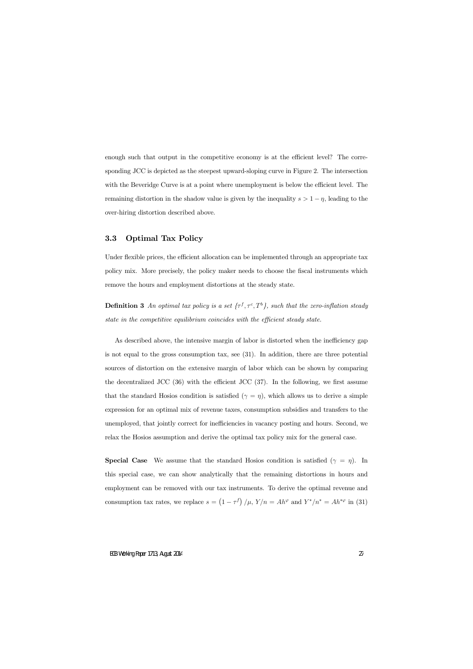enough such that output in the competitive economy is at the efficient level? The corresponding JCC is depicted as the steepest upward-sloping curve in Figure 2. The intersection with the Beveridge Curve is at a point where unemployment is below the efficient level. The remaining distortion in the shadow value is given by the inequality  $s > 1 - \eta$ , leading to the over-hiring distortion described above.

## 3.3 Optimal Tax Policy

Under flexible prices, the efficient allocation can be implemented through an appropriate tax policy mix. More precisely, the policy maker needs to choose the fiscal instruments which remove the hours and employment distortions at the steady state.

**Definition 3** An optimal tax policy is a set  $\{\tau^f, \tau^c, T^b\}$ , such that the zero-inflation steady state in the competitive equilibrium coincides with the efficient steady state.

As described above, the intensive margin of labor is distorted when the inefficiency gap is not equal to the gross consumption tax, see (31). In addition, there are three potential sources of distortion on the extensive margin of labor which can be shown by comparing the decentralized JCC  $(36)$  with the efficient JCC  $(37)$ . In the following, we first assume that the standard Hosios condition is satisfied  $(\gamma = \eta)$ , which allows us to derive a simple expression for an optimal mix of revenue taxes, consumption subsidies and transfers to the unemployed, that jointly correct for inefficiencies in vacancy posting and hours. Second, we relax the Hosios assumption and derive the optimal tax policy mix for the general case.

**Special Case** We assume that the standard Hosios condition is satisfied  $(\gamma = \eta)$ . In this special case, we can show analytically that the remaining distortions in hours and employment can be removed with our tax instruments. To derive the optimal revenue and consumption tax rates, we replace  $s = (1 - \tau^f)/\mu$ ,  $Y/n = Ah^{\varphi}$  and  $Y^*/n^* = Ah^{*\varphi}$  in (31)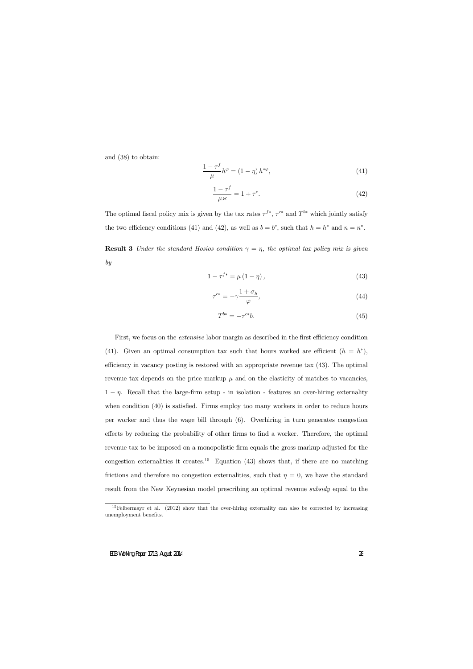and (38) to obtain:

$$
\frac{1-\tau^f}{\mu}h^{\varphi} = (1-\eta)h^{*\varphi},\tag{41}
$$

$$
\frac{1-\tau^f}{\mu \varkappa} = 1 + \tau^c. \tag{42}
$$

The optimal fiscal policy mix is given by the tax rates  $\tau^{f*}$ ,  $\tau^{c*}$  and  $T^{b*}$  which jointly satisfy the two efficiency conditions (41) and (42), as well as  $b = b^c$ , such that  $h = h^*$  and  $n = n^*$ .

**Result 3** Under the standard Hosios condition  $\gamma = \eta$ , the optimal tax policy mix is given by

$$
1 - \tau^{f*} = \mu \left( 1 - \eta \right),\tag{43}
$$

$$
\tau^{c*} = -\gamma \frac{1 + \sigma_h}{\varphi},\tag{44}
$$

$$
T^{b*} = -\tau^{c*}b.\tag{45}
$$

First, we focus on the *extensive* labor margin as described in the first efficiency condition (41). Given an optimal consumption tax such that hours worked are efficient  $(h = h^*),$ efficiency in vacancy posting is restored with an appropriate revenue tax  $(43)$ . The optimal revenue tax depends on the price markup  $\mu$  and on the elasticity of matches to vacancies,  $1 - \eta$ . Recall that the large-firm setup - in isolation - features an over-hiring externality when condition  $(40)$  is satisfied. Firms employ too many workers in order to reduce hours per worker and thus the wage bill through (6). Overhiring in turn generates congestion effects by reducing the probability of other firms to find a worker. Therefore, the optimal revenue tax to be imposed on a monopolistic firm equals the gross markup adjusted for the congestion externalities it creates.<sup>15</sup> Equation  $(43)$  shows that, if there are no matching frictions and therefore no congestion externalities, such that  $\eta = 0$ , we have the standard result from the New Keynesian model prescribing an optimal revenue *subsidy* equal to the

 $15$ Felbermayr et al. (2012) show that the over-hiring externality can also be corrected by increasing unemployment benefits.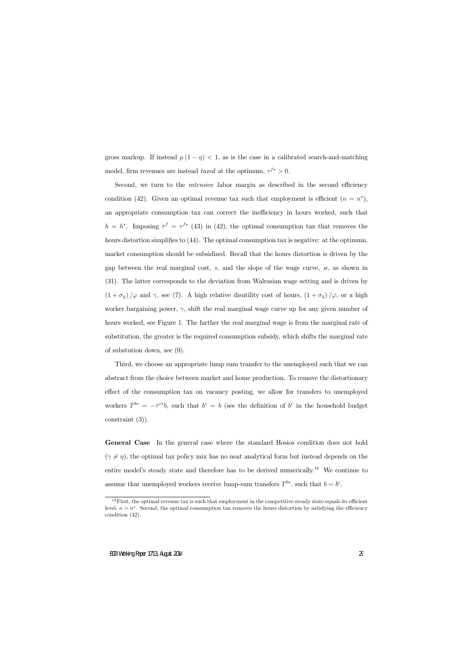gross markup. If instead  $\mu(1 - \eta) < 1$ , as is the case in a calibrated search-and-matching model, firm revenues are instead taxed at the optimum,  $\tau^{f*} > 0$ .

Second, we turn to the *intensive* labor margin as described in the second efficiency condition (42). Given an optimal revenue tax such that employment is efficient  $(n = n^*),$ an appropriate consumption tax can correct the inefficiency in hours worked, such that  $h = h^*$ . Imposing  $\tau^f = \tau^{f*}$  (43) in (42), the optimal consumption tax that removes the hours distortion simplifies to  $(44)$ . The optimal consumption tax is negative: at the optimum, market consumption should be subsidized. Recall that the hours distortion is driven by the gap between the real marginal cost,  $s$ , and the slope of the wage curve,  $\times$ , as shown in (31). The latter corresponds to the deviation from Walrasian wage setting and is driven by  $(1 + \sigma_h)/\varphi$  and  $\gamma$ , see (7). A high relative disutility cost of hours,  $(1 + \sigma_h)/\varphi$ , or a high worker bargaining power,  $\gamma$ , shift the real marginal wage curve up for any given number of hours worked, see Figure 1. The farther the real marginal wage is from the marginal rate of substitution, the greater is the required consumption subsidy, which shifts the marginal rate of substution down, see (9).

Third, we choose an appropriate lump sum transfer to the unemployed such that we can abstract from the choice between market and home production. To remove the distortionary effect of the consumption tax on vacancy posting, we allow for transfers to unemployed workers  $T^{b*} = -\tau^{c*}b$ , such that  $b^c = b$  (see the definition of  $b^c$  in the household budget constraint (3)).

General Case In the general case where the standard Hosios condition does not hold  $(\gamma \neq \eta)$ , the optimal tax policy mix has no neat analytical form but instead depends on the entire model's steady state and therefore has to be derived numerically.<sup>16</sup> We continue to assume that unemployed workers receive lump-sum transfers  $T^{b*}$ , such that  $b = b^c$ .

 $16$  First, the optimal revenue tax is such that employment in the competitive steady state equals its efficient level,  $n = n^*$ . Second, the optimal consumption tax removes the hours distortion by satisfying the efficiency condition (42).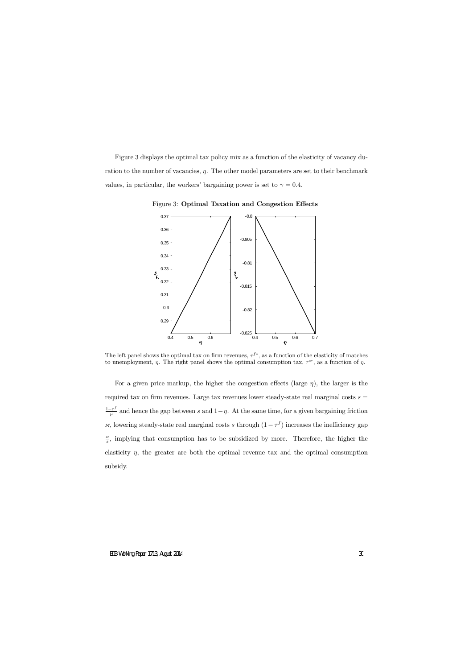Figure 3 displays the optimal tax policy mix as a function of the elasticity of vacancy duration to the number of vacancies,  $\eta$ . The other model parameters are set to their benchmark values, in particular, the workers' bargaining power is set to  $\gamma = 0.4$ .



Figure 3: Optimal Taxation and Congestion Effects

The left panel shows the optimal tax on firm revenues,  $\tau^{f*}$ , as a function of the elasticity of matches to unemployment,  $\eta$ . The right panel shows the optimal consumption tax,  $\tau^{c*}$ , as a function of  $\eta$ .

For a given price markup, the higher the congestion effects (large  $\eta$ ), the larger is the required tax on firm revenues. Large tax revenues lower steady-state real marginal costs  $s =$  $1-\tau^f$  $\frac{-\tau'}{\mu}$  and hence the gap between s and  $1-\eta$ . At the same time, for a given bargaining friction  $\times$ , lowering steady-state real marginal costs s through  $(1 - \tau^f)$  increases the inefficiency gap  $\frac{\varkappa}{s}$ , implying that consumption has to be subsidized by more. Therefore, the higher the elasticity  $\eta$ , the greater are both the optimal revenue tax and the optimal consumption subsidy.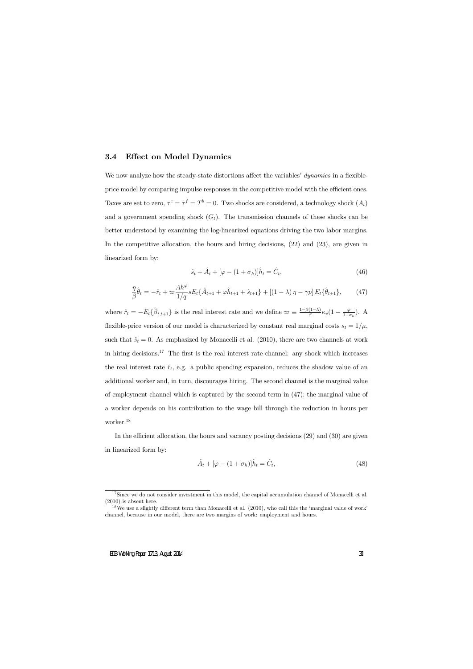## 3.4 Effect on Model Dynamics

We now analyze how the steady-state distortions affect the variables' dynamics in a flexibleprice model by comparing impulse responses in the competitive model with the efficient ones. Taxes are set to zero,  $\tau^c = \tau^f = T^b = 0$ . Two shocks are considered, a technology shock  $(A_t)$ and a government spending shock  $(G_t)$ . The transmission channels of these shocks can be better understood by examining the log-linearized equations driving the two labor margins. In the competitive allocation, the hours and hiring decisions, (22) and (23), are given in linearized form by:

$$
\hat{s}_t + \hat{A}_t + [\varphi - (1 + \sigma_h)]\hat{h}_t = \hat{C}_t,\tag{46}
$$

$$
\frac{\eta}{\beta}\hat{\theta}_t = -\hat{r}_t + \varpi \frac{Ah^{\varphi}}{1/q} s E_t \{\hat{A}_{t+1} + \varphi \hat{h}_{t+1} + \hat{s}_{t+1}\} + \left[ (1-\lambda)\,\eta - \gamma p \right] E_t \{\hat{\theta}_{t+1}\},\tag{47}
$$

where  $\hat{r}_t = -E_t\{\hat{\beta}_{t,t+1}\}\$ is the real interest rate and we define  $\varpi \equiv \frac{1-\beta(1-\lambda)}{\beta} \kappa_v(1-\frac{\varphi}{1+\sigma_h})$ . A flexible-price version of our model is characterized by constant real marginal costs  $s_t = 1/\mu$ , such that  $\hat{s}_t = 0$ . As emphasized by Monacelli et al. (2010), there are two channels at work in hiring decisions.<sup>17</sup> The first is the real interest rate channel: any shock which increases the real interest rate  $\hat{r}_t$ , e.g. a public spending expansion, reduces the shadow value of an additional worker and, in turn, discourages hiring. The second channel is the marginal value of employment channel which is captured by the second term in (47): the marginal value of a worker depends on his contribution to the wage bill through the reduction in hours per worker.<sup>18</sup>

In the efficient allocation, the hours and vacancy posting decisions  $(29)$  and  $(30)$  are given in linearized form by:

$$
\hat{A}_t + [\varphi - (1 + \sigma_h)]\hat{h}_t = \hat{C}_t,\tag{48}
$$

 $17$ Since we do not consider investment in this model, the capital accumulation channel of Monacelli et al. (2010) is absent here.

<sup>&</sup>lt;sup>18</sup>We use a slightly different term than Monacelli et al.  $(2010)$ , who call this the 'marginal value of work' channel, because in our model, there are two margins of work: employment and hours.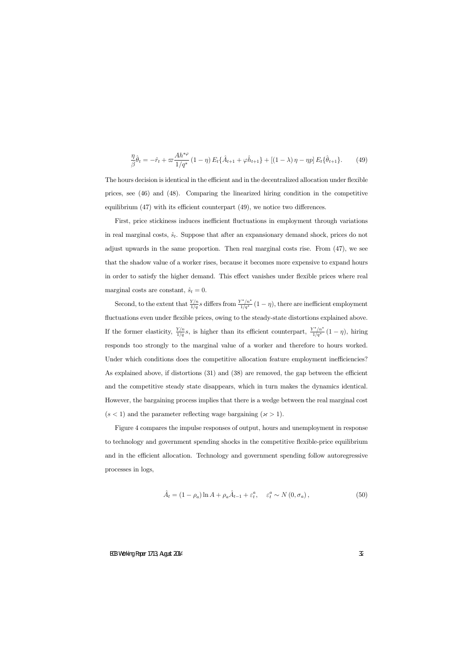$$
\frac{\eta}{\beta}\hat{\theta}_t = -\hat{r}_t + \varpi \frac{Ah^{*\varphi}}{1/q^*} (1-\eta) E_t \{\hat{A}_{t+1} + \varphi \hat{h}_{t+1}\} + [(1-\lambda)\eta - \eta p] E_t \{\hat{\theta}_{t+1}\}.
$$
 (49)

The hours decision is identical in the efficient and in the decentralized allocation under flexible prices, see (46) and (48). Comparing the linearized hiring condition in the competitive equilibrium  $(47)$  with its efficient counterpart  $(49)$ , we notice two differences.

First, price stickiness induces inefficient fluctuations in employment through variations in real marginal costs,  $\hat{s}_t$ . Suppose that after an expansionary demand shock, prices do not adjust upwards in the same proportion. Then real marginal costs rise. From (47), we see that the shadow value of a worker rises, because it becomes more expensive to expand hours in order to satisfy the higher demand. This effect vanishes under flexible prices where real marginal costs are constant,  $\hat{s}_t = 0$ .

Second, to the extent that  $\frac{Y/n}{1/q}s$  differs from  $\frac{Y^*/n^*}{1/q^*}$   $(1-\eta)$ , there are inefficient employment fluctuations even under flexible prices, owing to the steady-state distortions explained above. If the former elasticity,  $\frac{Y/n}{1/q}s$ , is higher than its efficient counterpart,  $\frac{Y^*/n^*}{1/q^*}(1-\eta)$ , hiring responds too strongly to the marginal value of a worker and therefore to hours worked. Under which conditions does the competitive allocation feature employment inefficiencies? As explained above, if distortions  $(31)$  and  $(38)$  are removed, the gap between the efficient and the competitive steady state disappears, which in turn makes the dynamics identical. However, the bargaining process implies that there is a wedge between the real marginal cost  $(s < 1)$  and the parameter reflecting wage bargaining  $(x > 1)$ .

Figure 4 compares the impulse responses of output, hours and unemployment in response to technology and government spending shocks in the competitive áexible-price equilibrium and in the efficient allocation. Technology and government spending follow autoregressive processes in logs,

$$
\hat{A}_t = (1 - \rho_a) \ln A + \rho_a \hat{A}_{t-1} + \varepsilon_t^a, \quad \varepsilon_t^a \sim N(0, \sigma_a), \tag{50}
$$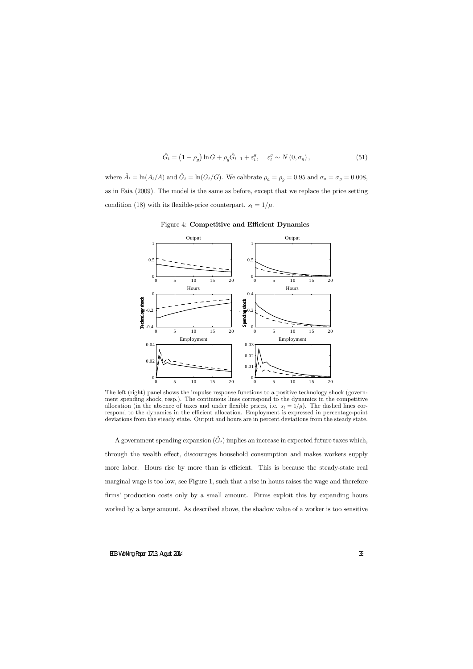$$
\hat{G}_t = \left(1 - \rho_g\right) \ln G + \rho_g \hat{G}_{t-1} + \varepsilon_t^g, \quad \varepsilon_t^g \sim N\left(0, \sigma_g\right),\tag{51}
$$

where  $\hat{A}_t = \ln(A_t/A)$  and  $\hat{G}_t = \ln(G_t/G)$ . We calibrate  $\rho_a = \rho_g = 0.95$  and  $\sigma_a = \sigma_g = 0.008$ , as in Faia (2009). The model is the same as before, except that we replace the price setting condition (18) with its flexible-price counterpart,  $s_t = 1/\mu$ .



#### Figure 4: Competitive and Efficient Dynamics

The left (right) panel shows the impulse response functions to a positive technology shock (government spending shock, resp.). The continuous lines correspond to the dynamics in the competitive allocation (in the absence of taxes and under flexible prices, i.e.  $s_t = 1/\mu$ ). The dashed lines correspond to the dynamics in the efficient allocation. Employment is expressed in percentage-point deviations from the steady state. Output and hours are in percent deviations from the steady state.

A government spending expansion  $(\hat{G}_t)$  implies an increase in expected future taxes which, through the wealth effect, discourages household consumption and makes workers supply more labor. Hours rise by more than is efficient. This is because the steady-state real marginal wage is too low, see Figure 1, such that a rise in hours raises the wage and therefore firms' production costs only by a small amount. Firms exploit this by expanding hours worked by a large amount. As described above, the shadow value of a worker is too sensitive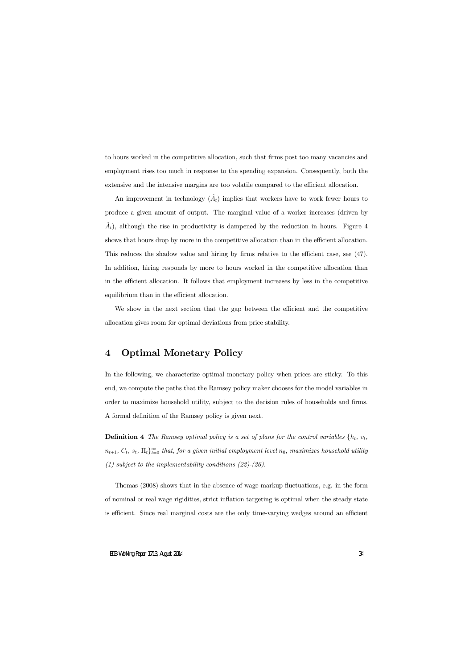to hours worked in the competitive allocation, such that firms post too many vacancies and employment rises too much in response to the spending expansion. Consequently, both the extensive and the intensive margins are too volatile compared to the efficient allocation.

An improvement in technology  $(\hat{A}_t)$  implies that workers have to work fewer hours to produce a given amount of output. The marginal value of a worker increases (driven by  $\hat{A}_t$ ), although the rise in productivity is dampened by the reduction in hours. Figure 4 shows that hours drop by more in the competitive allocation than in the efficient allocation. This reduces the shadow value and hiring by firms relative to the efficient case, see  $(47)$ . In addition, hiring responds by more to hours worked in the competitive allocation than in the efficient allocation. It follows that employment increases by less in the competitive equilibrium than in the efficient allocation.

We show in the next section that the gap between the efficient and the competitive allocation gives room for optimal deviations from price stability.

## 4 Optimal Monetary Policy

In the following, we characterize optimal monetary policy when prices are sticky. To this end, we compute the paths that the Ramsey policy maker chooses for the model variables in order to maximize household utility, subject to the decision rules of households and firms. A formal definition of the Ramsey policy is given next.

**Definition 4** The Ramsey optimal policy is a set of plans for the control variables  $\{h_t, v_t,$  $(n_{t+1}, C_t, s_t, \Pi_t)_{t=0}^{\infty}$  that, for a given initial employment level  $n_0$ , maximizes household utility (1) subject to the implementability conditions  $(22)-(26)$ .

Thomas  $(2008)$  shows that in the absence of wage markup fluctuations, e.g. in the form of nominal or real wage rigidities, strict ináation targeting is optimal when the steady state is efficient. Since real marginal costs are the only time-varying wedges around an efficient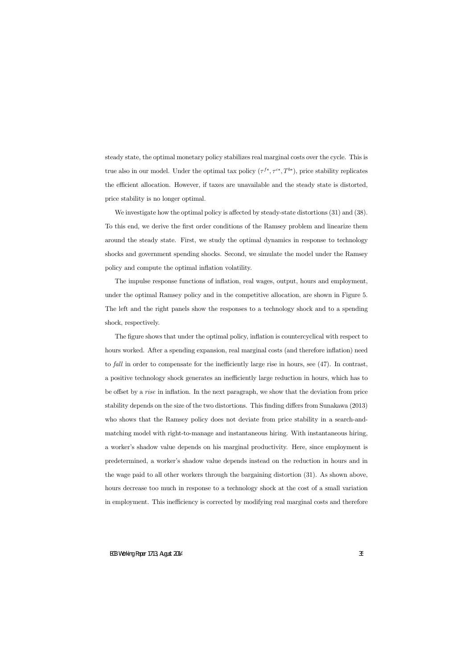steady state, the optimal monetary policy stabilizes real marginal costs over the cycle. This is true also in our model. Under the optimal tax policy  $(\tau^{f*}, \tau^{c*}, T^{b*})$ , price stability replicates the efficient allocation. However, if taxes are unavailable and the steady state is distorted, price stability is no longer optimal.

We investigate how the optimal policy is affected by steady-state distortions  $(31)$  and  $(38)$ . To this end, we derive the first order conditions of the Ramsey problem and linearize them around the steady state. First, we study the optimal dynamics in response to technology shocks and government spending shocks. Second, we simulate the model under the Ramsey policy and compute the optimal inflation volatility.

The impulse response functions of inflation, real wages, output, hours and employment, under the optimal Ramsey policy and in the competitive allocation, are shown in Figure 5. The left and the right panels show the responses to a technology shock and to a spending shock, respectively.

The figure shows that under the optimal policy, inflation is countercyclical with respect to hours worked. After a spending expansion, real marginal costs (and therefore inflation) need to *fall* in order to compensate for the inefficiently large rise in hours, see  $(47)$ . In contrast, a positive technology shock generates an inefficiently large reduction in hours, which has to be offset by a rise in inflation. In the next paragraph, we show that the deviation from price stability depends on the size of the two distortions. This finding differs from Sunakawa (2013) who shows that the Ramsey policy does not deviate from price stability in a search-andmatching model with right-to-manage and instantaneous hiring. With instantaneous hiring, a worker's shadow value depends on his marginal productivity. Here, since employment is predetermined, a worker's shadow value depends instead on the reduction in hours and in the wage paid to all other workers through the bargaining distortion (31). As shown above, hours decrease too much in response to a technology shock at the cost of a small variation in employment. This inefficiency is corrected by modifying real marginal costs and therefore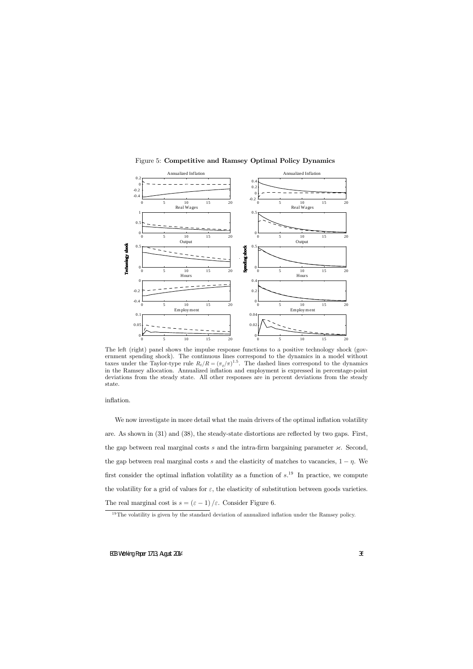

Figure 5: Competitive and Ramsey Optimal Policy Dynamics

The left (right) panel shows the impulse response functions to a positive technology shock (government spending shock). The continuous lines correspond to the dynamics in a model without taxes under the Taylor-type rule  $R_t/R = (\pi_t/\pi)^{1.5}$ . The dashed lines correspond to the dynamics in the Ramsey allocation. Annualized ináation and employment is expressed in percentage-point deviations from the steady state. All other responses are in percent deviations from the steady state.

inflation.

We now investigate in more detail what the main drivers of the optimal inflation volatility are. As shown in (31) and (38), the steady-state distortions are reflected by two gaps. First, the gap between real marginal costs s and the intra-firm bargaining parameter  ${\cal X}$ . Second, the gap between real marginal costs s and the elasticity of matches to vacancies,  $1 - \eta$ . We first consider the optimal inflation volatility as a function of  $s^{19}$ . In practice, we compute the volatility for a grid of values for  $\varepsilon$ , the elasticity of substitution between goods varieties. The real marginal cost is  $s = (\varepsilon - 1) / \varepsilon$ . Consider Figure 6.

 $19$ The volatility is given by the standard deviation of annualized inflation under the Ramsey policy.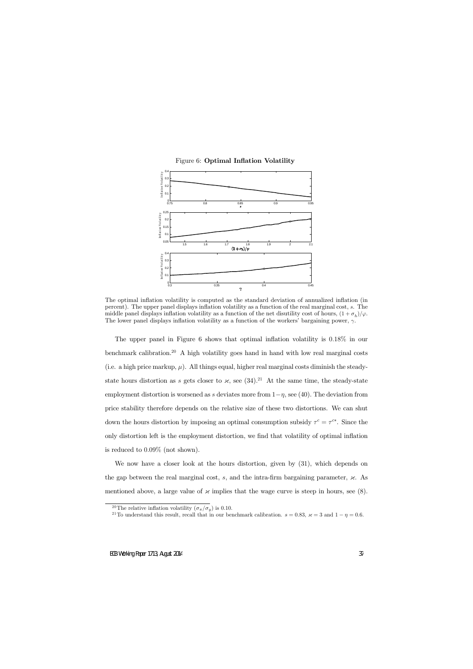

#### Figure 6: Optimal Inflation Volatility

The optimal inflation volatility is computed as the standard deviation of annualized inflation (in percent). The upper panel displays ináation volatility as a function of the real marginal cost, s. The middle panel displays inflation volatility as a function of the net disutility cost of hours,  $(1 + \sigma_h)/\varphi$ . The lower panel displays inflation volatility as a function of the workers' bargaining power,  $\gamma$ .

The upper panel in Figure 6 shows that optimal inflation volatility is  $0.18\%$  in our benchmark calibration.<sup>20</sup> A high volatility goes hand in hand with low real marginal costs (i.e. a high price markup,  $\mu$ ). All things equal, higher real marginal costs diminish the steadystate hours distortion as s gets closer to  $\times$ , see (34).<sup>21</sup> At the same time, the steady-state employment distortion is worsened as s deviates more from  $1-\eta$ , see (40). The deviation from price stability therefore depends on the relative size of these two distortions. We can shut down the hours distortion by imposing an optimal consumption subsidy  $\tau^c = \tau^{c*}$ . Since the only distortion left is the employment distortion, we find that volatility of optimal inflation is reduced to 0:09% (not shown).

We now have a closer look at the hours distortion, given by (31), which depends on the gap between the real marginal cost, s, and the intra-firm bargaining parameter,  ${\varkappa}$ . As mentioned above, a large value of  $\times$  implies that the wage curve is steep in hours, see (8).

<sup>&</sup>lt;sup>20</sup>The relative inflation volatility  $(\sigma_{\pi}/\sigma_{y})$  is 0.10.

<sup>&</sup>lt;sup>21</sup>To understand this result, recall that in our benchmark calibration.  $s = 0.83$ ,  $\varkappa = 3$  and  $1 - \eta = 0.6$ .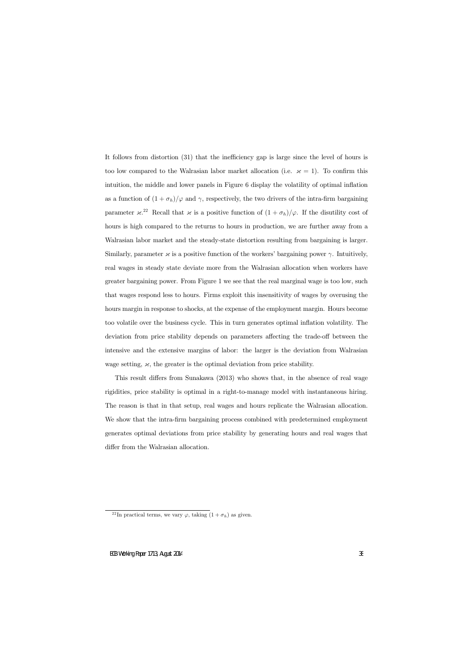It follows from distortion (31) that the inefficiency gap is large since the level of hours is too low compared to the Walrasian labor market allocation (i.e.  $\varkappa = 1$ ). To confirm this intuition, the middle and lower panels in Figure 6 display the volatility of optimal inflation as a function of  $(1 + \sigma_h)/\varphi$  and  $\gamma$ , respectively, the two drivers of the intra-firm bargaining parameter  ${\varkappa}^{22}$  Recall that  ${\varkappa}$  is a positive function of  $(1 + \sigma_h)/{\varphi}$ . If the disutility cost of hours is high compared to the returns to hours in production, we are further away from a Walrasian labor market and the steady-state distortion resulting from bargaining is larger. Similarly, parameter  $\times$  is a positive function of the workers' bargaining power  $\gamma$ . Intuitively, real wages in steady state deviate more from the Walrasian allocation when workers have greater bargaining power. From Figure 1 we see that the real marginal wage is too low, such that wages respond less to hours. Firms exploit this insensitivity of wages by overusing the hours margin in response to shocks, at the expense of the employment margin. Hours become too volatile over the business cycle. This in turn generates optimal ináation volatility. The deviation from price stability depends on parameters affecting the trade-off between the intensive and the extensive margins of labor: the larger is the deviation from Walrasian wage setting,  ${\mathfrak{z}}$ , the greater is the optimal deviation from price stability.

This result differs from Sunakawa  $(2013)$  who shows that, in the absence of real wage rigidities, price stability is optimal in a right-to-manage model with instantaneous hiring. The reason is that in that setup, real wages and hours replicate the Walrasian allocation. We show that the intra-firm bargaining process combined with predetermined employment generates optimal deviations from price stability by generating hours and real wages that differ from the Walrasian allocation.

<sup>&</sup>lt;sup>22</sup>In practical terms, we vary  $\varphi$ , taking  $(1 + \sigma_h)$  as given.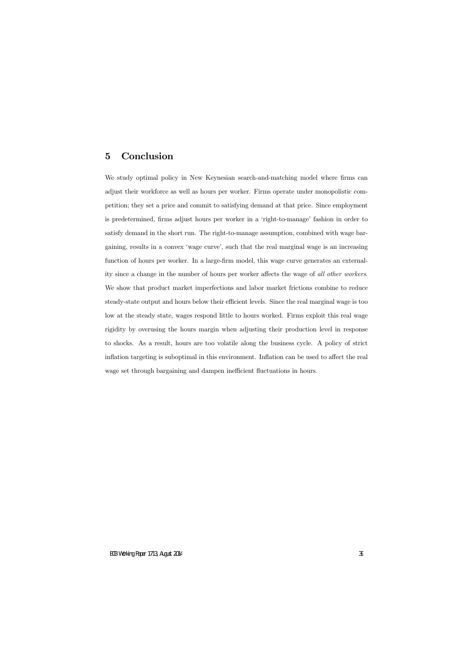## 5 Conclusion

We study optimal policy in New Keynesian search-and-matching model where firms can adjust their workforce as well as hours per worker. Firms operate under monopolistic competition; they set a price and commit to satisfying demand at that price. Since employment is predetermined, firms adjust hours per worker in a 'right-to-manage' fashion in order to satisfy demand in the short run. The right-to-manage assumption, combined with wage bargaining, results in a convex 'wage curve', such that the real marginal wage is an increasing function of hours per worker. In a large-firm model, this wage curve generates an externality since a change in the number of hours per worker affects the wage of all other workers. We show that product market imperfections and labor market frictions combine to reduce steady-state output and hours below their efficient levels. Since the real marginal wage is too low at the steady state, wages respond little to hours worked. Firms exploit this real wage rigidity by overusing the hours margin when adjusting their production level in response to shocks. As a result, hours are too volatile along the business cycle. A policy of strict inflation targeting is suboptimal in this environment. Inflation can be used to affect the real wage set through bargaining and dampen inefficient fluctuations in hours.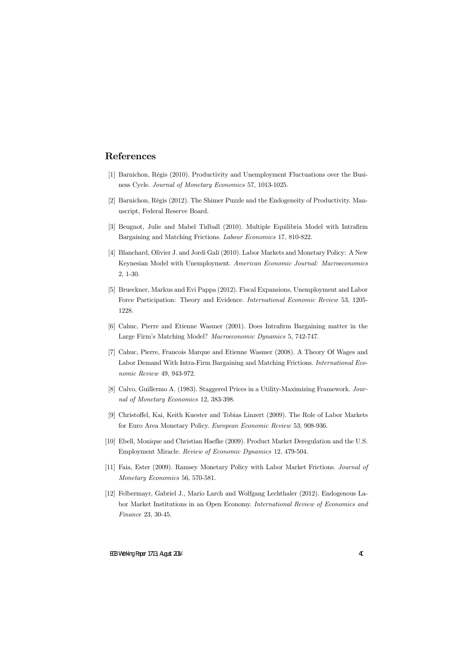## References

- [1] Barnichon, RÈgis (2010). Productivity and Unemployment Fluctuations over the Business Cycle. Journal of Monetary Economics 57, 1013-1025.
- [2] Barnichon, RÈgis (2012). The Shimer Puzzle and the Endogeneity of Productivity. Manuscript, Federal Reserve Board.
- [3] Beugnot, Julie and Mabel Tidball (2010). Multiple Equilibria Model with Intrafirm Bargaining and Matching Frictions. Labour Economics 17, 810-822.
- [4] Blanchard, Olivier J. and Jordi Galí (2010). Labor Markets and Monetary Policy: A New Keynesian Model with Unemployment. American Economic Journal: Macroeconomics 2, 1-30.
- [5] Brueckner, Markus and Evi Pappa (2012). Fiscal Expansions, Unemployment and Labor Force Participation: Theory and Evidence. International Economic Review 53, 1205- 1228.
- [6] Cahuc, Pierre and Etienne Wasmer (2001). Does Intrafirm Bargaining matter in the Large Firmís Matching Model? Macroeconomic Dynamics 5, 742-747.
- [7] Cahuc, Pierre, Francois Marque and Etienne Wasmer (2008). A Theory Of Wages and Labor Demand With Intra-Firm Bargaining and Matching Frictions. International Economic Review 49, 943-972.
- [8] Calvo, Guillermo A. (1983). Staggered Prices in a Utility-Maximizing Framework. Journal of Monetary Economics 12, 383-398.
- [9] Christoffel, Kai, Keith Kuester and Tobias Linzert (2009). The Role of Labor Markets for Euro Area Monetary Policy. European Economic Review 53, 908-936.
- [10] Ebell, Monique and Christian Haefke (2009). Product Market Deregulation and the U.S. Employment Miracle. Review of Economic Dynamics 12, 479-504.
- [11] Faia, Ester (2009). Ramsey Monetary Policy with Labor Market Frictions. Journal of Monetary Economics 56, 570-581.
- [12] Felbermayr, Gabriel J., Mario Larch and Wolfgang Lechthaler (2012). Endogenous Labor Market Institutions in an Open Economy. International Review of Economics and Finance 23, 30-45.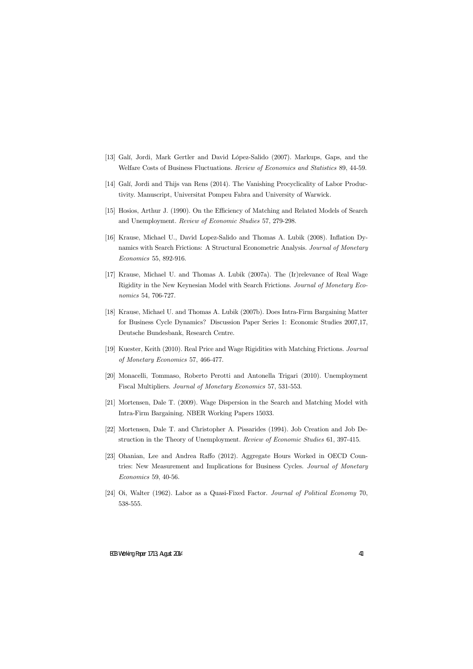- [13] Galí, Jordi, Mark Gertler and David López-Salido (2007). Markups, Gaps, and the Welfare Costs of Business Fluctuations. Review of Economics and Statistics 89, 44-59.
- [14] Galí, Jordi and Thijs van Rens (2014). The Vanishing Procyclicality of Labor Productivity. Manuscript, Universitat Pompeu Fabra and University of Warwick.
- [15] Hosios, Arthur J. (1990). On the Efficiency of Matching and Related Models of Search and Unemployment. Review of Economic Studies 57, 279-298.
- [16] Krause, Michael U., David Lopez-Salido and Thomas A. Lubik (2008). Ináation Dynamics with Search Frictions: A Structural Econometric Analysis. Journal of Monetary Economics 55, 892-916.
- [17] Krause, Michael U. and Thomas A. Lubik (2007a). The (Ir)relevance of Real Wage Rigidity in the New Keynesian Model with Search Frictions. Journal of Monetary Economics 54, 706-727.
- [18] Krause, Michael U. and Thomas A. Lubik (2007b). Does Intra-Firm Bargaining Matter for Business Cycle Dynamics? Discussion Paper Series 1: Economic Studies 2007,17, Deutsche Bundesbank, Research Centre.
- [19] Kuester, Keith (2010). Real Price and Wage Rigidities with Matching Frictions. Journal of Monetary Economics 57, 466-477.
- [20] Monacelli, Tommaso, Roberto Perotti and Antonella Trigari (2010). Unemployment Fiscal Multipliers. Journal of Monetary Economics 57, 531-553.
- [21] Mortensen, Dale T. (2009). Wage Dispersion in the Search and Matching Model with Intra-Firm Bargaining. NBER Working Papers 15033.
- [22] Mortensen, Dale T. and Christopher A. Pissarides (1994). Job Creation and Job Destruction in the Theory of Unemployment. Review of Economic Studies 61, 397-415.
- [23] Ohanian, Lee and Andrea Raffo (2012). Aggregate Hours Worked in OECD Countries: New Measurement and Implications for Business Cycles. Journal of Monetary Economics 59, 40-56.
- [24] Oi, Walter (1962). Labor as a Quasi-Fixed Factor. Journal of Political Economy 70, 538-555.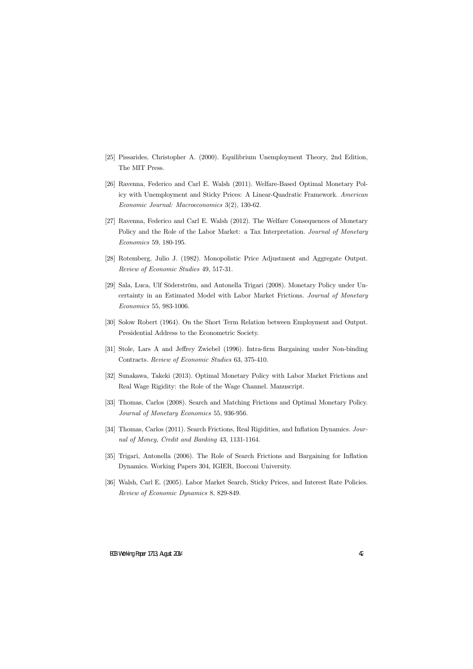- [25] Pissarides, Christopher A. (2000). Equilibrium Unemployment Theory, 2nd Edition, The MIT Press.
- [26] Ravenna, Federico and Carl E. Walsh (2011). Welfare-Based Optimal Monetary Policy with Unemployment and Sticky Prices: A Linear-Quadratic Framework. American Economic Journal: Macroeconomics 3(2), 130-62.
- [27] Ravenna, Federico and Carl E. Walsh (2012). The Welfare Consequences of Monetary Policy and the Role of the Labor Market: a Tax Interpretation. *Journal of Monetary* Economics 59, 180-195.
- [28] Rotemberg, Julio J. (1982). Monopolistic Price Adjustment and Aggregate Output. Review of Economic Studies 49, 517-31.
- [29] Sala, Luca, Ulf Söderström, and Antonella Trigari (2008). Monetary Policy under Uncertainty in an Estimated Model with Labor Market Frictions. Journal of Monetary Economics 55, 983-1006.
- [30] Solow Robert (1964). On the Short Term Relation between Employment and Output. Presidential Address to the Econometric Society.
- [31] Stole, Lars A and Jeffrey Zwiebel (1996). Intra-firm Bargaining under Non-binding Contracts. Review of Economic Studies 63, 375-410.
- [32] Sunakawa, Takeki (2013). Optimal Monetary Policy with Labor Market Frictions and Real Wage Rigidity: the Role of the Wage Channel. Manuscript.
- [33] Thomas, Carlos (2008). Search and Matching Frictions and Optimal Monetary Policy. Journal of Monetary Economics 55, 936-956.
- [34] Thomas, Carlos (2011). Search Frictions, Real Rigidities, and Inflation Dynamics. Journal of Money, Credit and Banking 43, 1131-1164.
- [35] Trigari, Antonella (2006). The Role of Search Frictions and Bargaining for Inflation Dynamics. Working Papers 304, IGIER, Bocconi University.
- [36] Walsh, Carl E. (2005). Labor Market Search, Sticky Prices, and Interest Rate Policies. Review of Economic Dynamics 8, 829-849.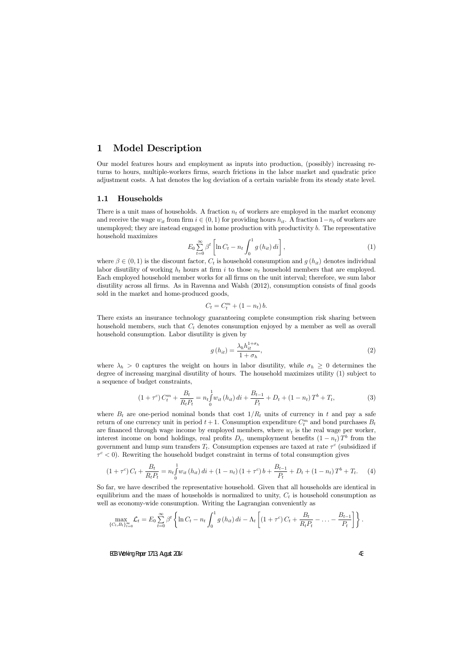## 1 Model Description

Our model features hours and employment as inputs into production, (possibly) increasing returns to hours, multiple-workers Örms, search frictions in the labor market and quadratic price adjustment costs. A hat denotes the log deviation of a certain variable from its steady state level.

## 1.1 Households

There is a unit mass of households. A fraction  $n_t$  of workers are employed in the market economy and receive the wage  $w_{it}$  from firm  $i \in (0, 1)$  for providing hours  $h_{it}$ . A fraction  $1-n_t$  of workers are unemployed; they are instead engaged in home production with productivity b. The representative household maximizes

$$
E_0 \sum_{t=0}^{\infty} \beta^t \left[ \ln C_t - n_t \int_0^1 g(h_{it}) \, di \right],\tag{1}
$$

where  $\beta \in (0,1)$  is the discount factor,  $C_t$  is household consumption and  $g(h_{it})$  denotes individual labor disutility of working  $h_t$  hours at firm i to those  $n_t$  household members that are employed. Each employed household member works for all firms on the unit interval; therefore, we sum labor disutility across all firms. As in Ravenna and Walsh (2012), consumption consists of final goods sold in the market and home-produced goods,

$$
C_t = C_t^m + (1 - n_t) b.
$$

There exists an insurance technology guaranteeing complete consumption risk sharing between household members, such that  $C_t$  denotes consumption enjoyed by a member as well as overall household consumption. Labor disutility is given by

$$
g\left(h_{it}\right) = \frac{\lambda_h h_{it}^{1+\sigma_h}}{1+\sigma_h},\tag{2}
$$

where  $\lambda_h > 0$  captures the weight on hours in labor disutility, while  $\sigma_h \geq 0$  determines the degree of increasing marginal disutility of hours. The household maximizes utility (1) subject to a sequence of budget constraints,

$$
(1+\tau^c) C_t^m + \frac{B_t}{R_t P_t} = n_t \int_0^1 w_{it} (h_{it}) dt + \frac{B_{t-1}}{P_t} + D_t + (1-n_t) T^b + T_t,
$$
\n(3)

where  $B_t$  are one-period nominal bonds that cost  $1/R_t$  units of currency in t and pay a safe return of one currency unit in period  $t + 1$ . Consumption expenditure  $C_t^m$  and bond purchases  $B_t$ are financed through wage income by employed members, where  $w_t$  is the real wage per worker, interest income on bond holdings, real profits  $D_t$ , unemployment benefits  $(1 - n_t) T^b$  from the government and lump sum transfers  $T_t$ . Consumption expenses are taxed at rate  $\tau^c$  (subsidized if  $\tau^c$  < 0). Rewriting the household budget constraint in terms of total consumption gives

$$
(1+\tau^c) C_t + \frac{B_t}{R_t P_t} = n_t \int_0^1 w_{it} (h_{it}) dt + (1-n_t) (1+\tau^c) b + \frac{B_{t-1}}{P_t} + D_t + (1-n_t) T^b + T_t.
$$
 (4)

So far, we have described the representative household. Given that all households are identical in equilibrium and the mass of households is normalized to unity,  $C_t$  is household consumption as well as economy-wide consumption. Writing the Lagrangian conveniently as

$$
\max_{\{C_t, B_t\}_{t=0}^{\infty}} \mathcal{L}_t = E_0 \sum_{t=0}^{\infty} \beta^t \left\{ \ln C_t - n_t \int_0^1 g(h_{it}) \, di - \Lambda_t \left[ (1+\tau^c) C_t + \frac{B_t}{R_t P_t} - \ldots - \frac{B_{t-1}}{P_t} \right] \right\}.
$$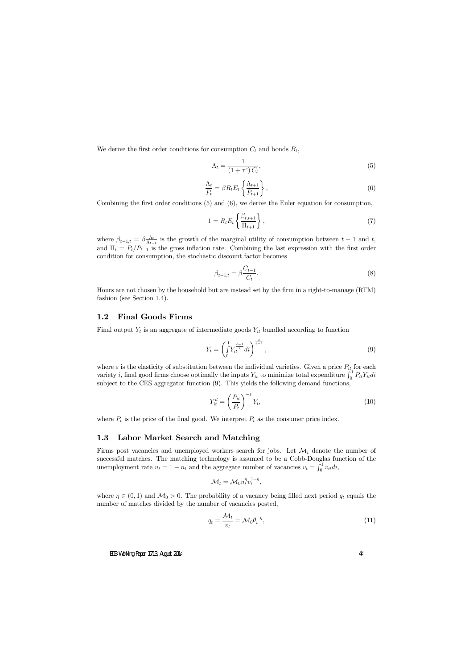We derive the first order conditions for consumption  $C_t$  and bonds  $B_t$ ,

$$
\Lambda_t = \frac{1}{\left(1 + \tau^c\right)C_t},\tag{5}
$$

$$
\frac{\Lambda_t}{P_t} = \beta R_t E_t \left\{ \frac{\Lambda_{t+1}}{P_{t+1}} \right\},\tag{6}
$$

Combining the first order conditions  $(5)$  and  $(6)$ , we derive the Euler equation for consumption,

$$
1 = R_t E_t \left\{ \frac{\beta_{t,t+1}}{\Pi_{t+1}} \right\},\tag{7}
$$

where  $\beta_{t-1,t} = \beta \frac{\Lambda_t}{\Lambda_{t-1}}$  $\frac{\Lambda_t}{\Lambda_{t-1}}$  is the growth of the marginal utility of consumption between  $t-1$  and  $t$ , and  $\Pi_t = P_t/P_{t-1}$  is the gross inflation rate. Combining the last expression with the first order condition for consumption, the stochastic discount factor becomes

$$
\beta_{t-1,t} = \beta \frac{C_{t-1}}{C_t}.
$$
\n(8)

Hours are not chosen by the household but are instead set by the firm in a right-to-manage (RTM) fashion (see Section 1.4).

### 1.2 Final Goods Firms

Final output  $Y_t$  is an aggregate of intermediate goods  $Y_{it}$  bundled according to function

$$
Y_t = \left(\int_0^1 Y_{it}^{\frac{\varepsilon - 1}{\varepsilon}} dt\right)^{\frac{\varepsilon}{\varepsilon - 1}},\tag{9}
$$

where  $\varepsilon$  is the elasticity of substitution between the individual varieties. Given a price  $P_{it}$  for each variety *i*, final good firms choose optimally the inputs  $Y_{it}$  to minimize total expenditure  $\int_0^1 P_{it} Y_{it} di$ subject to the CES aggregator function (9). This yields the following demand functions,

$$
Y_{it}^d = \left(\frac{P_{it}}{P_t}\right)^{-\varepsilon} Y_t,\tag{10}
$$

where  $P_t$  is the price of the final good. We interpret  $P_t$  as the consumer price index.

#### 1.3 Labor Market Search and Matching

Firms post vacancies and unemployed workers search for jobs. Let  $\mathcal{M}_t$  denote the number of successful matches. The matching technology is assumed to be a Cobb-Douglas function of the unemployment rate  $u_t = 1 - n_t$  and the aggregate number of vacancies  $v_t = \int_0^1 v_{it} dt$ ,

$$
\mathcal{M}_t = \mathcal{M}_0 u_t^{\eta} v_t^{1-\eta},
$$

where  $\eta \in (0,1)$  and  $\mathcal{M}_0 > 0$ . The probability of a vacancy being filled next period  $q_t$  equals the number of matches divided by the number of vacancies posted,

$$
q_t = \frac{\mathcal{M}_t}{v_t} = \mathcal{M}_0 \theta_t^{-\eta},\tag{11}
$$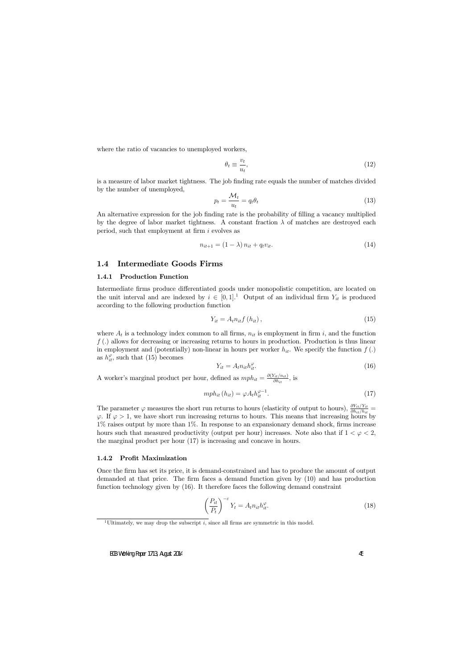where the ratio of vacancies to unemployed workers,

$$
\theta_t \equiv \frac{v_t}{u_t},\tag{12}
$$

is a measure of labor market tightness. The job Önding rate equals the number of matches divided by the number of unemployed,

$$
p_t = \frac{\mathcal{M}_t}{u_t} = q_t \theta_t \tag{13}
$$

An alternative expression for the job finding rate is the probability of filling a vacancy multiplied by the degree of labor market tightness. A constant fraction  $\lambda$  of matches are destroyed each period, such that employment at firm  $i$  evolves as

$$
n_{it+1} = (1 - \lambda) n_{it} + q_t v_{it}.
$$
\n
$$
(14)
$$

## 1.4 Intermediate Goods Firms

### 1.4.1 Production Function

Intermediate firms produce differentiated goods under monopolistic competition, are located on the unit interval and are indexed by  $i \in [0, 1]$ . Output of an individual firm  $Y_{it}$  is produced according to the following production function

$$
Y_{it} = A_t n_{it} f(h_{it}), \qquad (15)
$$

where  $A_t$  is a technology index common to all firms,  $n_{it}$  is employment in firm i, and the function  $f(.)$  allows for decreasing or increasing returns to hours in production. Production is thus linear in employment and (potentially) non-linear in hours per worker  $h_{it}$ . We specify the function  $f(.)$ as  $h_{it}^{\varphi}$ , such that (15) becomes

$$
Y_{it} = A_t n_{it} h_{it}^{\varphi}.
$$
\n<sup>(16)</sup>

A worker's marginal product per hour, defined as  $mph_{it} = \frac{\partial (Y_{it}/n_{it})}{\partial h_{it}}$  $\frac{r_{it}/n_{it}}{\partial h_{it}},$  is

$$
mph_{it}\left(h_{it}\right) = \varphi A_t h_{it}^{\varphi - 1}.\tag{17}
$$

The parameter  $\varphi$  measures the short run returns to hours (elasticity of output to hours),  $\frac{\partial Y_{it}/Y_{it}}{\partial h_{it}/h_{it}}$  $\varphi$ . If  $\varphi > 1$ , we have short run increasing returns to hours. This means that increasing hours by  $1\%$  raises output by more than  $1\%$ . In response to an expansionary demand shock, firms increase hours such that measured productivity (output per hour) increases. Note also that if  $1 < \varphi < 2$ , the marginal product per hour (17) is increasing and concave in hours.

#### 1.4.2 Profit Maximization

Once the firm has set its price, it is demand-constrained and has to produce the amount of output demanded at that price. The Örm faces a demand function given by (10) and has production function technology given by (16). It therefore faces the following demand constraint

$$
\left(\frac{P_{it}}{P_t}\right)^{-\varepsilon} Y_t = A_t n_{it} h_{it}^{\varphi}.
$$
\n(18)

<sup>&</sup>lt;sup>1</sup>Ultimately, we may drop the subscript  $i$ , since all firms are symmetric in this model.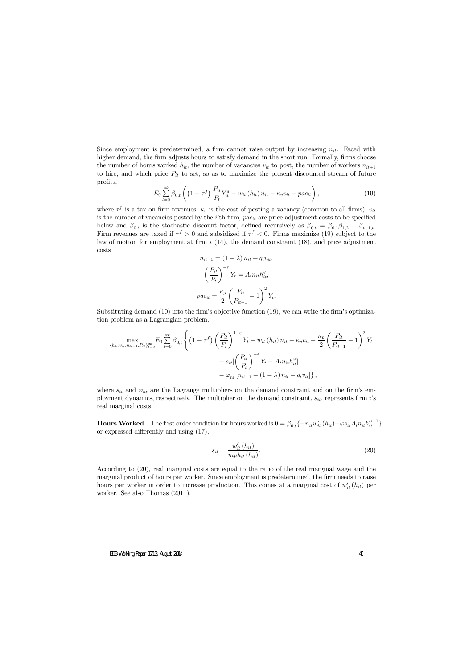Since employment is predetermined, a firm cannot raise output by increasing  $n_{it}$ . Faced with higher demand, the firm adjusts hours to satisfy demand in the short run. Formally, firms choose the number of hours worked  $h_{it}$ , the number of vacancies  $v_{it}$  to post, the number of workers  $n_{it+1}$ to hire, and which price  $P_{it}$  to set, so as to maximize the present discounted stream of future profits,

$$
E_0 \sum_{t=0}^{\infty} \beta_{0,t} \left( \left( 1 - \tau^f \right) \frac{P_{it}}{P_t} Y_{it}^d - w_{it} \left( h_{it} \right) n_{it} - \kappa_v v_{it} - p a c_{it} \right), \tag{19}
$$

where  $\tau^f$  is a tax on firm revenues,  $\kappa_v$  is the cost of posting a vacancy (common to all firms),  $v_{it}$ is the number of vacancies posted by the  $i$ <sup>th</sup> firm,  $pac_{it}$  are price adjustment costs to be specified below and  $\beta_{0,t}$  is the stochastic discount factor, defined recursively as  $\beta_{0,t} = \beta_{0,1}\beta_{1,2} \dots \beta_{t-1,t}$ . Firm revenues are taxed if  $\tau^f > 0$  and subsidized if  $\tau^f < 0$ . Firms maximize (19) subject to the law of motion for employment at firm  $i$  (14), the demand constraint (18), and price adjustment costs

$$
n_{it+1} = (1 - \lambda) n_{it} + q_t v_{it},
$$

$$
\left(\frac{P_{it}}{P_t}\right)^{-\varepsilon} Y_t = A_t n_{it} h_{it}^{\varphi},
$$

$$
p a c_{it} = \frac{\kappa_p}{2} \left(\frac{P_{it}}{P_{it-1}} - 1\right)^2 Y_t.
$$

Substituting demand  $(10)$  into the firm's objective function  $(19)$ , we can write the firm's optimization problem as a Lagrangian problem,

$$
\max_{\{h_{it}, v_{it}, n_{it+1}, P_{it}\}_{t=0}^{\infty}} E_0 \sum_{t=0}^{\infty} \beta_{0,t} \left\{ \left(1 - \tau^f\right) \left(\frac{P_{it}}{P_t}\right)^{1-\varepsilon} Y_t - w_{it} \left(h_{it}\right) n_{it} - \kappa_v v_{it} - \frac{\kappa_p}{2} \left(\frac{P_{it}}{P_{it-1}} - 1\right)^2 Y_t \right. \\ \left. - s_{it} \left[ \left(\frac{P_{it}}{P_t}\right)^{-\varepsilon} Y_t - A_t n_{it} h_{it}^{\varphi} \right] \right. \\ \left. - \varphi_{nt} \left[ n_{it+1} - (1 - \lambda) n_{it} - q_t v_{it} \right] \right\},
$$

where  $s_{it}$  and  $\varphi_{nt}$  are the Lagrange multipliers on the demand constraint and on the firm's employment dynamics, respectively. The multiplier on the demand constraint,  $s_{it}$ , represents firm i's real marginal costs.

**Hours Worked** The first order condition for hours worked is  $0 = \beta_{0,t} \{-n_{it} w'_{it}(h_{it})+\varphi s_{it} A_t n_{it} h_{it}^{\varphi-1}\},$ or expressed differently and using  $(17)$ ,

$$
s_{it} = \frac{w'_{it}(h_{it})}{mph_{it}(h_{it})}.\tag{20}
$$

According to (20), real marginal costs are equal to the ratio of the real marginal wage and the marginal product of hours per worker. Since employment is predetermined, the firm needs to raise hours per worker in order to increase production. This comes at a marginal cost of  $w'_{it}(h_{it})$  per worker. See also Thomas (2011).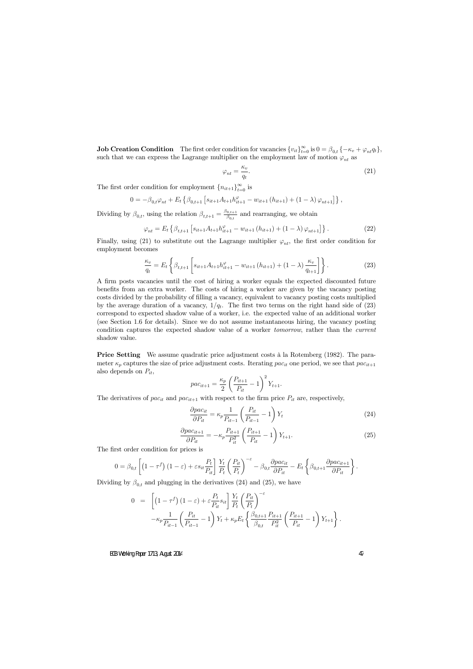**Job Creation Condition** The first order condition for vacancies  $\{v_{it}\}_{t=0}^{\infty}$  is  $0 = \beta_{0,t} \{-\kappa_v + \varphi_{nt} q_t\},\$ such that we can express the Lagrange multiplier on the employment law of motion  $\varphi_{nt}$  as

$$
\varphi_{nt} = \frac{\kappa_v}{q_t}.\tag{21}
$$

The first order condition for employment  $\{n_{it+1}\}_{t=0}^{\infty}$  is

$$
0 = -\beta_{0,t}\varphi_{nt} + E_t \left\{ \beta_{0,t+1} \left[ s_{it+1}A_{t+1}h_{it+1}^{\varphi} - w_{it+1} \left( h_{it+1} \right) + (1-\lambda)\varphi_{nt+1} \right] \right\},
$$

Dividing by  $\beta_{0,t}$ , using the relation  $\beta_{t,t+1} = \frac{\beta_{0,t+1}}{\beta_{0,t}}$  $\frac{0,t+1}{\beta_{0,t}}$  and rearranging, we obtain

$$
\varphi_{nt} = E_t \left\{ \beta_{t,t+1} \left[ s_{it+1} A_{t+1} h_{it+1}^{\varphi} - w_{it+1} \left( h_{it+1} \right) + (1 - \lambda) \varphi_{nt+1} \right] \right\}.
$$
 (22)

Finally, using (21) to substitute out the Lagrange multiplier  $\varphi_{nt}$ , the first order condition for employment becomes

$$
\frac{\kappa_v}{q_t} = E_t \left\{ \beta_{t,t+1} \left[ s_{it+1} A_{t+1} h_{it+1}^{\varphi} - w_{it+1} \left( h_{it+1} \right) + (1 - \lambda) \frac{\kappa_v}{q_{t+1}} \right] \right\}.
$$
 (23)

A Örm posts vacancies until the cost of hiring a worker equals the expected discounted future benefits from an extra worker. The costs of hiring a worker are given by the vacancy posting costs divided by the probability of filling a vacancy, equivalent to vacancy posting costs multiplied by the average duration of a vacancy,  $1/q_t$ . The first two terms on the right hand side of (23) correspond to expected shadow value of a worker, i.e. the expected value of an additional worker (see Section 1.6 for details). Since we do not assume instantaneous hiring, the vacancy posting condition captures the expected shadow value of a worker tomorrow, rather than the current shadow value.

**Price Setting** We assume quadratic price adjustment costs à la Rotemberg (1982). The parameter  $\kappa_p$  captures the size of price adjustment costs. Iterating pac<sub>it</sub> one period, we see that pac<sub>it+1</sub> also depends on  $P_{it}$ ,

$$
pac_{it+1} = \frac{\kappa_p}{2} \left( \frac{P_{it+1}}{P_{it}} - 1 \right)^2 Y_{t+1}.
$$

The derivatives of  $pac_{it}$  and  $pac_{it+1}$  with respect to the firm price  $P_{it}$  are, respectively,

$$
\frac{\partial pac_{it}}{\partial P_{it}} = \kappa_p \frac{1}{P_{it-1}} \left( \frac{P_{it}}{P_{it-1}} - 1 \right) Y_t \tag{24}
$$

$$
\frac{\partial p a c_{it+1}}{\partial P_{it}} = -\kappa_p \frac{P_{it+1}}{P_{it}^2} \left( \frac{P_{it+1}}{P_{it}} - 1 \right) Y_{t+1}.
$$
\n(25)

The first order condition for prices is

$$
0 = \beta_{0,t} \left[ \left( 1 - \tau^f \right) \left( 1 - \varepsilon \right) + \varepsilon s_{it} \frac{P_t}{P_{it}} \right] \frac{Y_t}{P_t} \left( \frac{P_{it}}{P_t} \right)^{-\varepsilon} - \beta_{0,t} \frac{\partial p a c_{it}}{\partial P_{it}} - E_t \left\{ \beta_{0,t+1} \frac{\partial p a c_{it+1}}{\partial P_{it}} \right\}.
$$

Dividing by  $\beta_{0,t}$  and plugging in the derivatives (24) and (25), we have

$$
0 = \left[ (1 - \tau^f) (1 - \varepsilon) + \varepsilon \frac{P_t}{P_{it}} s_{it} \right] \frac{Y_t}{P_t} \left( \frac{P_{it}}{P_t} \right)^{-\varepsilon} -\kappa_p \frac{1}{P_{it-1}} \left( \frac{P_{it}}{P_{it-1}} - 1 \right) Y_t + \kappa_p E_t \left\{ \frac{\beta_{0,t+1}}{\beta_{0,t}} \frac{P_{it+1}}{P_{it}} \left( \frac{P_{it+1}}{P_{it}} - 1 \right) Y_{t+1} \right\}.
$$

ECB Working Paper 1713, August 2014 47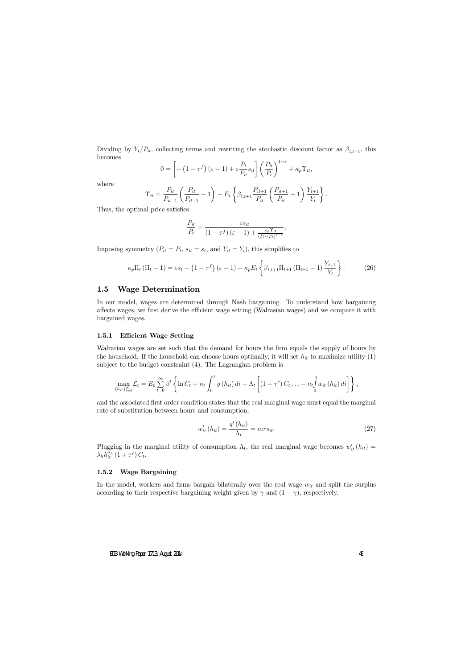Dividing by  $Y_t/P_{it}$ , collecting terms and rewriting the stochastic discount factor as  $\beta_{t,t+1}$ , this becomes

$$
0 = \left[ -\left(1 - \tau^f\right)(\varepsilon - 1) + \varepsilon \frac{P_t}{P_{it}} s_{it} \right] \left( \frac{P_{it}}{P_t} \right)^{1 - \varepsilon} + \kappa_p \Upsilon_{it},
$$

where

$$
\Upsilon_{it} = \frac{P_{it}}{P_{it-1}} \left( \frac{P_{it}}{P_{it-1}} - 1 \right) - E_t \left\{ \beta_{t,t+1} \frac{P_{it+1}}{P_{it}} \left( \frac{P_{it+1}}{P_{it}} - 1 \right) \frac{Y_{t+1}}{Y_t} \right\}.
$$

Thus, the optimal price satisfies

$$
\frac{P_{it}}{P_t} = \frac{\varepsilon s_{it}}{(1 - \tau^f)(\varepsilon - 1) + \frac{\kappa_p \Upsilon_{it}}{(P_{it}/P_t)^{1 - \varepsilon}}}
$$

Imposing symmetry  $(P_{it} = P_t, s_{it} = s_t, \text{ and } Y_{it} = Y_t)$ , this simplifies to

$$
\kappa_p \Pi_t \left( \Pi_t - 1 \right) = \varepsilon s_t - \left( 1 - \tau^f \right) \left( \varepsilon - 1 \right) + \kappa_p E_t \left\{ \beta_{t,t+1} \Pi_{t+1} \left( \Pi_{t+1} - 1 \right) \frac{Y_{t+1}}{Y_t} \right\}.
$$
 (26)

### 1.5 Wage Determination

In our model, wages are determined through Nash bargaining. To understand how bargaining affects wages, we first derive the efficient wage setting (Walrasian wages) and we compare it with bargained wages.

#### 1.5.1 Efficient Wage Setting

Walrarian wages are set such that the demand for hours the firm equals the supply of hours by the household. If the household can choose hours optimally, it will set  $h_{it}$  to maximize utility (1) subject to the budget constraint (4). The Lagrangian problem is

$$
\max_{\{h_{it}\}_{t=0}^{\infty}} \mathcal{L}_t = E_0 \sum_{t=0}^{\infty} \beta^t \left\{ \ln C_t - n_t \int_0^1 g\left(h_{it}\right) di - \Lambda_t \left[ \left(1 + \tau^c\right) C_t \ldots - n_t \int_0^1 w_{it} \left(h_{it}\right) di \right] \right\},\,
$$

and the associated first order condition states that the real marginal wage must equal the marginal rate of substitution between hours and consumption,

$$
w'_{it}(h_{it}) = \frac{g'(h_{it})}{\Lambda_t} = mrs_{it}.
$$
\n
$$
(27)
$$

,

Plugging in the marginal utility of consumption  $\Lambda_t$ , the real marginal wage becomes  $w'_{it}(h_{it}) =$  $\lambda_h h_{it}^{\sigma_h} (1 + \tau^c) C_t.$ 

#### 1.5.2 Wage Bargaining

In the model, workers and firms bargain bilaterally over the real wage  $w_{it}$  and split the surplus according to their respective bargaining weight given by  $\gamma$  and  $(1 - \gamma)$ , respectively.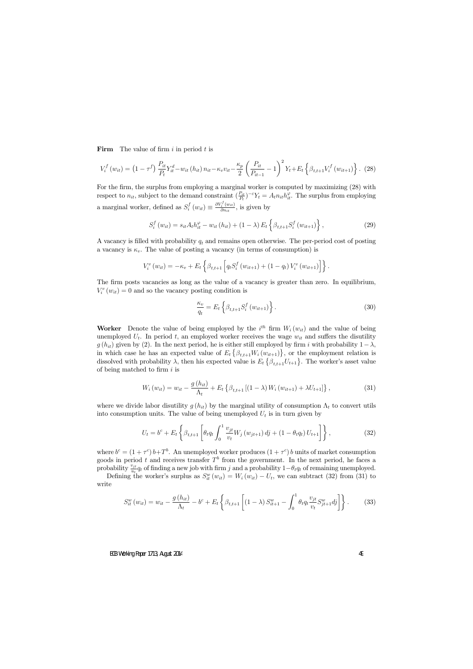Firm The value of firm  $i$  in period  $t$  is

$$
V_i^f(w_{it}) = (1 - \tau^f) \frac{P_{it}}{P_t} Y_{it}^d - w_{it} (h_{it}) n_{it} - \kappa_v v_{it} - \frac{\kappa_p}{2} \left( \frac{P_{it}}{P_{it-1}} - 1 \right)^2 Y_t + E_t \left\{ \beta_{t,t+1} V_i^f(w_{it+1}) \right\}.
$$
 (28)

For the firm, the surplus from employing a marginal worker is computed by maximizing (28) with respect to  $n_{it}$ , subject to the demand constraint  $\left(\frac{P_{it}}{P_{it}}\right)$  $P_{\text{fit}}^{i}$ )<sup>- $\varepsilon$ </sup>Y<sub>t</sub> =  $A_t n_{it} h_{it}^{\varphi}$ . The surplus from employing a marginal worker, defined as  $S_i^f$  $i_j^{f}(w_{it}) \equiv \frac{\partial V_i^f(w_{it})}{\partial n_{it}}$  $\frac{i}{\partial n_{it}}^{(w_{it})}$ , is given by

$$
S_{i}^{f}(w_{it}) = s_{it}A_{t}h_{it}^{\varphi} - w_{it}(h_{it}) + (1 - \lambda) E_{t} \left\{ \beta_{t,t+1} S_{i}^{f}(w_{it+1}) \right\},
$$
\n(29)

A vacancy is filled with probability  $q_t$  and remains open otherwise. The per-period cost of posting a vacancy is  $\kappa_v$ . The value of posting a vacancy (in terms of consumption) is

$$
V_i^v(w_{it}) = -\kappa_v + E_t \left\{ \beta_{t,t+1} \left[ q_t S_i^f(w_{it+1}) + (1 - q_t) V_i^v(w_{it+1}) \right] \right\}.
$$

The firm posts vacancies as long as the value of a vacancy is greater than zero. In equilibrium,  $V_i^v(w_{it}) = 0$  and so the vacancy posting condition is

$$
\frac{\kappa_v}{q_t} = E_t \left\{ \beta_{t,t+1} S_i^f \left( w_{it+1} \right) \right\}.
$$
\n(30)

Worker Denote the value of being employed by the  $i^{th}$  firm  $W_i(w_{it})$  and the value of being unemployed  $U_t$ . In period t, an employed worker receives the wage  $w_{it}$  and suffers the disutility  $g(h_{it})$  given by (2). In the next period, he is either still employed by firm i with probability  $1-\lambda$ , in which case he has an expected value of  $E_t \{\beta_{t,t+1} W_i (w_{it+1})\}$ , or the employment relation is dissolved with probability  $\lambda$ , then his expected value is  $E_t \{\beta_{t,t+1}U_{t+1}\}\.$  The worker's asset value of being matched to firm  $i$  is

$$
W_i(w_{it}) = w_{it} - \frac{g(h_{it})}{\Lambda_t} + E_t \left\{ \beta_{t,t+1} \left[ (1-\lambda) W_i(w_{it+1}) + \lambda U_{t+1} \right] \right\},\tag{31}
$$

where we divide labor disutility  $g(h_{it})$  by the marginal utility of consumption  $\Lambda_t$  to convert utils into consumption units. The value of being unemployed  $U_t$  is in turn given by

$$
U_t = b^c + E_t \left\{ \beta_{t,t+1} \left[ \theta_t q_t \int_0^1 \frac{v_{jt}}{v_t} W_j(w_{jt+1}) \, dj + (1 - \theta_t q_t) \, U_{t+1} \right] \right\},\tag{32}
$$

where  $b^c = (1 + \tau^c) b + T^b$ . An unemployed worker produces  $(1 + \tau^c) b$  units of market consumption goods in period t and receives transfer  $T^b$  from the government. In the next period, he faces a probability  $\frac{v_{jt}}{u_t}q_t$  of finding a new job with firm j and a probability  $1-\theta_tq_t$  of remaining unemployed.

Defining the worker's surplus as  $S_{it}^{w}(w_{it}) = W_i(w_{it}) - U_t$ , we can subtract (32) from (31) to write

$$
S_{it}^{w}(w_{it}) = w_{it} - \frac{g(h_{it})}{\Lambda_t} - b^c + E_t \left\{ \beta_{t,t+1} \left[ (1-\lambda) S_{it+1}^{w} - \int_0^1 \theta_t q_t \frac{v_{jt}}{v_t} S_{jt+1}^{w} dy \right] \right\}.
$$
 (33)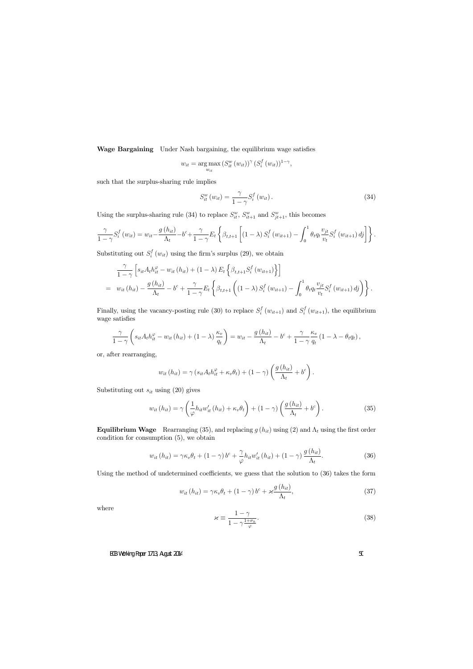Wage Bargaining Under Nash bargaining, the equilibrium wage satisfies

$$
w_{it} = \underset{w_{it}}{\arg \max} (S_{it}^{w}(w_{it}))^{\gamma} (S_{i}^{f}(w_{it}))^{1-\gamma},
$$

such that the surplus-sharing rule implies

$$
S_{it}^{w}(w_{it}) = \frac{\gamma}{1 - \gamma} S_{i}^{f}(w_{it}). \qquad (34)
$$

Using the surplus-sharing rule (34) to replace  $S_{it}^w$ ,  $S_{it+1}^w$  and  $S_{jt+1}^w$ , this becomes

$$
\frac{\gamma}{1-\gamma}S_i^f(w_{it}) = w_{it} - \frac{g(h_{it})}{\Lambda_t} - b^c + \frac{\gamma}{1-\gamma}E_t\left\{\beta_{t,t+1}\left[(1-\lambda)S_i^f(w_{it+1}) - \int_0^1 \theta_t q_t \frac{v_{jt}}{v_t} S_i^f(w_{it+1}) d_j\right]\right\}.
$$

Substituting out  $S_i^f$  $i_i^J(w_{it})$  using the firm's surplus (29), we obtain

$$
\frac{\gamma}{1-\gamma} \left[ s_{it} A_t h_{it}^{\varphi} - w_{it} (h_{it}) + (1-\lambda) E_t \left\{ \beta_{t,t+1} S_i^f (w_{it+1}) \right\} \right]
$$
\n
$$
= w_{it} (h_{it}) - \frac{g(h_{it})}{\Lambda_t} - b^c + \frac{\gamma}{1-\gamma} E_t \left\{ \beta_{t,t+1} \left( (1-\lambda) S_i^f (w_{it+1}) - \int_0^1 \theta_t q_t \frac{v_{jt}}{v_t} S_i^f (w_{it+1}) \, d_j \right) \right\}.
$$

Finally, using the vacancy-posting rule (30) to replace  $S_i^f$  $s_i^f(w_{it+1})$  and  $S_i^f$  $i_{i}^{J}(w_{it+1}),$  the equilibrium wage satisfies

$$
\frac{\gamma}{1-\gamma}\left(s_{it}A_th_{it}^{\varphi}-w_{it}\left(h_{it}\right)+(1-\lambda)\frac{\kappa_v}{q_t}\right)=w_{it}-\frac{g\left(h_{it}\right)}{\Lambda_t}-b^c+\frac{\gamma}{1-\gamma}\frac{\kappa_v}{q_t}\left(1-\lambda-\theta_tq_t\right),
$$

or, after rearranging,

$$
w_{it}(h_{it}) = \gamma (s_{it} A_t h_{it}^{\varphi} + \kappa_v \theta_t) + (1 - \gamma) \left( \frac{g(h_{it})}{\Lambda_t} + b^c \right).
$$

Substituting out  $s_{it}$  using (20) gives

$$
w_{it}(h_{it}) = \gamma \left(\frac{1}{\varphi} h_{it} w'_{it}(h_{it}) + \kappa_v \theta_t\right) + (1 - \gamma) \left(\frac{g(h_{it})}{\Lambda_t} + b^c\right). \tag{35}
$$

**Equilibrium Wage** Rearranging (35), and replacing  $g(h_{it})$  using (2) and  $\Lambda_t$  using the first order condition for consumption (5), we obtain

$$
w_{it}(h_{it}) = \gamma \kappa_v \theta_t + (1 - \gamma) b^c + \frac{\gamma}{\varphi} h_{it} w'_{it}(h_{it}) + (1 - \gamma) \frac{g(h_{it})}{\Lambda_t}.
$$
 (36)

Using the method of undetermined coefficients, we guess that the solution to  $(36)$  takes the form

$$
w_{it}(h_{it}) = \gamma \kappa_v \theta_t + (1 - \gamma) b^c + \varkappa \frac{g(h_{it})}{\Lambda_t},
$$
\n(37)

where

$$
\varkappa \equiv \frac{1 - \gamma}{1 - \gamma \frac{1 + \sigma_h}{\varphi}}.\tag{38}
$$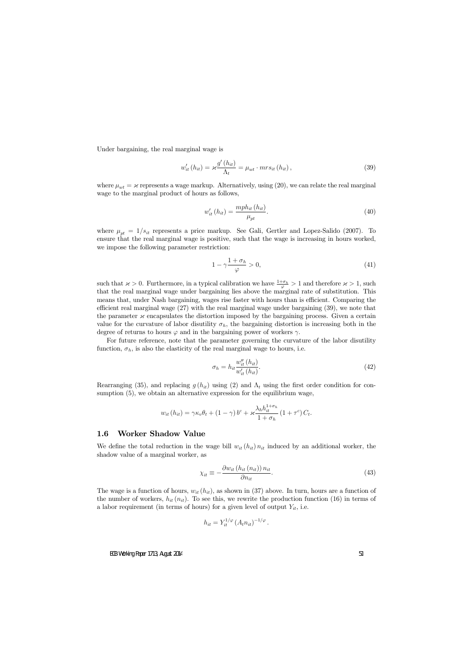Under bargaining, the real marginal wage is

$$
w'_{it}(h_{it}) = \varkappa \frac{g'(h_{it})}{\Lambda_t} = \mu_{wt} \cdot mrs_{it}(h_{it}), \qquad (39)
$$

where  $\mu_{wt} = {\varkappa}$  represents a wage markup. Alternatively, using (20), we can relate the real marginal wage to the marginal product of hours as follows,

$$
w'_{it}\left(h_{it}\right) = \frac{mph_{it}\left(h_{it}\right)}{\mu_{pt}}.\tag{40}
$$

where  $\mu_{pt} = 1/s_{it}$  represents a price markup. See Gali, Gertler and Lopez-Salido (2007). To ensure that the real marginal wage is positive, such that the wage is increasing in hours worked, we impose the following parameter restriction:

$$
1 - \gamma \frac{1 + \sigma_h}{\varphi} > 0,\t\t(41)
$$

such that  $\alpha > 0$ . Furthermore, in a typical calibration we have  $\frac{1+\sigma_h}{\varphi} > 1$  and therefore  $\alpha > 1$ , such that the real marginal wage under bargaining lies above the marginal rate of substitution. This means that, under Nash bargaining, wages rise faster with hours than is efficient. Comparing the efficient real marginal wage  $(27)$  with the real marginal wage under bargaining  $(39)$ , we note that the parameter  ${\mathscr X}$  encapsulates the distortion imposed by the bargaining process. Given a certain value for the curvature of labor disutility  $\sigma_h$ , the bargaining distortion is increasing both in the degree of returns to hours  $\varphi$  and in the bargaining power of workers  $\gamma$ .

For future reference, note that the parameter governing the curvature of the labor disutility function,  $\sigma_h$ , is also the elasticity of the real marginal wage to hours, i.e.

$$
\sigma_h = h_{it} \frac{w_{it}''(h_{it})}{w_{it}'(h_{it})}.
$$
\n
$$
(42)
$$

Rearranging (35), and replacing  $g(h_{it})$  using (2) and  $\Lambda_t$  using the first order condition for consumption (5), we obtain an alternative expression for the equilibrium wage,

$$
w_{it} (h_{it}) = \gamma \kappa_v \theta_t + (1 - \gamma) b^c + \varkappa \frac{\lambda_h h_{it}^{1 + \sigma_h}}{1 + \sigma_h} (1 + \tau^c) C_t.
$$

#### 1.6 Worker Shadow Value

We define the total reduction in the wage bill  $w_{it} (h_{it}) n_{it}$  induced by an additional worker, the shadow value of a marginal worker, as

$$
\chi_{it} \equiv -\frac{\partial w_{it} \left( h_{it} \left( n_{it} \right) \right) n_{it}}{\partial n_{it}}. \tag{43}
$$

The wage is a function of hours,  $w_{it}(h_{it})$ , as shown in (37) above. In turn, hours are a function of the number of workers,  $h_{it}(n_{it})$ . To see this, we rewrite the production function (16) in terms of a labor requirement (in terms of hours) for a given level of output  $Y_{it}$ , i.e.

$$
h_{it} = Y_{it}^{1/\varphi} \left( A_t n_{it} \right)^{-1/\varphi}.
$$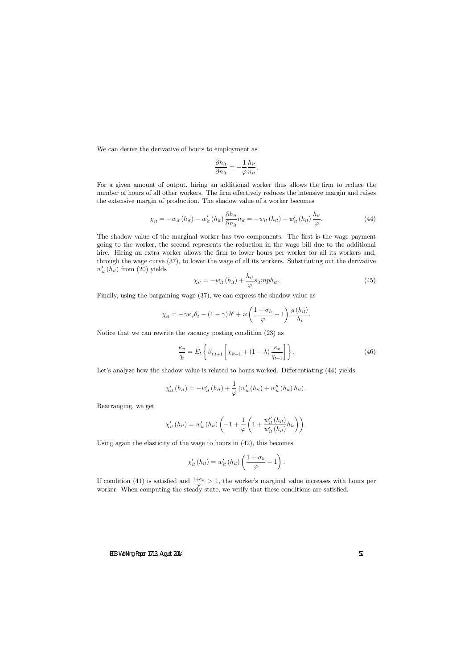We can derive the derivative of hours to employment as

$$
\frac{\partial h_{it}}{\partial n_{it}} = -\frac{1}{\varphi} \frac{h_{it}}{n_{it}},
$$

For a given amount of output, hiring an additional worker thus allows the firm to reduce the number of hours of all other workers. The firm effectively reduces the intensive margin and raises the extensive margin of production. The shadow value of a worker becomes

$$
\chi_{it} = -w_{it} \left( h_{it} \right) - w'_{it} \left( h_{it} \right) \frac{\partial h_{it}}{\partial n_{it}} n_{it} = -w_{it} \left( h_{it} \right) + w'_{it} \left( h_{it} \right) \frac{h_{it}}{\varphi}.
$$
\n(44)

The shadow value of the marginal worker has two components. The first is the wage payment going to the worker, the second represents the reduction in the wage bill due to the additional hire. Hiring an extra worker allows the firm to lower hours per worker for all its workers and, through the wage curve (37), to lower the wage of all its workers. Substituting out the derivative  $w'_{it}(h_{it})$  from  $(20)$  yields

$$
\chi_{it} = -w_{it} \left( h_{it} \right) + \frac{h_{it}}{\varphi} s_{it} m p h_{it}. \tag{45}
$$

Finally, using the bargaining wage (37), we can express the shadow value as

$$
\chi_{it} = -\gamma \kappa_v \theta_t - (1 - \gamma) b^c + \varkappa \left(\frac{1 + \sigma_h}{\varphi} - 1\right) \frac{g(h_{it})}{\Lambda_t}.
$$

Notice that we can rewrite the vacancy posting condition (23) as

$$
\frac{\kappa_v}{q_t} = E_t \left\{ \beta_{t,t+1} \left[ \chi_{it+1} + (1-\lambda) \frac{\kappa_v}{q_{t+1}} \right] \right\}.
$$
\n(46)

Let's analyze how the shadow value is related to hours worked. Differentiating  $(44)$  yields

$$
\chi'_{it}(h_{it}) = -w'_{it}(h_{it}) + \frac{1}{\varphi}(w'_{it}(h_{it}) + w''_{it}(h_{it})h_{it}).
$$

Rearranging, we get

$$
\chi'_{it}(h_{it}) = w'_{it}(h_{it}) \left(-1 + \frac{1}{\varphi} \left(1 + \frac{w''_{it}(h_{it})}{w'_{it}(h_{it})} h_{it}\right)\right).
$$

Using again the elasticity of the wage to hours in (42), this becomes

$$
\chi'_{it}(h_{it}) = w'_{it}(h_{it})\left(\frac{1+\sigma_h}{\varphi}-1\right).
$$

If condition (41) is satisfied and  $\frac{1+\sigma_h}{\sigma} > 1$ , the worker's marginal value increases with hours per worker. When computing the steady state, we verify that these conditions are satisfied.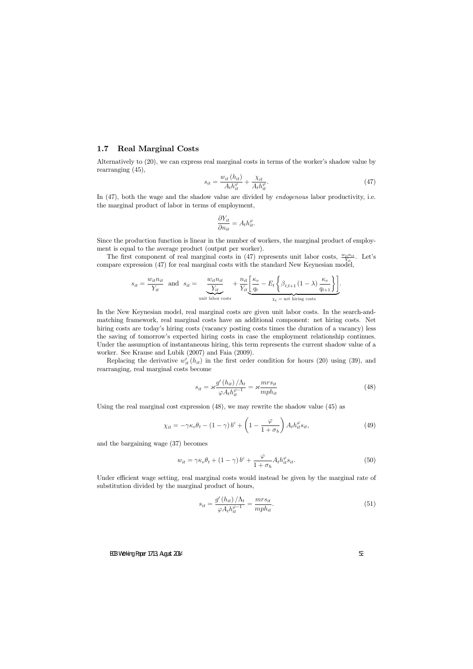### 1.7 Real Marginal Costs

Alternatively to  $(20)$ , we can express real marginal costs in terms of the worker's shadow value by rearranging (45),

$$
s_{it} = \frac{w_{it} \left( h_{it} \right)}{A_t h_{it}^{\varphi}} + \frac{\chi_{it}}{A_t h_{it}^{\varphi}}.
$$
\n
$$
\tag{47}
$$

In  $(47)$ , both the wage and the shadow value are divided by *endogenous* labor productivity, i.e. the marginal product of labor in terms of employment,

$$
\frac{\partial Y_{it}}{\partial n_{it}} = A_t h_{it}^{\varphi}.
$$

Since the production function is linear in the number of workers, the marginal product of employment is equal to the average product (output per worker).

The first component of real marginal costs in (47) represents unit labor costs,  $\frac{w_{it}n_{it}}{Y_{it}}$ . Let's compare expression (47) for real marginal costs with the standard New Keynesian model,

$$
s_{it} = \frac{w_{it} n_{it}}{Y_{it}} \text{ and } s_{it} = \underbrace{\frac{w_{it} n_{it}}{Y_{it}}}_{\text{unit labor costs}} + \frac{n_{it}}{Y_{it}} \underbrace{\left[\frac{\kappa_v}{q_t} - E_t \left\{\beta_{t,t+1} \left(1 - \lambda\right) \frac{\kappa_v}{q_{t+1}}\right\}\right]}_{\chi_t = \text{ net hiring costs}}.
$$

In the New Keynesian model, real marginal costs are given unit labor costs. In the search-andmatching framework, real marginal costs have an additional component: net hiring costs. Net hiring costs are today's hiring costs (vacancy posting costs times the duration of a vacancy) less the saving of tomorrowís expected hiring costs in case the employment relationship continues. Under the assumption of instantaneous hiring, this term represents the current shadow value of a worker. See Krause and Lubik (2007) and Faia (2009).

Replacing the derivative  $w'_{it}(h_{it})$  in the first order condition for hours (20) using (39), and rearranging, real marginal costs become

$$
s_{it} = \varkappa \frac{g'(h_{it})/\Lambda_t}{\varphi A_t h_{it}^{\varphi - 1}} = \varkappa \frac{m r s_{it}}{m p h_{it}} \tag{48}
$$

Using the real marginal cost expression (48), we may rewrite the shadow value (45) as

$$
\chi_{it} = -\gamma \kappa_v \theta_t - (1 - \gamma) b^c + \left( 1 - \frac{\varphi}{1 + \sigma_h} \right) A_t h_{it}^{\varphi} s_{it}, \tag{49}
$$

and the bargaining wage (37) becomes

$$
w_{it} = \gamma \kappa_v \theta_t + (1 - \gamma) b^c + \frac{\varphi}{1 + \sigma_h} A_t h_{it}^{\varphi} s_{it}.
$$
\n
$$
(50)
$$

Under efficient wage setting, real marginal costs would instead be given by the marginal rate of substitution divided by the marginal product of hours,

$$
s_{it} = \frac{g'(h_{it})/\Lambda_t}{\varphi A_t h_{it}^{\varphi - 1}} = \frac{mrs_{it}}{mph_{it}}.\tag{51}
$$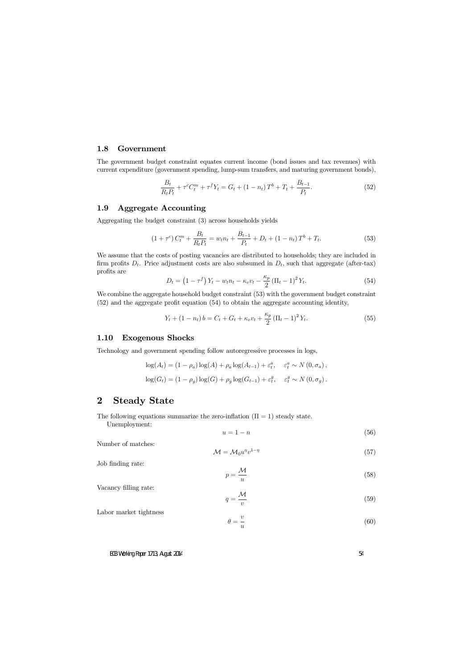### 1.8 Government

The government budget constraint equates current income (bond issues and tax revenues) with current expenditure (government spending, lump-sum transfers, and maturing government bonds),

$$
\frac{B_t}{R_t P_t} + \tau^c C_t^m + \tau^f Y_t = G_t + (1 - n_t) T^b + T_t + \frac{B_{t-1}}{P_t}.
$$
\n(52)

## 1.9 Aggregate Accounting

Aggregating the budget constraint (3) across households yields

$$
(1 + \tau^c) C_t^m + \frac{B_t}{R_t P_t} = w_t n_t + \frac{B_{t-1}}{P_t} + D_t + (1 - n_t) T^b + T_t.
$$
 (53)

We assume that the costs of posting vacancies are distributed to households; they are included in firm profits  $D_t$ . Price adjustment costs are also subsumed in  $D_t$ , such that aggregate (after-tax) profits are

$$
D_t = (1 - \tau^f) Y_t - w_t n_t - \kappa_v v_t - \frac{\kappa_p}{2} (\Pi_t - 1)^2 Y_t.
$$
 (54)

We combine the aggregate household budget constraint  $(53)$  with the government budget constraint  $(52)$  and the aggregate profit equation  $(54)$  to obtain the aggregate accounting identity,

$$
Y_t + (1 - n_t) b = C_t + G_t + \kappa_v v_t + \frac{\kappa_p}{2} (\Pi_t - 1)^2 Y_t.
$$
 (55)

### 1.10 Exogenous Shocks

Technology and government spending follow autoregressive processes in logs,

$$
\log(A_t) = (1 - \rho_a) \log(A) + \rho_a \log(A_{t-1}) + \varepsilon_t^a, \quad \varepsilon_t^a \sim N(0, \sigma_a),
$$
  

$$
\log(G_t) = (1 - \rho_g) \log(G) + \rho_g \log(G_{t-1}) + \varepsilon_t^g, \quad \varepsilon_t^g \sim N(0, \sigma_g).
$$

## 2 Steady State

The following equations summarize the zero-inflation  $(\Pi = 1)$  steady state.

Unemployment:

$$
u = 1 - n \tag{56}
$$

Number of matches:

$$
\mathcal{M} = \mathcal{M}_0 u^{\eta} v^{1-\eta} \tag{57}
$$

Job finding rate:

$$
p = \frac{\mathcal{M}}{u} \tag{58}
$$

Vacancy filling rate:

$$
q = \frac{\mathcal{M}}{v} \tag{59}
$$

Labor market tightness

$$
\theta = \frac{v}{u} \tag{60}
$$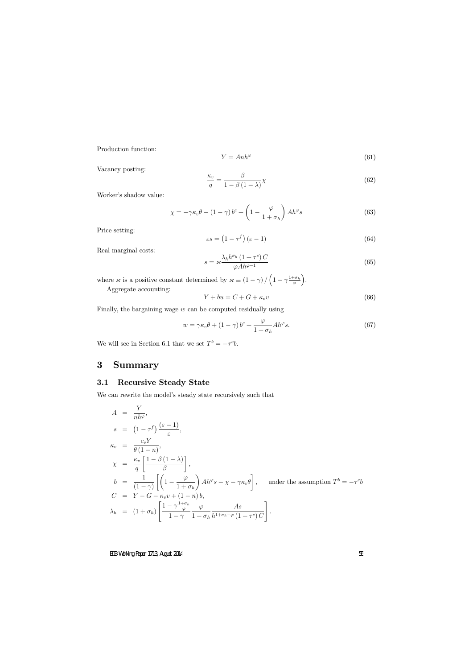Production function:

$$
Y = Anh^{\varphi} \tag{61}
$$

Vacancy posting:

$$
\frac{\kappa_v}{q} = \frac{\beta}{1 - \beta (1 - \lambda)} \chi \tag{62}
$$

Worker's shadow value:

$$
\chi = -\gamma \kappa_v \theta - (1 - \gamma) b^c + \left(1 - \frac{\varphi}{1 + \sigma_h}\right) A h^{\varphi} s \tag{63}
$$

Price setting:

$$
\varepsilon s = \left(1 - \tau^f\right)\left(\varepsilon - 1\right) \tag{64}
$$

Real marginal costs:

$$
s = \varkappa \frac{\lambda_h h^{\sigma_h} \left(1 + \tau^c\right) C}{\varphi A h^{\varphi - 1}}\tag{65}
$$

where  $\varkappa$  is a positive constant determined by  $\varkappa \equiv (1 - \gamma) / (1 - \gamma \frac{1 + \sigma_h}{\varphi})$  $\varphi$ .

Aggregate accounting:

$$
Y + bu = C + G + \kappa_v v \tag{66}
$$

Finally, the bargaining wage  $w$  can be computed residually using

$$
w = \gamma \kappa_v \theta + (1 - \gamma) b^c + \frac{\varphi}{1 + \sigma_h} A h^{\varphi} s.
$$
 (67)

We will see in Section 6.1 that we set  $T^b = -\tau^c b$ .

## 3 Summary

## 3.1 Recursive Steady State

We can rewrite the model's steady state recursively such that

$$
A = \frac{Y}{nh^{\varphi}},
$$
  
\n
$$
s = (1 - \tau^{f}) \frac{(\varepsilon - 1)}{\varepsilon},
$$
  
\n
$$
\kappa_{v} = \frac{c_{v}Y}{\theta(1 - n)},
$$
  
\n
$$
\chi = \frac{\kappa_{v}}{q} \left[ \frac{1 - \beta(1 - \lambda)}{\beta} \right],
$$
  
\n
$$
b = \frac{1}{(1 - \gamma)} \left[ \left( 1 - \frac{\varphi}{1 + \sigma_{h}} \right) Ah^{\varphi} s - \chi - \gamma \kappa_{v} \theta \right],
$$
 under the assumption  $T^{b} = -\tau^{c} b$   
\n
$$
C = Y - G - \kappa_{v} v + (1 - n) b,
$$
  
\n
$$
\lambda_{h} = (1 + \sigma_{h}) \left[ \frac{1 - \gamma \frac{1 + \sigma_{h}}{\varphi} \quad \varphi}{1 - \gamma} \frac{As}{1 + \sigma_{h} h^{1 + \sigma_{h} - \varphi} (1 + \tau^{c}) C} \right].
$$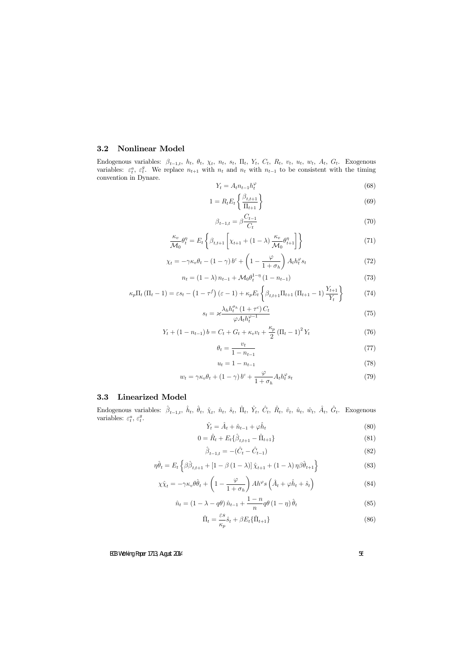## 3.2 Nonlinear Model

Endogenous variables:  $\beta_{t-1,t}$ ,  $h_t$ ,  $\theta_t$ ,  $\chi_t$ ,  $n_t$ ,  $s_t$ ,  $\Pi_t$ ,  $Y_t$ ,  $C_t$ ,  $R_t$ ,  $v_t$ ,  $u_t$ ,  $w_t$ ,  $A_t$ ,  $G_t$ . Exogenous variables:  $\varepsilon_t^a$ ,  $\varepsilon_t^g$ <sup>g</sup>. We replace  $n_{t+1}$  with  $n_t$  and  $n_t$  with  $n_{t-1}$  to be consistent with the timing convention in Dynare.

$$
Y_t = A_t n_{t-1} h_t^{\varphi} \tag{68}
$$

$$
1 = R_t E_t \left\{ \frac{\beta_{t,t+1}}{\Pi_{t+1}} \right\} \tag{69}
$$

$$
\beta_{t-1,t} = \beta \frac{C_{t-1}}{C_t} \tag{70}
$$

$$
\frac{\kappa_v}{\mathcal{M}_0} \theta_t^{\eta} = E_t \left\{ \beta_{t,t+1} \left[ \chi_{t+1} + (1 - \lambda) \frac{\kappa_v}{\mathcal{M}_0} \theta_{t+1}^{\eta} \right] \right\}
$$
(71)

$$
\chi_t = -\gamma \kappa_v \theta_t - (1 - \gamma) b^c + \left(1 - \frac{\varphi}{1 + \sigma_h}\right) A_t h_t^{\varphi} s_t \tag{72}
$$

$$
n_{t} = (1 - \lambda) n_{t-1} + \mathcal{M}_0 \theta_t^{1-\eta} (1 - n_{t-1})
$$
\n(73)

$$
\kappa_p \Pi_t \left( \Pi_t - 1 \right) = \varepsilon s_t - \left( 1 - \tau^f \right) \left( \varepsilon - 1 \right) + \kappa_p E_t \left\{ \beta_{t,t+1} \Pi_{t+1} \left( \Pi_{t+1} - 1 \right) \frac{Y_{t+1}}{Y_t} \right\} \tag{74}
$$

$$
s_t = \varkappa \frac{\lambda_h h_t^{\sigma_h} \left(1 + \tau^c\right) C_t}{\varphi A_t h_t^{\varphi - 1}}\tag{75}
$$

$$
Y_t + (1 - n_{t-1}) b = C_t + G_t + \kappa_v v_t + \frac{\kappa_p}{2} (\Pi_t - 1)^2 Y_t
$$
\n(76)

$$
\theta_t = \frac{v_t}{1 - n_{t-1}}\tag{77}
$$

$$
u_t = 1 - n_{t-1} \tag{78}
$$

$$
w_t = \gamma \kappa_v \theta_t + (1 - \gamma) b^c + \frac{\varphi}{1 + \sigma_h} A_t h_t^{\varphi} s_t \tag{79}
$$

## 3.3 Linearized Model

Endogenous variables:  $\hat{\beta}_{t-1,t}$ ,  $\hat{h}_t$ ,  $\hat{\theta}_t$ ,  $\hat{\chi}_t$ ,  $\hat{n}_t$ ,  $\hat{s}_t$ ,  $\hat{\Pi}_t$ ,  $\hat{Y}_t$ ,  $\hat{C}_t$ ,  $\hat{R}_t$ ,  $\hat{v}_t$ ,  $\hat{u}_t$ ,  $\hat{w}_t$ ,  $\hat{A}_t$ ,  $\hat{G}_t$ . Exogenous variables:  $\varepsilon_t^a$ ,  $\varepsilon_t^g$  $_t^g$ .

$$
\hat{Y}_t = \hat{A}_t + \hat{n}_{t-1} + \varphi \hat{h}_t \tag{80}
$$

$$
0 = \hat{R}_t + E_t \{\hat{\beta}_{t,t+1} - \hat{\Pi}_{t+1}\}\tag{81}
$$

$$
\hat{\beta}_{t-1,t} = -(\hat{C}_t - \hat{C}_{t-1})
$$
\n(82)

$$
\eta \hat{\theta}_t = E_t \left\{ \beta \hat{\beta}_{t,t+1} + \left[ 1 - \beta \left( 1 - \lambda \right) \right] \hat{\chi}_{t+1} + \left( 1 - \lambda \right) \eta \beta \hat{\theta}_{t+1} \right\} \tag{83}
$$

$$
\chi \hat{\chi}_t = -\gamma \kappa_v \theta \hat{\theta}_t + \left(1 - \frac{\varphi}{1 + \sigma_h}\right) Ah^{\varphi} s \left(\hat{A}_t + \varphi \hat{h}_t + \hat{s}_t\right) \tag{84}
$$

$$
\hat{n}_t = \left(1 - \lambda - q\theta\right)\hat{n}_{t-1} + \frac{1-n}{n}q\theta\left(1 - \eta\right)\hat{\theta}_t\tag{85}
$$

$$
\hat{\Pi}_t = \frac{\varepsilon s}{\kappa_p} \hat{s}_t + \beta E_t \{ \hat{\Pi}_{t+1} \} \tag{86}
$$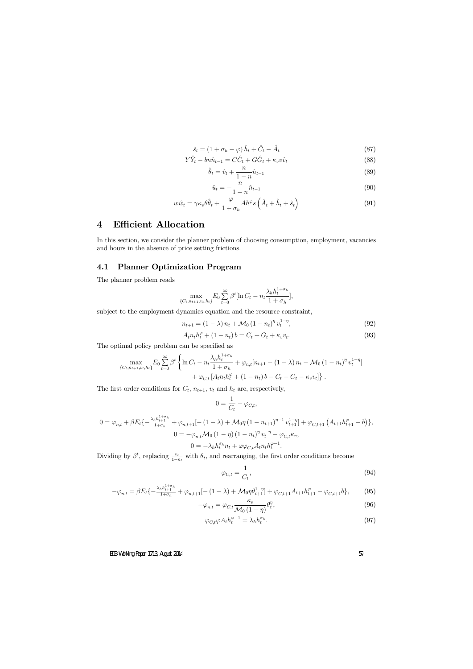$$
\hat{s}_t = (1 + \sigma_h - \varphi)\,\hat{h}_t + \hat{C}_t - \hat{A}_t \tag{87}
$$

$$
Y\hat{Y}_t - bn\hat{n}_{t-1} = C\hat{C}_t + G\hat{G}_t + \kappa_v v\hat{v}_t
$$
\n
$$
(88)
$$

$$
\hat{\theta}_t = \hat{v}_t + \frac{n}{1 - n}\hat{n}_{t-1}
$$
\n(89)

$$
\hat{u}_t = -\frac{n}{1-n}\hat{n}_{t-1} \tag{90}
$$

$$
w\hat{w}_t = \gamma \kappa_v \theta \hat{\theta}_t + \frac{\varphi}{1 + \sigma_h} Ah^{\varphi} s \left(\hat{A}_t + \hat{h}_t + \hat{s}_t\right)
$$
(91)

## 4 Efficient Allocation

In this section, we consider the planner problem of choosing consumption, employment, vacancies and hours in the absence of price setting frictions.

## 4.1 Planner Optimization Program

The planner problem reads

$$
\max_{\{C_t, n_{t+1}, v_t, h_t\}} E_0 \sum_{t=0}^{\infty} \beta^t [\ln C_t - n_t \frac{\lambda_h h_t^{1+\sigma_h}}{1+\sigma_h}],
$$

subject to the employment dynamics equation and the resource constraint,

$$
n_{t+1} = (1 - \lambda) n_t + \mathcal{M}_0 (1 - n_t)^{\eta} v_t^{1 - \eta}, \tag{92}
$$

$$
A_t n_t h_t^{\varphi} + (1 - n_t) b = C_t + G_t + \kappa_v v_t.
$$
\n
$$
(93)
$$

The optimal policy problem can be specified as

$$
\max_{\{C_t, n_{t+1}, v_t, h_t\}} E_0 \sum_{t=0}^{\infty} \beta^t \left\{ \ln C_t - n_t \frac{\lambda_h h_t^{1+\sigma_h}}{1+\sigma_h} + \varphi_{n,t} [n_{t+1} - (1-\lambda) n_t - \mathcal{M}_0 (1-n_t)^{\eta} v_t^{1-\eta}] + \varphi_{C,t} [A_t n_t h_t^{\varphi} + (1-n_t) b - C_t - G_t - \kappa_v v_t] \right\}.
$$

The first order conditions for  $C_t$ ,  $n_{t+1}$ ,  $v_t$  and  $h_t$  are, respectively,

$$
0 = \frac{1}{C_t} - \varphi_{C,t},
$$

$$
0 = \varphi_{n,t} + \beta E_t \left\{ -\frac{\lambda_h h_{t+1}^{1+\sigma_h}}{1+\sigma_h} + \varphi_{n,t+1} \left[ -(1-\lambda) + \mathcal{M}_0 \eta \left( 1 - n_{t+1} \right)^{\eta-1} v_{t+1}^{1-\eta} \right] + \varphi_{C,t+1} \left( A_{t+1} h_{t+1}^{\varphi} - b \right) \right\},
$$
  

$$
0 = -\varphi_{n,t} \mathcal{M}_0 \left( 1 - \eta \right) \left( 1 - n_t \right)^{\eta} v_t^{-\eta} - \varphi_{C,t} \kappa_v,
$$
  

$$
0 = -\lambda_h h_t^{\sigma_h} n_t + \varphi \varphi_{C,t} A_t n_t h_t^{\varphi-1}.
$$

Dividing by  $\beta^t$ , replacing  $\frac{v_t}{1-n_t}$  with  $\theta_t$ , and rearranging, the first order conditions become

$$
\varphi_{C,t} = \frac{1}{C_t},\tag{94}
$$

$$
-\varphi_{n,t} = \beta E_t \left\{ -\frac{\lambda_h h_{t+1}^{1+\sigma_h}}{1+\sigma_h} + \varphi_{n,t+1} \left[ -(1-\lambda) + \mathcal{M}_0 \eta \theta_{t+1}^{1-\eta} \right] + \varphi_{C,t+1} A_{t+1} h_{t+1}^{\varphi} - \varphi_{C,t+1} b \right\},\tag{95}
$$

$$
-\varphi_{n,t} = \varphi_{C,t} \frac{\kappa_v}{\mathcal{M}_0 \left(1 - \eta\right)} \theta_t^{\eta},\tag{96}
$$

$$
\varphi_{C,t}\varphi A_t h_t^{\varphi-1} = \lambda_h h_t^{\sigma_h}.\tag{97}
$$

#### ECB Working Paper 1713, August 2014 57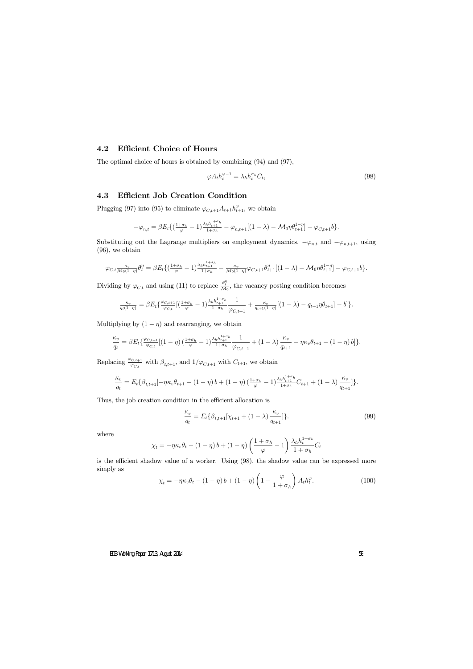### 4.2 Efficient Choice of Hours

The optimal choice of hours is obtained by combining (94) and (97),

$$
\varphi A_t h_t^{\varphi - 1} = \lambda_h h_t^{\sigma_h} C_t,\tag{98}
$$

## 4.3 Efficient Job Creation Condition

Plugging (97) into (95) to eliminate  $\varphi_{C,t+1} A_{t+1} h_{t+1}^{\varphi}$ , we obtain

$$
-\varphi_{n,t} = \beta E_t \{ \left( \frac{1+\sigma_h}{\varphi} - 1 \right) \frac{\lambda_h h_{t+1}^{1+\sigma_h}}{1+\sigma_h} - \varphi_{n,t+1} [(1-\lambda) - \mathcal{M}_0 \eta \theta_{t+1}^{1-\eta}] - \varphi_{C,t+1} b \}.
$$

Substituting out the Lagrange multipliers on employment dynamics,  $-\varphi_{n,t}$  and  $-\varphi_{n,t+1}$ , using (96), we obtain

$$
\varphi_{C,t} \frac{\kappa_v}{\mathcal{M}_0(1-\eta)} \theta_t^{\eta} = \beta E_t \left\{ \left( \frac{1+\sigma_h}{\varphi} - 1 \right) \frac{\lambda_h h_{t+1}^{1+\sigma_h}}{1+\sigma_h} - \frac{\kappa_v}{\mathcal{M}_0(1-\eta)} \varphi_{C,t+1} \theta_{t+1}^{\eta} \left[ (1-\lambda) - \mathcal{M}_0 \eta \theta_{t+1}^{1-\eta} \right] - \varphi_{C,t+1} b \right\}.
$$

Dividing by  $\varphi_{C,t}$  and using (11) to replace  $\frac{\theta_t^n}{\mathcal{M}}$  $\frac{\partial \tilde{t}}{\partial A_0}$ , the vacancy posting condition becomes

$$
\frac{\kappa_v}{q_t(1-\eta)} = \beta E_t \{ \frac{\varphi_{C,t+1}}{\varphi_{C,t}} [(\frac{1+\sigma_h}{\varphi}-1) \frac{\lambda_h h_{t+1}^{1+\sigma_h}}{1+\sigma_h} \frac{1}{\varphi_{C,t+1}} + \frac{\kappa_v}{q_{t+1}(1-\eta)} [(1-\lambda) - q_{t+1}\eta \theta_{t+1}] - b] \}.
$$

Multiplying by  $(1 - \eta)$  and rearranging, we obtain

$$
\frac{\kappa_v}{q_t} = \beta E_t \left\{ \frac{\varphi_{C,t+1}}{\varphi_{C,t}} \left[ (1-\eta) \left( \frac{1+\sigma_h}{\varphi} - 1 \right) \frac{\lambda_h h_{t+1}^{1+\sigma_h}}{1+\sigma_h} \frac{1}{\varphi_{C,t+1}} + (1-\lambda) \frac{\kappa_v}{q_{t+1}} - \eta \kappa_v \theta_{t+1} - (1-\eta) b \right] \right\}.
$$

Replacing  $\frac{\varphi_{C,t+1}}{\varphi_{C,t}}$  with  $\beta_{t,t+1}$ , and  $1/\varphi_{C,t+1}$  with  $C_{t+1}$ , we obtain

$$
\frac{\kappa_v}{q_t} = E_t \{ \beta_{t,t+1}[-\eta \kappa_v \theta_{t+1} - (1-\eta) b + (1-\eta) \left( \frac{1+\sigma_h}{\varphi} - 1 \right) \frac{\lambda_h h_{t+1}^{1+\sigma_h}}{1+\sigma_h} C_{t+1} + (1-\lambda) \frac{\kappa_v}{q_{t+1}}] \}.
$$

Thus, the job creation condition in the efficient allocation is

$$
\frac{\kappa_v}{q_t} = E_t \{ \beta_{t,t+1} [\chi_{t+1} + (1 - \lambda) \frac{\kappa_v}{q_{t+1}}] \}.
$$
\n(99)

where

$$
\chi_t = -\eta \kappa_v \theta_t - (1 - \eta) b + (1 - \eta) \left( \frac{1 + \sigma_h}{\varphi} - 1 \right) \frac{\lambda_h h_t^{1 + \sigma_h}}{1 + \sigma_h} C_t
$$

is the efficient shadow value of a worker. Using  $(98)$ , the shadow value can be expressed more simply as

$$
\chi_t = -\eta \kappa_v \theta_t - (1 - \eta) b + (1 - \eta) \left( 1 - \frac{\varphi}{1 + \sigma_h} \right) A_t h_t^{\varphi}.
$$
 (100)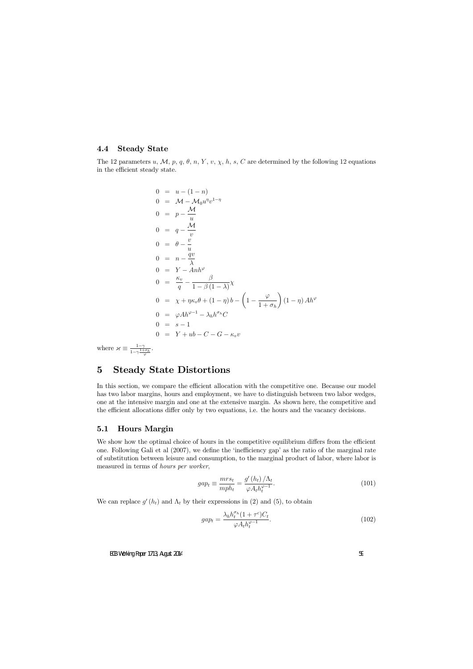### 4.4 Steady State

The 12 parameters u, M, p, q,  $\theta$ , n, Y, v,  $\chi$ , h, s, C are determined by the following 12 equations in the efficient steady state.

$$
0 = u - (1 - n)
$$
  
\n
$$
0 = M - M_0 u^{\eta} v^{1-\eta}
$$
  
\n
$$
0 = p - \frac{M}{u}
$$
  
\n
$$
0 = q - \frac{M}{v}
$$
  
\n
$$
0 = \theta - \frac{v}{u}
$$
  
\n
$$
0 = n - \frac{qv}{\lambda}
$$
  
\n
$$
0 = Y - Anh^{\varphi}
$$
  
\n
$$
0 = \frac{\kappa_v}{q} - \frac{\beta}{1 - \beta(1 - \lambda)} \chi
$$
  
\n
$$
0 = \chi + \eta \kappa_v \theta + (1 - \eta) b - \left(1 - \frac{\varphi}{1 + \sigma_h}\right) (1 - \eta) Ah^{\varphi}
$$
  
\n
$$
0 = \varphi Ah^{\varphi - 1} - \lambda_h h^{\sigma_h} C
$$
  
\n
$$
0 = s - 1
$$
  
\n
$$
0 = Y + ub - C - G - \kappa_v v
$$

where  $\alpha \equiv \frac{1-\gamma}{1-\gamma^{\frac{1}{n}}}$  $1-\gamma\frac{1+\sigma_h}{\varphi}$ 

## 5 Steady State Distortions

In this section, we compare the efficient allocation with the competitive one. Because our model has two labor margins, hours and employment, we have to distinguish between two labor wedges, one at the intensive margin and one at the extensive margin. As shown here, the competitive and the efficient allocations differ only by two equations, i.e. the hours and the vacancy decisions.

## 5.1 Hours Margin

We show how the optimal choice of hours in the competitive equilibrium differs from the efficient one. Following Gali et al  $(2007)$ , we define the 'inefficiency gap' as the ratio of the marginal rate of substitution between leisure and consumption, to the marginal product of labor, where labor is measured in terms of hours per worker,

$$
gap_t \equiv \frac{mrs_t}{mph_t} = \frac{g'(h_t)/\Lambda_t}{\varphi A_t h_t^{\varphi^{-1}}}.
$$
\n(101)

We can replace  $g'(h_t)$  and  $\Lambda_t$  by their expressions in (2) and (5), to obtain

$$
gap_t = \frac{\lambda_h h_t^{\sigma_h} (1 + \tau^c) C_t}{\varphi A_t h_t^{\varphi - 1}}.
$$
\n(102)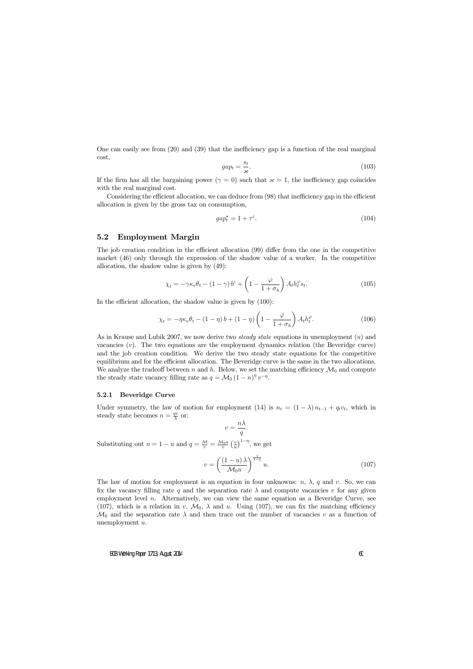One can easily see from  $(20)$  and  $(39)$  that the inefficiency gap is a function of the real marginal cost,

$$
gap_t = \frac{s_t}{\varkappa}.\tag{103}
$$

If the firm has all the bargaining power ( $\gamma = 0$ ) such that  $\kappa = 1$ , the inefficiency gap coincides with the real marginal cost.

Considering the efficient allocation, we can deduce from  $(98)$  that inefficiency gap in the efficient allocation is given by the gross tax on consumption,

$$
gap_t^* = 1 + \tau^c. \tag{104}
$$

### 5.2 Employment Margin

The job creation condition in the efficient allocation (99) differ from the one in the competitive market (46) only through the expression of the shadow value of a worker. In the competitive allocation, the shadow value is given by (49):

$$
\chi_t = -\gamma \kappa_v \theta_t - (1 - \gamma) b^c + \left(1 - \frac{\varphi}{1 + \sigma_h}\right) A_t h_t^{\varphi} s_t.
$$
\n(105)

In the efficient allocation, the shadow value is given by  $(100)$ :

$$
\chi_t = -\eta \kappa_v \theta_t - (1 - \eta) b + (1 - \eta) \left( 1 - \frac{\varphi}{1 + \sigma_h} \right) A_t h_t^{\varphi}.
$$
 (106)

As in Krause and Lubik 2007, we now derive two *steady state* equations in unemployment (u) and vacancies  $(v)$ . The two equations are the employment dynamics relation (the Beveridge curve) and the job creation condition. We derive the two steady state equations for the competitive equilibrium and for the efficient allocation. The Beveridge curve is the same in the two allocations. We analyze the tradeoff between n and h. Below, we set the matching efficiency  $\mathcal{M}_0$  and compute the steady state vacancy filling rate as  $q = \mathcal{M}_0 (1 - n)^{\eta} v^{-\eta}$ .

#### 5.2.1 Beveridge Curve

Under symmetry, the law of motion for employment (14) is  $n_t = (1 - \lambda) n_{t-1} + q_t v_t$ , which in steady state becomes  $n = \frac{qv}{\lambda}$  $\frac{qv}{\lambda}$  or:

$$
v = \frac{n\lambda}{q}.
$$

Substituting out  $n = 1 - u$  and  $q = \frac{\mathcal{M}}{v} = \frac{\mathcal{M}_0 u}{v} \left(\frac{v}{u}\right)$  $\left(\frac{v}{u}\right)^{1-\eta}$ , we get

$$
v = \left(\frac{(1-u)\lambda}{\mathcal{M}_0 u}\right)^{\frac{1}{1-\eta}} u.
$$
\n(107)

The law of motion for employment is an equation in four unknowns:  $n, \lambda, q$  and v. So, we can fix the vacancy filling rate q and the separation rate  $\lambda$  and compute vacancies v for any given employment level  $n$ . Alternatively, we can view the same equation as a Beveridge Curve, see (107), which is a relation in v,  $\mathcal{M}_0$ ,  $\lambda$  and u. Using (107), we can fix the matching efficiency  $\mathcal{M}_0$  and the separation rate  $\lambda$  and then trace out the number of vacancies v as a function of unemployment u.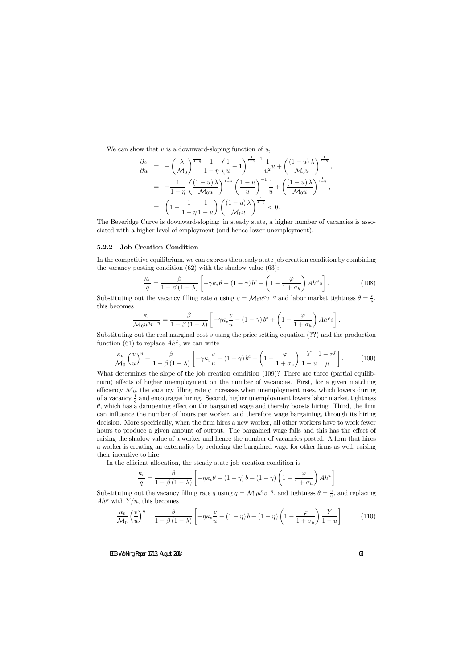We can show that  $v$  is a downward-sloping function of  $u$ ,

$$
\frac{\partial v}{\partial u} = -\left(\frac{\lambda}{\mathcal{M}_0}\right)^{\frac{1}{1-\eta}} \frac{1}{1-\eta} \left(\frac{1}{u} - 1\right)^{\frac{1}{1-\eta}-1} \frac{1}{u^2} u + \left(\frac{(1-u)\lambda}{\mathcal{M}_0 u}\right)^{\frac{1}{1-\eta}},
$$
  
\n
$$
= -\frac{1}{1-\eta} \left(\frac{(1-u)\lambda}{\mathcal{M}_0 u}\right)^{\frac{1}{1-\eta}} \left(\frac{1-u}{u}\right)^{-1} \frac{1}{u} + \left(\frac{(1-u)\lambda}{\mathcal{M}_0 u}\right)^{\frac{1}{1-\eta}},
$$
  
\n
$$
= \left(1 - \frac{1}{1-\eta} \frac{1}{1-u}\right) \left(\frac{(1-u)\lambda}{\mathcal{M}_0 u}\right)^{\frac{1}{1-\eta}} < 0.
$$

The Beveridge Curve is downward-sloping: in steady state, a higher number of vacancies is associated with a higher level of employment (and hence lower unemployment).

#### 5.2.2 Job Creation Condition

In the competitive equilibrium, we can express the steady state job creation condition by combining the vacancy posting condition (62) with the shadow value (63):

$$
\frac{\kappa_v}{q} = \frac{\beta}{1 - \beta (1 - \lambda)} \left[ -\gamma \kappa_v \theta - (1 - \gamma) b^c + \left( 1 - \frac{\varphi}{1 + \sigma_h} \right) A h^{\varphi} s \right].
$$
 (108)

Substituting out the vacancy filling rate q using  $q = \mathcal{M}_0 u^{\eta} v^{-\eta}$  and labor market tightness  $\theta = \frac{v}{u}$  $\frac{v}{u}$ , this becomes

$$
\frac{\kappa_v}{\mathcal{M}_0 u^{\eta} v^{-\eta}} = \frac{\beta}{1 - \beta (1 - \lambda)} \left[ -\gamma \kappa_v \frac{v}{u} - (1 - \gamma) b^c + \left( 1 - \frac{\varphi}{1 + \sigma_h} \right) A h^{\varphi} s \right].
$$

Substituting out the real marginal cost s using the price setting equation (??) and the production function (61) to replace  $Ah^{\varphi}$ , we can write

$$
\frac{\kappa_v}{\mathcal{M}_0} \left(\frac{v}{u}\right)^{\eta} = \frac{\beta}{1 - \beta(1 - \lambda)} \left[ -\gamma \kappa_v \frac{v}{u} - (1 - \gamma) b^c + \left(1 - \frac{\varphi}{1 + \sigma_h}\right) \frac{Y}{1 - u} \frac{1 - \tau^f}{\mu} \right].
$$
 (109)

What determines the slope of the job creation condition (109)? There are three (partial equilibrium) effects of higher unemployment on the number of vacancies. First, for a given matching efficiency  $\mathcal{M}_0$ , the vacancy filling rate q increases when unemployment rises, which lowers during of a vacancy  $\frac{1}{q}$  and encourages hiring. Second, higher unemployment lowers labor market tightness  $\theta$ , which has a dampening effect on the bargained wage and thereby boosts hiring. Third, the firm can influence the number of hours per worker, and therefore wage bargaining, through its hiring decision. More specifically, when the firm hires a new worker, all other workers have to work fewer hours to produce a given amount of output. The bargained wage falls and this has the effect of raising the shadow value of a worker and hence the number of vacancies posted. A firm that hires a worker is creating an externality by reducing the bargained wage for other firms as well, raising their incentive to hire.

In the efficient allocation, the steady state job creation condition is

$$
\frac{\kappa_v}{q} = \frac{\beta}{1 - \beta (1 - \lambda)} \left[ -\eta \kappa_v \theta - (1 - \eta) b + (1 - \eta) \left( 1 - \frac{\varphi}{1 + \sigma_h} \right) A h^{\varphi} \right]
$$

Substituting out the vacancy filling rate q using  $q = \mathcal{M}_0 u^{\eta} v^{-\eta}$ , and tightness  $\theta = \frac{v}{u}$  $\frac{v}{u}$ , and replacing  $Ah^{\varphi}$  with  $Y/n$ , this becomes

$$
\frac{\kappa_v}{\mathcal{M}_0} \left(\frac{v}{u}\right)^{\eta} = \frac{\beta}{1 - \beta(1 - \lambda)} \left[ -\eta \kappa_v \frac{v}{u} - (1 - \eta) b + (1 - \eta) \left(1 - \frac{\varphi}{1 + \sigma_h}\right) \frac{Y}{1 - u} \right] \tag{110}
$$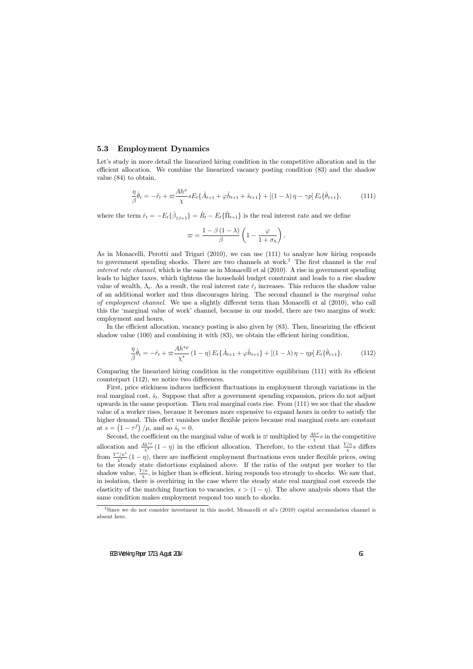### 5.3 Employment Dynamics

Let's study in more detail the linearized hiring condition in the competitive allocation and in the efficient allocation. We combine the linearized vacancy posting condition (83) and the shadow value (84) to obtain,

$$
\frac{\eta}{\beta}\hat{\theta}_t = -\hat{r}_t + \varpi \frac{Ah^{\varphi}}{\chi} s E_t \{\hat{A}_{t+1} + \varphi \hat{h}_{t+1} + \hat{s}_{t+1}\} + \left[ (1-\lambda)\,\eta - \gamma p \right] E_t \{\hat{\theta}_{t+1}\},\tag{111}
$$

where the term  $\hat{r}_t = -E_t\{\hat{\beta}_{t,t+1}\} = \hat{R}_t - E_t\{\hat{\Pi}_{t+1}\}\$ is the real interest rate and we define

$$
\varpi = \frac{1-\beta\left(1-\lambda\right)}{\beta} \left(1-\frac{\varphi}{1+\sigma_h}\right).
$$

As in Monacelli, Perotti and Trigari (2010), we can use (111) to analyze how hiring responds to government spending shocks. There are two channels at work.<sup>2</sup> The first channel is the real interest rate channel, which is the same as in Monacelli et al (2010). A rise in government spending leads to higher taxes, which tightens the household budget constraint and leads to a rise shadow value of wealth,  $\Lambda_t$ . As a result, the real interest rate  $\hat{r}_t$  increases. This reduces the shadow value of an additional worker and thus discourages hiring. The second channel is the marginal value of employment channel. We use a slightly different term than Monacelli et al  $(2010)$ , who call this the 'marginal value of work' channel, because in our model, there are two margins of work: employment and hours.

In the efficient allocation, vacancy posting is also given by  $(83)$ . Then, linearizing the efficient shadow value  $(100)$  and combining it with  $(83)$ , we obtain the efficient hiring condition,

$$
\frac{\eta}{\beta}\hat{\theta}_t = -\hat{r}_t + \varpi \frac{Ah^{*\varphi}}{\chi^*} (1 - \eta) E_t \{\hat{A}_{t+1} + \varphi \hat{h}_{t+1}\} + \left[ (1 - \lambda)\eta - \eta p \right] E_t \{\hat{\theta}_{t+1}\}.
$$
 (112)

Comparing the linearized hiring condition in the competitive equilibrium  $(111)$  with its efficient counterpart  $(112)$ , we notice two differences.

First, price stickiness induces inefficient fluctuations in employment through variations in the real marginal cost,  $\hat{s}_t$ . Suppose that after a government spending expansion, prices do not adjust upwards in the same proportion. Then real marginal costs rise. From (111) we see that the shadow value of a worker rises, because it becomes more expensive to expand hours in order to satisfy the higher demand. This effect vanishes under flexible prices because real marginal costs are constant at  $s = \left(1 - \tau^f\right)/\mu$ , and so  $\hat{s}_t = 0$ .

Second, the coefficient on the marginal value of work is  $\varpi$  multiplied by  $\frac{Ah^{\varphi}}{\chi}s$  in the competitive allocation and  $\frac{Ah^{*\varphi}}{x^*}(1-\eta)$  in the efficient allocation. Therefore, to the extent that  $\frac{Y/n}{x}s$  differs from  $\frac{Y^*/n^*}{X^*}$   $(1 - \eta)$ , there are inefficient employment fluctuations even under flexible prices, owing to the steady state distortions explained above. If the ratio of the output per worker to the shadow value,  $\frac{Y/n}{X}$ , is higher than is efficient, hiring responds too strongly to shocks. We saw that, in isolation, there is overhiring in the case where the steady state real marginal cost exceeds the elasticity of the matching function to vacancies,  $s > (1 - \eta)$ . The above analysis shows that the same condition makes employment respond too much to shocks.

<sup>&</sup>lt;sup>2</sup>Since we do not consider investment in this model, Monacelli et al's  $(2010)$  capital accumulation channel is absent here.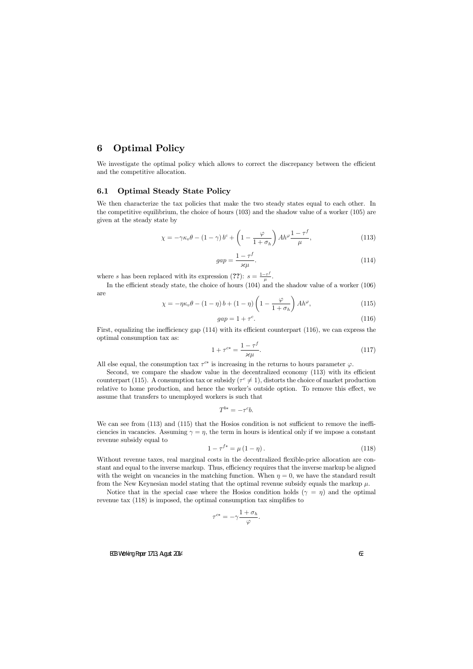## 6 Optimal Policy

We investigate the optimal policy which allows to correct the discrepancy between the efficient and the competitive allocation.

## 6.1 Optimal Steady State Policy

We then characterize the tax policies that make the two steady states equal to each other. In the competitive equilibrium, the choice of hours (103) and the shadow value of a worker (105) are given at the steady state by

$$
\chi = -\gamma \kappa_v \theta - (1 - \gamma) b^c + \left(1 - \frac{\varphi}{1 + \sigma_h}\right) A h^{\varphi} \frac{1 - \tau^f}{\mu},\tag{113}
$$

$$
gap = \frac{1 - \tau^f}{\varkappa \mu}.
$$
\n(114)

where s has been replaced with its expression (??):  $s = \frac{1-\tau}{\mu}$  $\frac{-\tau^{\jmath}}{\mu}$  .

In the efficient steady state, the choice of hours  $(104)$  and the shadow value of a worker  $(106)$ are

$$
\chi = -\eta \kappa_v \theta - (1 - \eta) b + (1 - \eta) \left( 1 - \frac{\varphi}{1 + \sigma_h} \right) Ah^{\varphi},\tag{115}
$$

$$
gap = 1 + \tau^c. \tag{116}
$$

First, equalizing the inefficiency gap  $(114)$  with its efficient counterpart  $(116)$ , we can express the optimal consumption tax as:

$$
1 + \tau^{c*} = \frac{1 - \tau^f}{\varkappa \mu}.
$$
\n(117)

All else equal, the consumption tax  $\tau^{c*}$  is increasing in the returns to hours parameter  $\varphi$ .

Second, we compare the shadow value in the decentralized economy  $(113)$  with its efficient counterpart (115). A consumption tax or subsidy  $(\tau^c \neq 1)$ , distorts the choice of market production relative to home production, and hence the worker's outside option. To remove this effect, we assume that transfers to unemployed workers is such that

$$
T^{b*} = -\tau^c b.
$$

We can see from  $(113)$  and  $(115)$  that the Hosios condition is not sufficient to remove the inefficiencies in vacancies. Assuming  $\gamma = \eta$ , the term in hours is identical only if we impose a constant revenue subsidy equal to

$$
1 - \tau^{f*} = \mu (1 - \eta). \tag{118}
$$

Without revenue taxes, real marginal costs in the decentralized flexible-price allocation are constant and equal to the inverse markup. Thus, efficiency requires that the inverse markup be aligned with the weight on vacancies in the matching function. When  $\eta = 0$ , we have the standard result from the New Keynesian model stating that the optimal revenue subsidy equals the markup  $\mu$ .

Notice that in the special case where the Hosios condition holds  $(\gamma = \eta)$  and the optimal revenue tax  $(118)$  is imposed, the optimal consumption tax simplifies to

$$
\tau^{c*} = -\gamma \frac{1 + \sigma_h}{\varphi}.
$$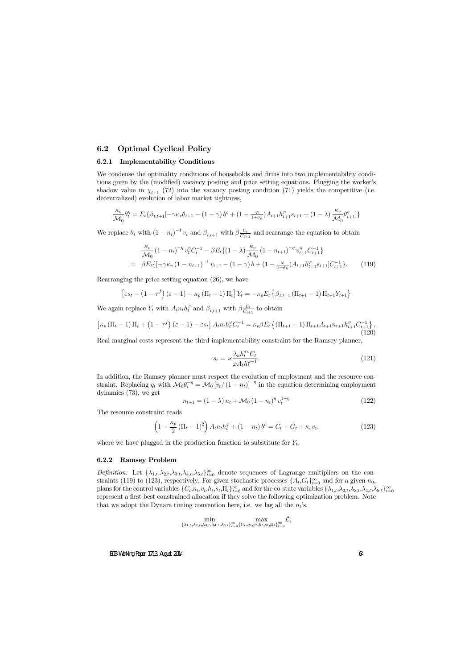## 6.2 Optimal Cyclical Policy

#### 6.2.1 Implementability Conditions

We condense the optimality conditions of households and firms into two implementability conditions given by the (modified) vacancy posting and price setting equations. Plugging the worker's shadow value in  $\chi_{t+1}$  (72) into the vacancy posting condition (71) yields the competitive (i.e. decentralized) evolution of labor market tightness,

$$
\frac{\kappa_v}{\mathcal{M}_0} \theta_t^{\eta} = E_t \{ \beta_{t,t+1} \left[ -\gamma \kappa_v \theta_{t+1} - (1 - \gamma) b^c + (1 - \frac{\varphi}{1 + \sigma_h}) A_{t+1} h_{t+1}^{\varphi} s_{t+1} + (1 - \lambda) \frac{\kappa_v}{\mathcal{M}_0} \theta_{t+1}^{\eta} \right] \}
$$

We replace  $\theta_t$  with  $(1 - n_t)^{-1} v_t$  and  $\beta_{t,t+1}$  with  $\beta \frac{C_t}{C_{t+1}}$  $\frac{C_t}{C_{t+1}}$  and rearrange the equation to obtain

$$
\frac{\kappa_v}{\mathcal{M}_0} (1 - n_t)^{-\eta} v_t^{\eta} C_t^{-1} - \beta E_t \{ (1 - \lambda) \frac{\kappa_v}{\mathcal{M}_0} (1 - n_{t+1})^{-\eta} v_{t+1}^{\eta} C_{t+1}^{-1} \}
$$
\n
$$
= \beta E_t \{ [-\gamma \kappa_v (1 - n_{t+1})^{-1} v_{t+1} - (1 - \gamma) b + (1 - \frac{\varphi}{1 + \sigma_h}) A_{t+1} h_{t+1}^{\varphi} s_{t+1}] C_{t+1}^{-1} \}.
$$
\n(119)

Rearranging the price setting equation (26), we have

$$
\left[\varepsilon s_t - \left(1 - \tau^f\right)\left(\varepsilon - 1\right) - \kappa_p \left(\Pi_t - 1\right)\Pi_t\right] Y_t = -\kappa_p E_t \left\{\beta_{t,t+1} \left(\Pi_{t+1} - 1\right)\Pi_{t+1} Y_{t+1}\right\}
$$

We again replace  $Y_t$  with  $A_t n_t h_t^{\varphi}$  and  $\beta_{t,t+1}$  with  $\beta \frac{C_t}{C_{t+1}}$  $\frac{C_t}{C_{t+1}}$  to obtain

$$
\left[\kappa_p \left(\Pi_t - 1\right) \Pi_t + \left(1 - \tau^f\right) \left(\varepsilon - 1\right) - \varepsilon s_t\right] A_t n_t h_t^{\varphi} C_t^{-1} = \kappa_p \beta E_t \left\{ \left(\Pi_{t+1} - 1\right) \Pi_{t+1} A_{t+1} n_{t+1} h_{t+1}^{\varphi} C_{t+1}^{-1} \right\}.\tag{120}
$$

Real marginal costs represent the third implementability constraint for the Ramsey planner,

$$
s_t = \varkappa \frac{\lambda_h h_t^{\sigma_h} C_t}{\varphi A_t h_t^{\varphi - 1}}.
$$
\n(121)

In addition, the Ramsey planner must respect the evolution of employment and the resource constraint. Replacing  $q_t$  with  $\mathcal{M}_0 \theta_t^{-\eta} = \mathcal{M}_0 [v_t/(1 - n_t)]^{-\eta}$  in the equation determining employment dynamics (73), we get

$$
n_{t+1} = (1 - \lambda) n_t + \mathcal{M}_0 (1 - n_t)^{\eta} v_t^{1 - \eta}
$$
 (122)

The resource constraint reads

$$
\left(1 - \frac{\kappa_p}{2} \left(\Pi_t - 1\right)^2\right) A_t n_t h_t^{\varphi} + (1 - n_t) b^c = C_t + G_t + \kappa_v v_t,
$$
\n(123)

where we have plugged in the production function to substitute for  $Y_t$ .

#### 6.2.2 Ramsey Problem

Definition: Let  $\{\lambda_{1,t}, \lambda_{2,t}, \lambda_{3,t}, \lambda_{4,t}, \lambda_{5,t}\}_{t=0}^{\infty}$  denote sequences of Lagrange multipliers on the constraints (119) to (123), respectively. For given stochastic processes  $\{A_t, G_t\}_{t=0}^{\infty}$  and for a given  $n_0$ , plans for the control variables  $\{C_t, n_t, v_t, h_t, s_t, \prod_t\}_{t=0}^{\infty}$  and for the co-state variables  $\{\lambda_{1,t}, \lambda_{2,t}, \lambda_{3,t}, \lambda_{4,t}, \lambda_{5,t}\}_{t=0}^{\infty}$ represent a first best constrained allocation if they solve the following optimization problem. Note that we adopt the Dynare timing convention here, i.e. we lag all the  $n_t$ 's.

$$
\min_{\{\lambda_{1,t},\lambda_{2,t},\lambda_{3,t},\lambda_{4,t},\lambda_{5,t}\}_{t=0}^{\infty}\{C_t,n_t,v_t,h_t,s_t,\Pi_t\}_{t=0}^{\infty}}\mathcal{L},
$$